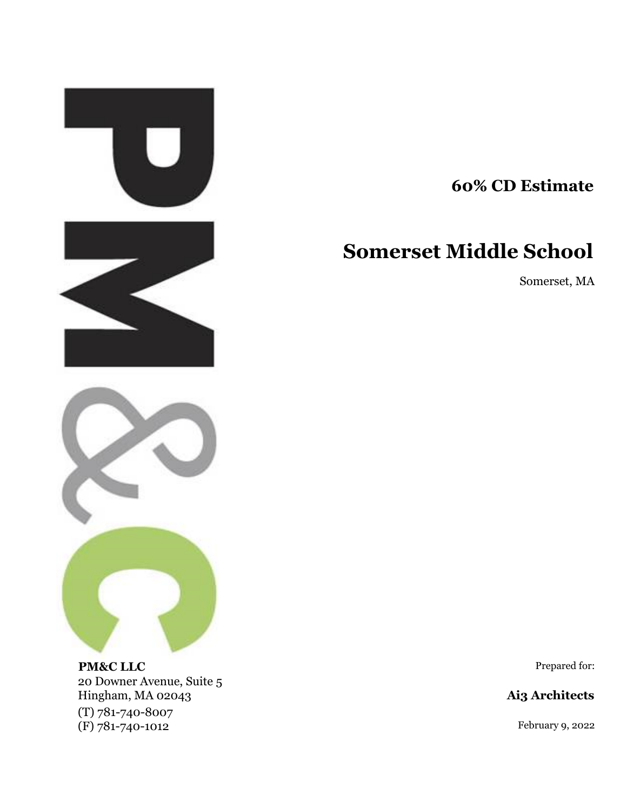

20 Downer Avenue, Suite 5 Hingham, MA 02043 **Ai3 Architects** (T) 781-740-8007 (F) 781-740-1012 February 9, 2022

**60% CD Estimate**

# **Somerset Middle School**

Somerset, MA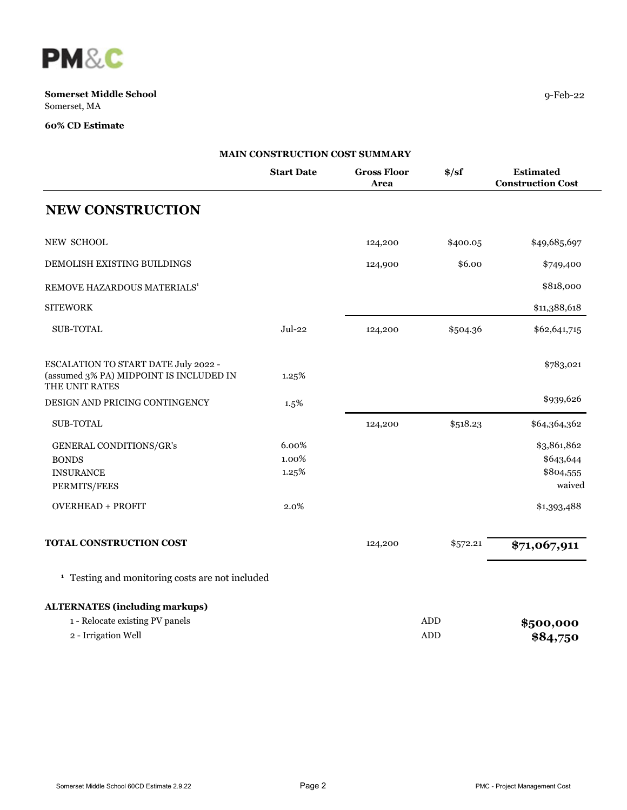

|                                                                                                   | MAIN CONSTRUCTION COST SUMMARY |                            |                             |                                                 |
|---------------------------------------------------------------------------------------------------|--------------------------------|----------------------------|-----------------------------|-------------------------------------------------|
|                                                                                                   | <b>Start Date</b>              | <b>Gross Floor</b><br>Area | $\frac{\text{S}}{\text{S}}$ | <b>Estimated</b><br><b>Construction Cost</b>    |
| <b>NEW CONSTRUCTION</b>                                                                           |                                |                            |                             |                                                 |
| <b>NEW SCHOOL</b>                                                                                 |                                | 124,200                    | \$400.05                    | \$49,685,697                                    |
| DEMOLISH EXISTING BUILDINGS                                                                       |                                | 124,900                    | \$6.00                      | \$749,400                                       |
| REMOVE HAZARDOUS MATERIALS <sup>1</sup>                                                           |                                |                            |                             | \$818,000                                       |
| <b>SITEWORK</b>                                                                                   |                                |                            |                             | \$11,388,618                                    |
| <b>SUB-TOTAL</b>                                                                                  | $Jul-22$                       | 124,200                    | \$504.36                    | \$62,641,715                                    |
| ESCALATION TO START DATE July 2022 -<br>(assumed 3% PA) MIDPOINT IS INCLUDED IN<br>THE UNIT RATES | 1.25%                          |                            |                             | \$783,021                                       |
| DESIGN AND PRICING CONTINGENCY                                                                    | 1.5%                           |                            |                             | \$939,626                                       |
| <b>SUB-TOTAL</b>                                                                                  |                                | 124,200                    | \$518.23                    | \$64,364,362                                    |
| GENERAL CONDITIONS/GR's<br><b>BONDS</b><br><b>INSURANCE</b><br>PERMITS/FEES                       | 6.00%<br>1.00%<br>1.25%        |                            |                             | \$3,861,862<br>\$643,644<br>\$804,555<br>waived |
| <b>OVERHEAD + PROFIT</b>                                                                          | 2.0%                           |                            |                             | \$1,393,488                                     |
| TOTAL CONSTRUCTION COST                                                                           |                                | 124,200                    | \$572.21                    | \$71,067,911                                    |
| <sup>1</sup> Testing and monitoring costs are not included                                        |                                |                            |                             |                                                 |
| <b>ALTERNATES (including markups)</b>                                                             |                                |                            |                             |                                                 |
| 1 - Relocate existing PV panels<br>2 - Irrigation Well                                            |                                |                            | ADD<br><b>ADD</b>           | \$500,000<br>\$84,750                           |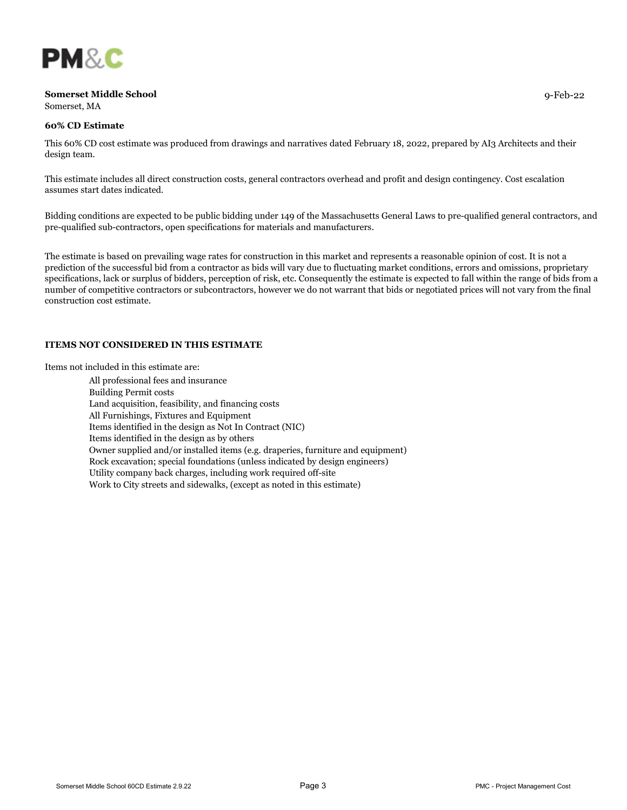

# **60% CD Estimate**

This 60% CD cost estimate was produced from drawings and narratives dated February 18, 2022, prepared by AI3 Architects and their design team.

This estimate includes all direct construction costs, general contractors overhead and profit and design contingency. Cost escalation assumes start dates indicated.

Bidding conditions are expected to be public bidding under 149 of the Massachusetts General Laws to pre-qualified general contractors, and pre-qualified sub-contractors, open specifications for materials and manufacturers.

The estimate is based on prevailing wage rates for construction in this market and represents a reasonable opinion of cost. It is not a prediction of the successful bid from a contractor as bids will vary due to fluctuating market conditions, errors and omissions, proprietary specifications, lack or surplus of bidders, perception of risk, etc. Consequently the estimate is expected to fall within the range of bids from a number of competitive contractors or subcontractors, however we do not warrant that bids or negotiated prices will not vary from the final construction cost estimate.

### **ITEMS NOT CONSIDERED IN THIS ESTIMATE**

Items not included in this estimate are:

All professional fees and insurance Building Permit costs Land acquisition, feasibility, and financing costs All Furnishings, Fixtures and Equipment Items identified in the design as Not In Contract (NIC) Items identified in the design as by others Owner supplied and/or installed items (e.g. draperies, furniture and equipment) Rock excavation; special foundations (unless indicated by design engineers) Utility company back charges, including work required off-site Work to City streets and sidewalks, (except as noted in this estimate)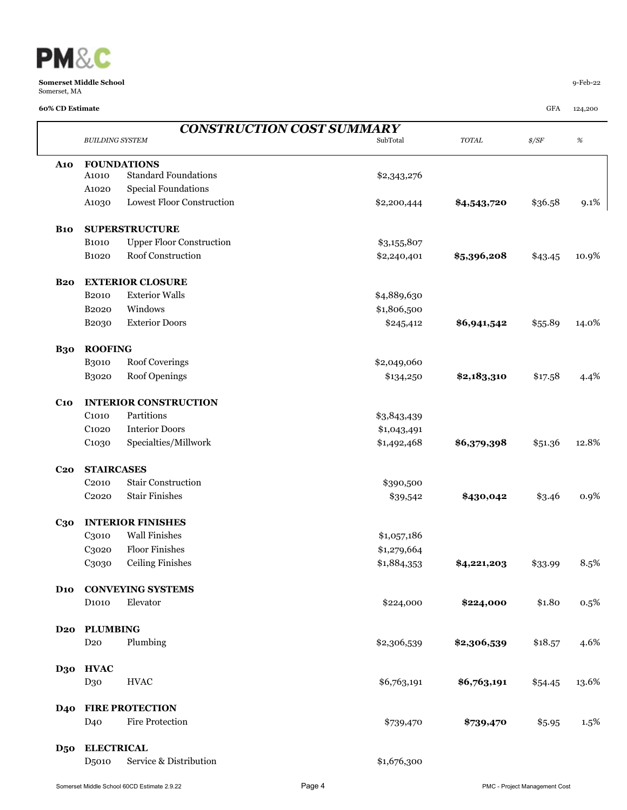

### **60% CD Estimate** GFA 124,200

 $\mathbf{I}$ 

|                        | <b>CONSTRUCTION COST SUMMARY</b> |                                  |             |             |                |       |  |  |  |
|------------------------|----------------------------------|----------------------------------|-------------|-------------|----------------|-------|--|--|--|
|                        | <b>BUILDING SYSTEM</b>           |                                  | SubTotal    | $TOTAL$     | $\frac{s}{SF}$ | $\%$  |  |  |  |
| <b>A10</b>             |                                  | <b>FOUNDATIONS</b>               |             |             |                |       |  |  |  |
|                        | A1010                            | <b>Standard Foundations</b>      | \$2,343,276 |             |                |       |  |  |  |
|                        | A1020                            | <b>Special Foundations</b>       |             |             |                |       |  |  |  |
|                        | A1030                            | <b>Lowest Floor Construction</b> | \$2,200,444 | \$4,543,720 | \$36.58        | 9.1%  |  |  |  |
| <b>B10</b>             |                                  | <b>SUPERSTRUCTURE</b>            |             |             |                |       |  |  |  |
|                        | <b>B1010</b>                     | <b>Upper Floor Construction</b>  | \$3,155,807 |             |                |       |  |  |  |
|                        | <b>B</b> 1020                    | Roof Construction                | \$2,240,401 | \$5,396,208 | \$43.45        | 10.9% |  |  |  |
| <b>B20</b>             |                                  | <b>EXTERIOR CLOSURE</b>          |             |             |                |       |  |  |  |
|                        | B <sub>2010</sub>                | <b>Exterior Walls</b>            | \$4,889,630 |             |                |       |  |  |  |
|                        | B <sub>2020</sub>                | Windows                          | \$1,806,500 |             |                |       |  |  |  |
|                        | B2030                            | <b>Exterior Doors</b>            | \$245,412   | \$6,941,542 | \$55.89        | 14.0% |  |  |  |
| <b>B30</b>             | <b>ROOFING</b>                   |                                  |             |             |                |       |  |  |  |
|                        | <b>B3010</b>                     | Roof Coverings                   | \$2,049,060 |             |                |       |  |  |  |
|                        | <b>B3020</b>                     | Roof Openings                    | \$134,250   | \$2,183,310 | \$17.58        | 4.4%  |  |  |  |
| C <sub>10</sub>        |                                  | <b>INTERIOR CONSTRUCTION</b>     |             |             |                |       |  |  |  |
|                        | C <sub>1010</sub>                | Partitions                       | \$3,843,439 |             |                |       |  |  |  |
|                        | C <sub>1020</sub>                | <b>Interior Doors</b>            | \$1,043,491 |             |                |       |  |  |  |
|                        | C <sub>1030</sub>                | Specialties/Millwork             | \$1,492,468 | \$6,379,398 | \$51.36        | 12.8% |  |  |  |
| C <sub>20</sub>        | <b>STAIRCASES</b>                |                                  |             |             |                |       |  |  |  |
|                        | C <sub>2010</sub>                | <b>Stair Construction</b>        | \$390,500   |             |                |       |  |  |  |
|                        | C <sub>2020</sub>                | <b>Stair Finishes</b>            | \$39,542    | \$430,042   | \$3.46         | 0.9%  |  |  |  |
| $C_{30}$               |                                  | <b>INTERIOR FINISHES</b>         |             |             |                |       |  |  |  |
|                        | C3010                            | <b>Wall Finishes</b>             | \$1,057,186 |             |                |       |  |  |  |
|                        | C3020                            | <b>Floor Finishes</b>            | \$1,279,664 |             |                |       |  |  |  |
|                        | C3030                            | <b>Ceiling Finishes</b>          | \$1,884,353 | \$4,221,203 | \$33.99        | 8.5%  |  |  |  |
| <b>D</b> <sub>10</sub> |                                  | <b>CONVEYING SYSTEMS</b>         |             |             |                |       |  |  |  |
|                        | D <sub>1010</sub>                | Elevator                         | \$224,000   | \$224,000   | \$1.80         | 0.5%  |  |  |  |
| D <sub>20</sub>        | <b>PLUMBING</b>                  |                                  |             |             |                |       |  |  |  |
|                        | D <sub>20</sub>                  | Plumbing                         | \$2,306,539 | \$2,306,539 | \$18.57        | 4.6%  |  |  |  |
| D30                    | <b>HVAC</b>                      |                                  |             |             |                |       |  |  |  |
|                        | D <sub>30</sub>                  | <b>HVAC</b>                      | \$6,763,191 | \$6,763,191 | \$54.45        | 13.6% |  |  |  |
| <b>D40</b>             |                                  | <b>FIRE PROTECTION</b>           |             |             |                |       |  |  |  |
|                        | D <sub>40</sub>                  | <b>Fire Protection</b>           | \$739,470   | \$739,470   | \$5.95         | 1.5%  |  |  |  |
| <b>D50</b>             | <b>ELECTRICAL</b>                |                                  |             |             |                |       |  |  |  |
|                        | D <sub>5010</sub>                | Service & Distribution           | \$1,676,300 |             |                |       |  |  |  |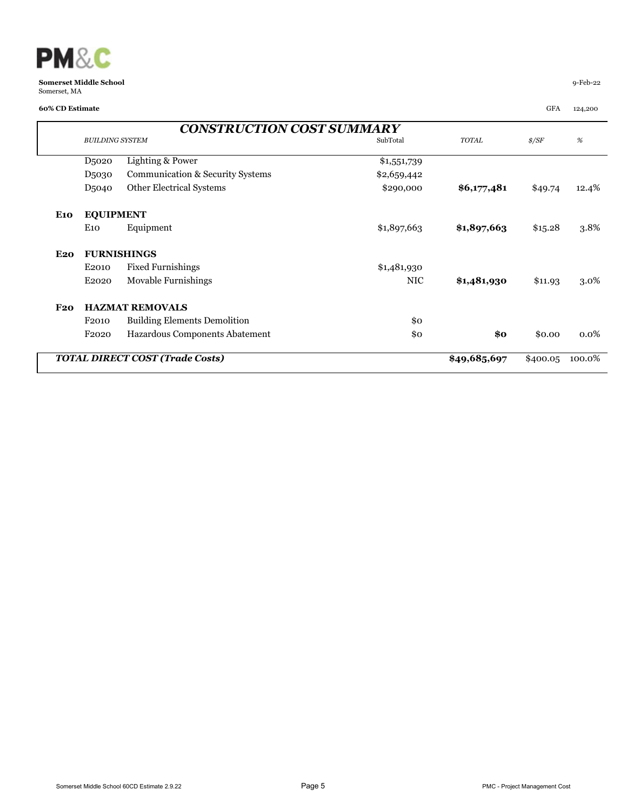

|                                        | <b>CONSTRUCTION COST SUMMARY</b> |                                     |             |              |                |         |  |  |  |  |
|----------------------------------------|----------------------------------|-------------------------------------|-------------|--------------|----------------|---------|--|--|--|--|
|                                        | <b>BUILDING SYSTEM</b>           |                                     | SubTotal    | TOTAL        | $\frac{s}{SF}$ | %       |  |  |  |  |
|                                        | D <sub>5</sub> 020               | Lighting & Power                    | \$1,551,739 |              |                |         |  |  |  |  |
|                                        | D <sub>5030</sub>                | Communication & Security Systems    | \$2,659,442 |              |                |         |  |  |  |  |
|                                        | D <sub>5040</sub>                | Other Electrical Systems            | \$290,000   | \$6,177,481  | \$49.74        | 12.4%   |  |  |  |  |
| <b>E10</b>                             | <b>EQUIPMENT</b>                 |                                     |             |              |                |         |  |  |  |  |
|                                        | E10                              | Equipment                           | \$1,897,663 | \$1,897,663  | \$15.28        | 3.8%    |  |  |  |  |
| <b>E20</b>                             |                                  | <b>FURNISHINGS</b>                  |             |              |                |         |  |  |  |  |
|                                        | E2010                            | <b>Fixed Furnishings</b>            | \$1,481,930 |              |                |         |  |  |  |  |
|                                        | E <sub>2020</sub>                | Movable Furnishings                 | <b>NIC</b>  | \$1,481,930  | \$11.93        | 3.0%    |  |  |  |  |
| F20                                    |                                  | <b>HAZMAT REMOVALS</b>              |             |              |                |         |  |  |  |  |
|                                        | F <sub>2010</sub>                | <b>Building Elements Demolition</b> | \$0         |              |                |         |  |  |  |  |
|                                        | F <sub>2020</sub>                | Hazardous Components Abatement      | \$0         | $\$0$        | \$0.00         | $0.0\%$ |  |  |  |  |
| <b>TOTAL DIRECT COST (Trade Costs)</b> |                                  |                                     |             | \$49,685,697 | \$400.05       | 100.0%  |  |  |  |  |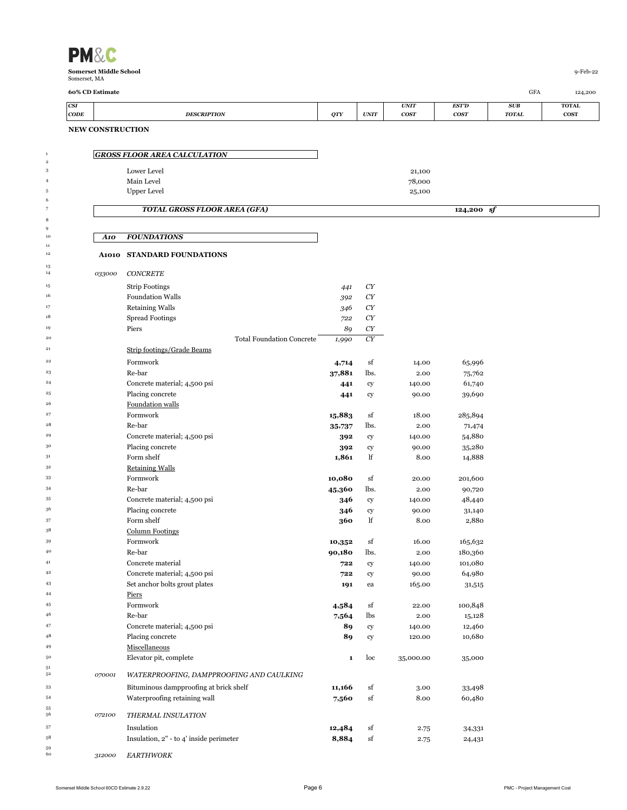| Somerset, MA           | 60% CD Estimate         |                                                  |              |                          |                                 |                      | GFA                 |                                        |
|------------------------|-------------------------|--------------------------------------------------|--------------|--------------------------|---------------------------------|----------------------|---------------------|----------------------------------------|
| CSI<br>$\mathbf{CODE}$ |                         | <b>DESCRIPTION</b>                               | <b>QTY</b>   | <b>UNIT</b>              | <b>UNIT</b><br>cos <sub>T</sub> | <b>EST'D</b><br>cosr | SUB<br><b>TOTAL</b> | 124,200<br><b>TOTAL</b><br><b>COST</b> |
|                        | <b>NEW CONSTRUCTION</b> |                                                  |              |                          |                                 |                      |                     |                                        |
|                        |                         | <b>GROSS FLOOR AREA CALCULATION</b>              |              |                          |                                 |                      |                     |                                        |
|                        |                         | Lower Level                                      |              |                          | 21,100                          |                      |                     |                                        |
|                        |                         | Main Level                                       |              |                          | 78,000                          |                      |                     |                                        |
|                        |                         | <b>Upper Level</b>                               |              |                          | 25,100                          |                      |                     |                                        |
|                        |                         | <b>TOTAL GROSS FLOOR AREA (GFA)</b>              |              |                          |                                 | $124,200$ sf         |                     |                                        |
|                        | A10                     | <b>FOUNDATIONS</b>                               |              |                          |                                 |                      |                     |                                        |
|                        | <b>A1010</b>            | <b>STANDARD FOUNDATIONS</b>                      |              |                          |                                 |                      |                     |                                        |
|                        | 033000                  | <b>CONCRETE</b>                                  |              |                          |                                 |                      |                     |                                        |
|                        |                         | <b>Strip Footings</b>                            | 441          | CY                       |                                 |                      |                     |                                        |
|                        |                         | <b>Foundation Walls</b>                          | 392          | CY                       |                                 |                      |                     |                                        |
|                        |                         | <b>Retaining Walls</b>                           | 346          | CY                       |                                 |                      |                     |                                        |
|                        |                         | <b>Spread Footings</b>                           | 722          | CY                       |                                 |                      |                     |                                        |
|                        |                         | Piers<br><b>Total Foundation Concrete</b>        | 89<br>1,990  | CY<br>${\cal C}{\cal Y}$ |                                 |                      |                     |                                        |
|                        |                         | Strip footings/Grade Beams                       |              |                          |                                 |                      |                     |                                        |
|                        |                         | Formwork                                         | 4,714        | sf                       | 14.00                           | 65,996               |                     |                                        |
|                        |                         | Re-bar                                           | 37,881       | lbs.                     | 2.00                            | 75,762               |                     |                                        |
|                        |                         | Concrete material; 4,500 psi                     | 441          | cy                       | 140.00                          | 61,740               |                     |                                        |
|                        |                         | Placing concrete                                 | 441          | cy                       | 90.00                           | 39,690               |                     |                                        |
|                        |                         | Foundation walls                                 |              |                          |                                 |                      |                     |                                        |
|                        |                         | Formwork                                         | 15,883       | sf                       | 18.00                           | 285,894              |                     |                                        |
|                        |                         | Re-bar                                           | 35,737       | lbs.                     | 2.00                            | 71,474               |                     |                                        |
|                        |                         | Concrete material; 4,500 psi                     | 392          | cy                       | 140.00                          | 54,880               |                     |                                        |
|                        |                         | Placing concrete<br>Form shelf                   | 392<br>1,861 | cy<br>lf                 | 90.00<br>8.00                   | 35,280<br>14,888     |                     |                                        |
|                        |                         | <b>Retaining Walls</b>                           |              |                          |                                 |                      |                     |                                        |
|                        |                         | Formwork                                         | 10,080       | sf                       | 20.00                           | 201,600              |                     |                                        |
|                        |                         | Re-bar                                           | 45,360       | lbs.                     | 2.00                            | 90,720               |                     |                                        |
|                        |                         | Concrete material; 4,500 psi                     | 346          | cy                       | 140.00                          | 48,440               |                     |                                        |
|                        |                         | Placing concrete                                 | 346          | cy                       | 90.00                           | 31,140               |                     |                                        |
|                        |                         | Form shelf                                       | 360          | lf                       | 8.00                            | 2,880                |                     |                                        |
|                        |                         | <b>Column Footings</b>                           |              |                          |                                 |                      |                     |                                        |
|                        |                         | Formwork                                         | 10,352       | sf                       | 16.00                           | 165,632              |                     |                                        |
|                        |                         | Re-bar                                           | 90,180       | lbs.                     | 2.00                            | 180,360              |                     |                                        |
|                        |                         | Concrete material                                | 722          | cy                       | 140.00                          | 101,080              |                     |                                        |
|                        |                         | Concrete material; 4,500 psi                     | 722          | cy                       | 90.00                           | 64,980               |                     |                                        |
|                        |                         | Set anchor bolts grout plates                    | 191          | ea                       | 165.00                          | 31,515               |                     |                                        |
|                        |                         | Piers                                            |              |                          |                                 |                      |                     |                                        |
|                        |                         | Formwork                                         | 4,584        | sf                       | 22.00                           | 100,848              |                     |                                        |
|                        |                         | Re-bar                                           | 7,564        | lbs                      | 2.00                            | 15,128               |                     |                                        |
|                        |                         | Concrete material; 4,500 psi<br>Placing concrete | 89<br>89     | cy                       | 140.00<br>120.00                | 12,460<br>10,680     |                     |                                        |
|                        |                         | Miscellaneous                                    |              | cy                       |                                 |                      |                     |                                        |
|                        |                         | Elevator pit, complete                           | $\mathbf{1}$ | loc                      | 35,000.00                       | 35,000               |                     |                                        |
|                        |                         |                                                  |              |                          |                                 |                      |                     |                                        |
|                        | 070001                  | WATERPROOFING, DAMPPROOFING AND CAULKING         |              |                          |                                 |                      |                     |                                        |
|                        |                         | Bituminous dampproofing at brick shelf           | 11,166       | sf                       | 3.00                            | 33,498               |                     |                                        |
|                        |                         | Waterproofing retaining wall                     | 7,560        | sf                       | 8.00                            | 60,480               |                     |                                        |
|                        | 072100                  | THERMAL INSULATION                               |              |                          |                                 |                      |                     |                                        |
|                        |                         | Insulation                                       | 12,484       | sf                       | 2.75                            | 34,331               |                     |                                        |
|                        |                         | Insulation, 2" - to 4' inside perimeter          | 8,884        | sf                       | 2.75                            | 24,431               |                     |                                        |
|                        | 312000                  | <b>EARTHWORK</b>                                 |              |                          |                                 |                      |                     |                                        |
|                        |                         |                                                  |              |                          |                                 |                      |                     |                                        |

 $\begin{array}{c} 51 \\ 52 \end{array}$ 

 $\begin{array}{c} 55 \\ 56 \end{array}$ 

 $\begin{array}{c} 1 \\ 2 \\ 3 \end{array}$ 

 $\begin{array}{c} 6 \\ 7 \end{array}$ 

 $\begin{array}{c} 11 \\ 12 \end{array}$ 

 $\begin{array}{c} 13 \\ 14 \end{array}$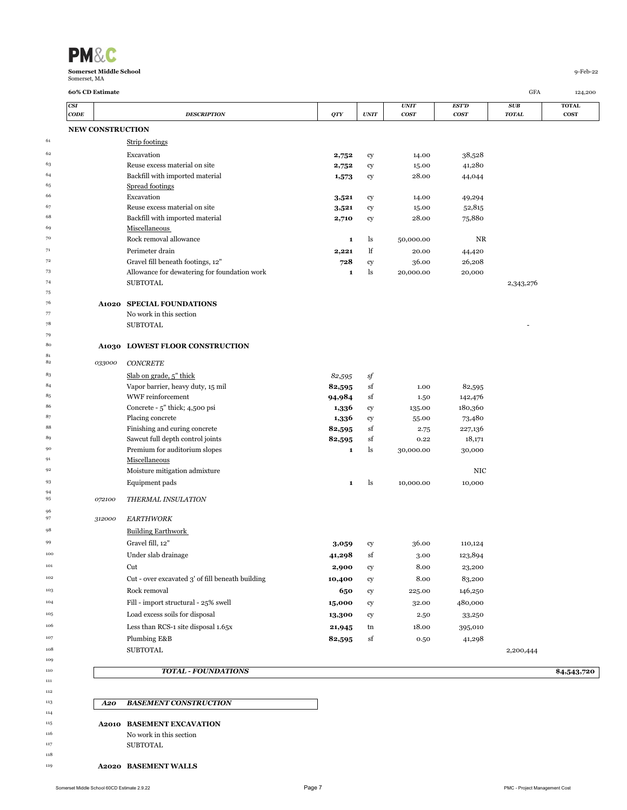| <b>PM&amp;C</b>               |          |
|-------------------------------|----------|
| <b>Somerset Middle School</b> | q-Feb-22 |
| Somerset, MA                  |          |

 $\begin{array}{c} 81 \\ 82 \end{array}$ 

| CSI<br>CODE             | <b>DESCRIPTION</b>                               | <b>QTY</b>   | <b>UNIT</b> | <b>UNIT</b><br><b>COST</b> | EST'D<br>cos <sub>T</sub> | SUB<br><b>TOTAL</b> | <b>TOTAL</b><br><b>COST</b> |
|-------------------------|--------------------------------------------------|--------------|-------------|----------------------------|---------------------------|---------------------|-----------------------------|
| <b>NEW CONSTRUCTION</b> |                                                  |              |             |                            |                           |                     |                             |
|                         | Strip footings                                   |              |             |                            |                           |                     |                             |
|                         | Excavation                                       | 2,752        | cy          | 14.00                      | 38,528                    |                     |                             |
|                         | Reuse excess material on site                    | 2,752        | cy          | 15.00                      | 41,280                    |                     |                             |
|                         | Backfill with imported material                  | 1,573        | cy          | 28.00                      | 44,044                    |                     |                             |
|                         | Spread footings                                  |              |             |                            |                           |                     |                             |
|                         | Excavation                                       | 3,521        | cy          | 14.00                      | 49,294                    |                     |                             |
|                         | Reuse excess material on site                    | 3,521        | cy          | 15.00                      | 52,815                    |                     |                             |
|                         | Backfill with imported material                  | 2,710        | cy          | 28.00                      | 75,880                    |                     |                             |
|                         | Miscellaneous                                    |              |             |                            |                           |                     |                             |
|                         | Rock removal allowance                           | $\mathbf{1}$ | ls          | 50,000.00                  | NR                        |                     |                             |
|                         | Perimeter drain                                  | 2,221        | lf          | 20.00                      | 44,420                    |                     |                             |
|                         | Gravel fill beneath footings, 12"                | 728          | cy          | 36.00                      | 26,208                    |                     |                             |
|                         | Allowance for dewatering for foundation work     | $\mathbf{1}$ | ls          | 20,000.00                  | 20,000                    |                     |                             |
|                         | <b>SUBTOTAL</b>                                  |              |             |                            |                           | 2,343,276           |                             |
|                         |                                                  |              |             |                            |                           |                     |                             |
|                         | A1020 SPECIAL FOUNDATIONS                        |              |             |                            |                           |                     |                             |
|                         | No work in this section                          |              |             |                            |                           |                     |                             |
|                         | <b>SUBTOTAL</b>                                  |              |             |                            |                           |                     |                             |
|                         |                                                  |              |             |                            |                           |                     |                             |
|                         | A1030 LOWEST FLOOR CONSTRUCTION                  |              |             |                            |                           |                     |                             |
| 033000                  | <b>CONCRETE</b>                                  |              |             |                            |                           |                     |                             |
|                         | Slab on grade, 5" thick                          | 82,595       | sf          |                            |                           |                     |                             |
|                         | Vapor barrier, heavy duty, 15 mil                | 82,595       | sf          | 1.00                       | 82,595                    |                     |                             |
|                         | WWF reinforcement                                | 94,984       | sf          | 1.50                       | 142,476                   |                     |                             |
|                         | Concrete - 5" thick; 4,500 psi                   | 1,336        | cy          | 135.00                     | 180,360                   |                     |                             |
|                         | Placing concrete                                 | 1,336        | cy          | 55.00                      | 73,480                    |                     |                             |
|                         | Finishing and curing concrete                    | 82,595       | sf          | 2.75                       | 227,136                   |                     |                             |
|                         | Sawcut full depth control joints                 | 82,595       | sf          | 0.22                       | 18,171                    |                     |                             |
|                         | Premium for auditorium slopes                    | 1            | ls          | 30,000.00                  | 30,000                    |                     |                             |
|                         | Miscellaneous                                    |              |             |                            |                           |                     |                             |
|                         | Moisture mitigation admixture                    |              |             |                            | NIC                       |                     |                             |
|                         | Equipment pads                                   | $\mathbf{1}$ | ls          | 10,000.00                  | 10,000                    |                     |                             |
| 072100                  | THERMAL INSULATION                               |              |             |                            |                           |                     |                             |
|                         |                                                  |              |             |                            |                           |                     |                             |
| 312000                  | <b>EARTHWORK</b>                                 |              |             |                            |                           |                     |                             |
|                         | <b>Building Earthwork</b>                        |              |             |                            |                           |                     |                             |
|                         | Gravel fill, 12"                                 | 3,059        | cy          | 36.00                      | 110,124                   |                     |                             |
|                         | Under slab drainage                              | 41,298       | sf          | 3.00                       | 123,894                   |                     |                             |
|                         | Cut                                              | 2,900        | cy          | 8.00                       | 23,200                    |                     |                             |
|                         | Cut - over excavated 3' of fill beneath building | 10,400       | cy          | 8.00                       | 83,200                    |                     |                             |
|                         | Rock removal                                     | 650          | cy          | 225.00                     | 146,250                   |                     |                             |
|                         | Fill - import structural - 25% swell             | 15,000       | cy          | 32.00                      | 480,000                   |                     |                             |
|                         | Load excess soils for disposal                   | 13,300       | cy          | 2.50                       | 33,250                    |                     |                             |
|                         | Less than RCS-1 site disposal 1.65x              | 21,945       | tn          | 18.00                      | 395,010                   |                     |                             |
|                         | Plumbing E&B                                     | 82,595       | sf          | 0.50                       | 41,298                    |                     |                             |
|                         | <b>SUBTOTAL</b>                                  |              |             |                            |                           |                     |                             |
|                         |                                                  |              |             |                            |                           | 2,200,444           |                             |
|                         | <b>TOTAL - FOUNDATIONS</b>                       |              |             |                            |                           |                     | \$4,543,720                 |
|                         |                                                  |              |             |                            |                           |                     |                             |
| A20                     | <b>BASEMENT CONSTRUCTION</b>                     |              |             |                            |                           |                     |                             |
|                         |                                                  |              |             |                            |                           |                     |                             |

- No work in this section
- SUBTOTAL
- **A2020 BASEMENT WALLS**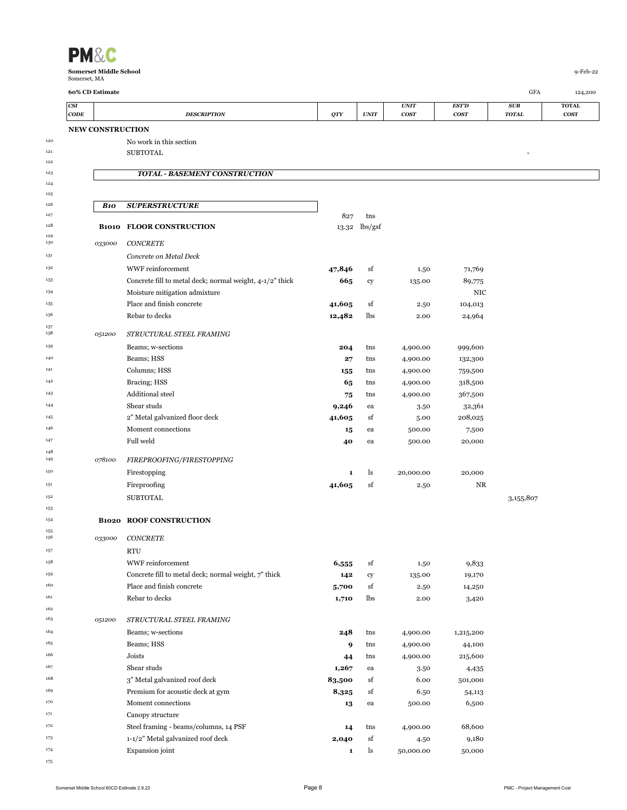| CSI  |                         |                                                          |              |               | <b>UNIT</b> | <b>EST'D</b> | SUB          | <b>TOTAL</b> |
|------|-------------------------|----------------------------------------------------------|--------------|---------------|-------------|--------------|--------------|--------------|
| CODE |                         | <b>DESCRIPTION</b>                                       | QTY          | <b>UNIT</b>   | <b>COST</b> | <b>COST</b>  | <b>TOTAL</b> | <b>COST</b>  |
|      | <b>NEW CONSTRUCTION</b> |                                                          |              |               |             |              |              |              |
|      |                         | No work in this section<br><b>SUBTOTAL</b>               |              |               |             |              |              |              |
|      |                         |                                                          |              |               |             |              |              |              |
|      |                         | <b>TOTAL - BASEMENT CONSTRUCTION</b>                     |              |               |             |              |              |              |
|      |                         |                                                          |              |               |             |              |              |              |
|      | <b>B10</b>              | <b>SUPERSTRUCTURE</b>                                    |              |               |             |              |              |              |
|      |                         |                                                          | 827          | tns           |             |              |              |              |
|      |                         | <b>B1010 FLOOR CONSTRUCTION</b>                          |              | 13.32 lbs/gsf |             |              |              |              |
|      | 033000                  | CONCRETE                                                 |              |               |             |              |              |              |
|      |                         | Concrete on Metal Deck                                   |              |               |             |              |              |              |
|      |                         | WWF reinforcement                                        | 47,846       | sf            | 1.50        | 71,769       |              |              |
|      |                         | Concrete fill to metal deck; normal weight, 4-1/2" thick | 665          | cy            | 135.00      | 89,775       |              |              |
|      |                         | Moisture mitigation admixture                            |              |               |             | NIC          |              |              |
|      |                         | Place and finish concrete                                | 41,605       | sf            | 2.50        | 104,013      |              |              |
|      |                         | Rebar to decks                                           | 12,482       | lbs           | 2.00        | 24,964       |              |              |
|      | 051200                  | STRUCTURAL STEEL FRAMING                                 |              |               |             |              |              |              |
|      |                         | Beams; w-sections                                        | 204          | tns           | 4,900.00    | 999,600      |              |              |
|      |                         | Beams; HSS                                               | 27           | tns           | 4,900.00    | 132,300      |              |              |
|      |                         | Columns; HSS                                             | 155          | tns           | 4,900.00    | 759,500      |              |              |
|      |                         | Bracing; HSS                                             | 65           | tns           | 4,900.00    | 318,500      |              |              |
|      |                         | Additional steel                                         | 75           | tns           | 4,900.00    | 367,500      |              |              |
|      |                         | Shear studs                                              | 9,246        | ea            | 3.50        | 32,361       |              |              |
|      |                         | 2" Metal galvanized floor deck                           | 41,605       | sf            | 5.00        | 208,025      |              |              |
|      |                         | Moment connections                                       | 15           | ea            | 500.00      | 7,500        |              |              |
|      |                         | Full weld                                                | 40           | ea            | 500.00      | 20,000       |              |              |
|      | 078100                  | FIREPROOFING/FIRESTOPPING                                |              |               |             |              |              |              |
|      |                         | Firestopping                                             | 1            | ls            | 20,000.00   | 20,000       |              |              |
|      |                         | Fireproofing                                             | 41,605       | sf            | 2.50        | NR           |              |              |
|      |                         | <b>SUBTOTAL</b>                                          |              |               |             |              | 3,155,807    |              |
|      |                         |                                                          |              |               |             |              |              |              |
|      |                         | <b>B1020 ROOF CONSTRUCTION</b>                           |              |               |             |              |              |              |
|      | 033000                  | <b>CONCRETE</b>                                          |              |               |             |              |              |              |
|      |                         | <b>RTU</b>                                               |              |               |             |              |              |              |
|      |                         | WWF reinforcement                                        | 6,555        | sf            | 1.50        | 9,833        |              |              |
|      |                         | Concrete fill to metal deck; normal weight, 7" thick     | 142          | cy            | 135.00      | 19,170       |              |              |
|      |                         | Place and finish concrete                                | 5,700        | sf            | 2.50        | 14,250       |              |              |
|      |                         | Rebar to decks                                           | 1,710        | lbs           | 2.00        | 3,420        |              |              |
|      |                         |                                                          |              |               |             |              |              |              |
|      | 051200                  | STRUCTURAL STEEL FRAMING                                 |              |               |             |              |              |              |
|      |                         | Beams; w-sections                                        | 248          | tns           | 4,900.00    | 1,215,200    |              |              |
|      |                         | Beams; HSS                                               | 9            | tns           | 4,900.00    | 44,100       |              |              |
|      |                         | Joists                                                   | 44           | tns           | 4,900.00    | 215,600      |              |              |
|      |                         | Shear studs                                              | 1,267        | ea            | 3.50        | 4,435        |              |              |
|      |                         | 3" Metal galvanized roof deck                            | 83,500       | sf            | 6.00        | 501,000      |              |              |
|      |                         | Premium for acoustic deck at gym                         | 8,325        | sf            | 6.50        | 54,113       |              |              |
|      |                         | Moment connections                                       | 13           | ea            | 500.00      | 6,500        |              |              |
|      |                         | Canopy structure                                         |              |               |             |              |              |              |
|      |                         | Steel framing - beams/columns, 14 PSF                    | 14           | tns           | 4,900.00    | 68,600       |              |              |
|      |                         | 1-1/2" Metal galvanized roof deck                        | 2,040        | sf            | 4.50        | 9,180        |              |              |
|      |                         | Expansion joint                                          | $\mathbf{1}$ | ls            | 50,000.00   | 50,000       |              |              |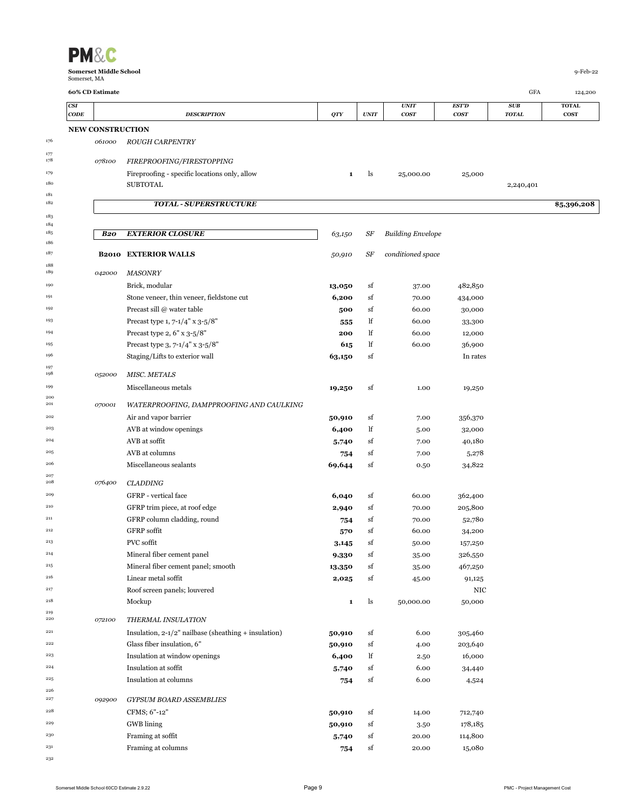| CSI                     |                                                         |              |             | <i><b>UNIT</b></i>       | EST'D       | SUB          | <b>TOTAL</b> |
|-------------------------|---------------------------------------------------------|--------------|-------------|--------------------------|-------------|--------------|--------------|
| CODE                    | <b>DESCRIPTION</b>                                      | <b>QTY</b>   | <b>UNIT</b> | <b>COST</b>              | <b>COST</b> | <b>TOTAL</b> | <b>COST</b>  |
| <b>NEW CONSTRUCTION</b> |                                                         |              |             |                          |             |              |              |
| 061000                  | <b>ROUGH CARPENTRY</b>                                  |              |             |                          |             |              |              |
|                         |                                                         |              |             |                          |             |              |              |
| 078100                  | FIREPROOFING/FIRESTOPPING                               |              |             |                          |             |              |              |
|                         | Fireproofing - specific locations only, allow           | 1            | ls          | 25,000.00                | 25,000      |              |              |
|                         | <b>SUBTOTAL</b>                                         |              |             |                          |             | 2,240,401    |              |
|                         | <b>TOTAL - SUPERSTRUCTURE</b>                           |              |             |                          |             |              | \$5,396,208  |
|                         |                                                         |              |             |                          |             |              |              |
| <b>B20</b>              | <b>EXTERIOR CLOSURE</b>                                 | 63,150       | SF          | <b>Building Envelope</b> |             |              |              |
|                         |                                                         |              |             |                          |             |              |              |
| <b>B2010</b>            | <b>EXTERIOR WALLS</b>                                   | 50,910       | SF          | conditioned space        |             |              |              |
| 042000                  | <b>MASONRY</b>                                          |              |             |                          |             |              |              |
|                         | Brick, modular                                          | 13,050       | sf          | 37.00                    | 482,850     |              |              |
|                         | Stone veneer, thin veneer, fieldstone cut               | 6,200        | sf          | 70.00                    | 434,000     |              |              |
|                         | Precast sill @ water table                              | 500          | sf          | 60.00                    | 30,000      |              |              |
|                         | Precast type 1, 7-1/4" x 3-5/8"                         | 555          | lf          | 60.00                    | 33,300      |              |              |
|                         | Precast type 2, 6" x 3-5/8"                             | 200          | lf          | 60.00                    | 12,000      |              |              |
|                         | Precast type 3, $7-1/4$ " x $3-5/8$ "                   | 615          | lf          | 60.00                    | 36,900      |              |              |
|                         | Staging/Lifts to exterior wall                          | 63,150       | sf          |                          | In rates    |              |              |
|                         |                                                         |              |             |                          |             |              |              |
| 052000                  | <b>MISC. METALS</b>                                     |              |             |                          |             |              |              |
|                         | Miscellaneous metals                                    | 19,250       | sf          | 1.00                     | 19,250      |              |              |
| 070001                  | WATERPROOFING, DAMPPROOFING AND CAULKING                |              |             |                          |             |              |              |
|                         | Air and vapor barrier                                   | 50,910       | sf          | 7.00                     | 356,370     |              |              |
|                         | AVB at window openings                                  | 6,400        | lf          | 5.00                     | 32,000      |              |              |
|                         | AVB at soffit                                           | 5,740        | sf          | 7.00                     | 40,180      |              |              |
|                         | AVB at columns                                          | 754          | sf          | 7.00                     | 5,278       |              |              |
|                         | Miscellaneous sealants                                  | 69,644       | sf          | 0.50                     | 34,822      |              |              |
| 076400                  | <b>CLADDING</b>                                         |              |             |                          |             |              |              |
|                         | GFRP - vertical face                                    | 6,040        | sf          | 60.00                    | 362,400     |              |              |
|                         | GFRP trim piece, at roof edge                           | 2,940        | sf          | 70.00                    | 205,800     |              |              |
|                         | GFRP column cladding, round                             | 754          | sf          | 70.00                    | 52,780      |              |              |
|                         | <b>GFRP</b> soffit                                      | 570          | sf          | 60.00                    | 34,200      |              |              |
|                         | <b>PVC</b> soffit                                       | 3,145        | sf          | 50.00                    | 157,250     |              |              |
|                         | Mineral fiber cement panel                              | 9,330        | sf          | 35.00                    | 326,550     |              |              |
|                         | Mineral fiber cement panel; smooth                      | 13,350       | sf          | 35.00                    | 467,250     |              |              |
|                         | Linear metal soffit                                     | 2,025        | sf          | 45.00                    | 91,125      |              |              |
|                         | Roof screen panels; louvered                            |              |             |                          | NIC         |              |              |
|                         | Mockup                                                  | $\mathbf{1}$ | ls          | 50,000.00                | 50,000      |              |              |
|                         |                                                         |              |             |                          |             |              |              |
| 072100                  | THERMAL INSULATION                                      |              |             |                          |             |              |              |
|                         | Insulation, $2-1/2$ " nailbase (sheathing + insulation) | 50,910       | sf          | 6.00                     | 305,460     |              |              |
|                         | Glass fiber insulation, 6"                              | 50,910       | sf          | 4.00                     | 203,640     |              |              |
|                         | Insulation at window openings                           | 6,400        | lf          | 2.50                     | 16,000      |              |              |
|                         | Insulation at soffit                                    | 5,740        | sf          | 6.00                     | 34,440      |              |              |
|                         | Insulation at columns                                   | 754          | sf          | 6.00                     | 4,524       |              |              |
| 092900                  | <b>GYPSUM BOARD ASSEMBLIES</b>                          |              |             |                          |             |              |              |
|                         | CFMS; 6"-12"                                            | 50,910       | sf          | 14.00                    | 712,740     |              |              |
|                         | <b>GWB</b> lining                                       | 50,910       | sf          | 3.50                     | 178,185     |              |              |
|                         | Framing at soffit                                       | 5,740        | sf          | 20.00                    | 114,800     |              |              |
|                         | Framing at columns                                      | 754          | sf          | 20.00                    | 15,080      |              |              |
|                         |                                                         |              |             |                          |             |              |              |

**Somerset Middle School** 9-Feb-22 Somerset, MA **60% CD Estimate** GFA 124,200

**PM&C**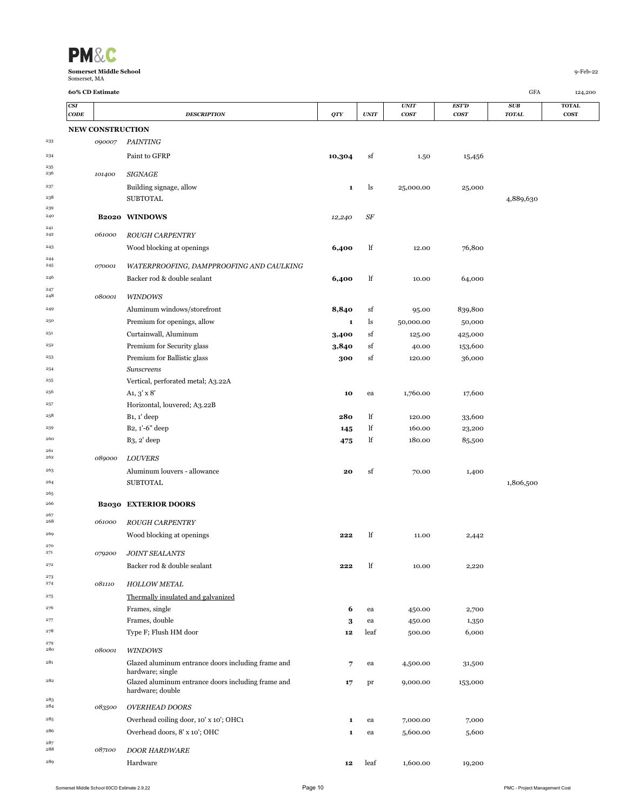| VI                   |
|----------------------|
| والملائكة فممس<br>о. |

 $\frac{235}{236}$ 

 $\frac{241}{242}$ 

 $\begin{array}{c} 244 \\ 245 \end{array}$ 

 $\begin{array}{c} 247 \\ 248 \end{array}$ 

 $\frac{261}{262}$ 

 $\frac{267}{268}$ 

 $\begin{array}{c} 270 \\ 271 \end{array}$ 

 $\frac{273}{274}$ 

 $\begin{array}{c} 279 \\ 280 \end{array}$ 

 $\begin{array}{c} 283 \\ 284 \end{array}$ 

 $\begin{array}{c} 287 \\ 288 \end{array}$ 

|            | 60% CD Estimate  |                                                                        |        |             |                                 |                                  | GFA                 | 124,200                     |
|------------|------------------|------------------------------------------------------------------------|--------|-------------|---------------------------------|----------------------------------|---------------------|-----------------------------|
| CSI        | CODE             | <b>DESCRIPTION</b>                                                     | QTY    | <b>UNIT</b> | <b>UNIT</b><br>cos <sub>T</sub> | <b>EST'D</b><br>cos <sub>T</sub> | SUB<br><b>TOTAL</b> | <b>TOTAL</b><br><b>COST</b> |
|            | NEW CONSTRUCTION |                                                                        |        |             |                                 |                                  |                     |                             |
| 233        | 090007           | <b>PAINTING</b>                                                        |        |             |                                 |                                  |                     |                             |
| 234        |                  | Paint to GFRP                                                          | 10,304 | sf          | 1.50                            | 15,456                           |                     |                             |
| 235<br>236 | 101400           | <b>SIGNAGE</b>                                                         |        |             |                                 |                                  |                     |                             |
| 237        |                  | Building signage, allow                                                | 1      | ls          | 25,000.00                       | 25,000                           |                     |                             |
| 238        |                  | <b>SUBTOTAL</b>                                                        |        |             |                                 |                                  | 4,889,630           |                             |
| 239        |                  |                                                                        |        |             |                                 |                                  |                     |                             |
| 240<br>241 |                  | <b>B2020 WINDOWS</b>                                                   | 12,240 | SF          |                                 |                                  |                     |                             |
| 242        | 061000           | <b>ROUGH CARPENTRY</b>                                                 |        |             |                                 |                                  |                     |                             |
| 243        |                  | Wood blocking at openings                                              | 6,400  | lf          | 12.00                           | 76,800                           |                     |                             |
| 244<br>245 | 070001           | WATERPROOFING, DAMPPROOFING AND CAULKING                               |        |             |                                 |                                  |                     |                             |
| 246        |                  | Backer rod & double sealant                                            | 6,400  | lf          | 10.00                           | 64,000                           |                     |                             |
| 247<br>248 | 080001           | <b>WINDOWS</b>                                                         |        |             |                                 |                                  |                     |                             |
| 249        |                  | Aluminum windows/storefront                                            | 8,840  | sf          | 95.00                           | 839,800                          |                     |                             |
| 250        |                  | Premium for openings, allow                                            | 1      | ls          | 50,000.00                       | 50,000                           |                     |                             |
| 251        |                  | Curtainwall, Aluminum                                                  | 3,400  | sf          | 125.00                          | 425,000                          |                     |                             |
| 252        |                  | Premium for Security glass                                             | 3,840  | sf          | 40.00                           | 153,600                          |                     |                             |
| 253        |                  | Premium for Ballistic glass                                            | 300    | sf          | 120.00                          | 36,000                           |                     |                             |
| 254        |                  | Sunscreens                                                             |        |             |                                 |                                  |                     |                             |
| 255        |                  | Vertical, perforated metal; A3.22A                                     |        |             |                                 |                                  |                     |                             |
| 256        |                  | $A_1, 3' \times 8'$                                                    | 10     | ea          | 1,760.00                        | 17,600                           |                     |                             |
| 257        |                  | Horizontal, louvered; A3.22B                                           |        |             |                                 |                                  |                     |                             |
| 258        |                  | $B_1$ , $1'$ deep                                                      | 280    | lf          | 120.00                          | 33,600                           |                     |                             |
| 259        |                  | B <sub>2</sub> , 1'-6" deep                                            | 145    | lf          | 160.00                          | 23,200                           |                     |                             |
| 260        |                  | $B_3$ , 2' deep                                                        | 475    | lf          | 180.00                          | 85,500                           |                     |                             |
| 261<br>262 | 089000           | <b>LOUVERS</b>                                                         |        |             |                                 |                                  |                     |                             |
| 263        |                  | Aluminum louvers - allowance                                           | 20     | sf          | 70.00                           | 1,400                            |                     |                             |
| 264        |                  | <b>SUBTOTAL</b>                                                        |        |             |                                 |                                  | 1,806,500           |                             |
| 265        |                  |                                                                        |        |             |                                 |                                  |                     |                             |
| 266        |                  | <b>B2030 EXTERIOR DOORS</b>                                            |        |             |                                 |                                  |                     |                             |
| 267<br>268 | 061000           | <b>ROUGH CARPENTRY</b>                                                 |        |             |                                 |                                  |                     |                             |
| 269        |                  | Wood blocking at openings                                              | 222    | lf          | 11.00                           | 2,442                            |                     |                             |
| 270<br>271 | 079200           | <b>JOINT SEALANTS</b>                                                  |        |             |                                 |                                  |                     |                             |
| 272        |                  | Backer rod & double sealant                                            | 222    | lf          | 10.00                           | 2,220                            |                     |                             |
| 273<br>274 | 081110           | <b>HOLLOW METAL</b>                                                    |        |             |                                 |                                  |                     |                             |
| 275        |                  | Thermally insulated and galvanized                                     |        |             |                                 |                                  |                     |                             |
| 276        |                  | Frames, single                                                         | 6      | ea          | 450.00                          | 2,700                            |                     |                             |
| 277        |                  | Frames, double                                                         | 3      | ea          | 450.00                          | 1,350                            |                     |                             |
| 278        |                  | Type F; Flush HM door                                                  | 12     | leaf        | 500.00                          | 6,000                            |                     |                             |
| 279<br>280 | 080001           | <b>WINDOWS</b>                                                         |        |             |                                 |                                  |                     |                             |
| 281        |                  | Glazed aluminum entrance doors including frame and                     | 7      | ea          | 4,500.00                        | 31,500                           |                     |                             |
| 282        |                  | hardware; single<br>Glazed aluminum entrance doors including frame and | 17     | pr          | 9,000.00                        | 153,000                          |                     |                             |
|            |                  | hardware; double                                                       |        |             |                                 |                                  |                     |                             |
| 283<br>284 | 083500           | <b>OVERHEAD DOORS</b>                                                  |        |             |                                 |                                  |                     |                             |
| 285        |                  | Overhead coiling door, 10' x 10'; OHC1                                 | 1      | ea          | 7,000.00                        | 7,000                            |                     |                             |
| 286        |                  | Overhead doors, 8' x 10'; OHC                                          | 1      | ea          | 5,600.00                        | 5,600                            |                     |                             |
| 287<br>288 | 087100           | <b>DOOR HARDWARE</b>                                                   |        |             |                                 |                                  |                     |                             |
|            |                  |                                                                        |        |             |                                 |                                  |                     |                             |

087100 Hardware **12** leaf 1,600.00 19,200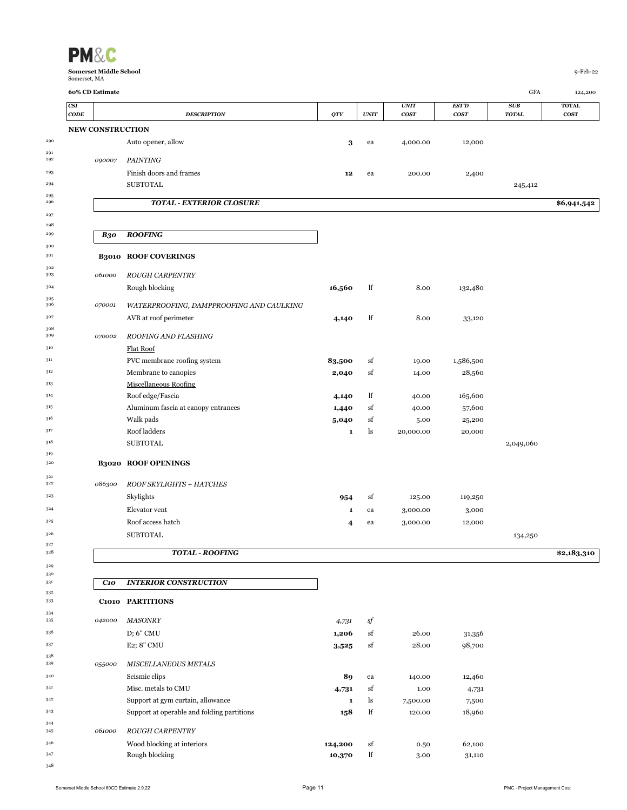| Somerset, MA           |                         |                                            |              |             |             |              |              |                         |
|------------------------|-------------------------|--------------------------------------------|--------------|-------------|-------------|--------------|--------------|-------------------------|
| 60% CD Estimate<br>CSI |                         |                                            |              |             | <b>UNIT</b> | <b>EST'D</b> | GFA<br>SUB   | 124,200<br><b>TOTAL</b> |
| $\mathbf{CODE}$        |                         | <b>DESCRIPTION</b>                         | <b>QTY</b>   | UNIT        | <b>COST</b> | cosr         | <b>TOTAL</b> | <b>COST</b>             |
|                        | <b>NEW CONSTRUCTION</b> |                                            |              |             |             |              |              |                         |
|                        |                         | Auto opener, allow                         | 3            | ea          | 4,000.00    | 12,000       |              |                         |
|                        | 090007                  | <b>PAINTING</b>                            |              |             |             |              |              |                         |
|                        |                         | Finish doors and frames<br><b>SUBTOTAL</b> | 12           | ea          | 200.00      | 2,400        |              |                         |
|                        |                         |                                            |              |             |             |              | 245,412      |                         |
|                        |                         | <b>TOTAL - EXTERIOR CLOSURE</b>            |              |             |             |              |              | \$6,941,542             |
|                        | <b>B30</b>              | <b>ROOFING</b>                             |              |             |             |              |              |                         |
|                        |                         | <b>B3010 ROOF COVERINGS</b>                |              |             |             |              |              |                         |
|                        | 061000                  | <b>ROUGH CARPENTRY</b>                     |              |             |             |              |              |                         |
|                        |                         | Rough blocking                             | 16,560       | lf          | 8.00        | 132,480      |              |                         |
|                        | 070001                  | WATERPROOFING, DAMPPROOFING AND CAULKING   |              |             |             |              |              |                         |
|                        |                         | AVB at roof perimeter                      | 4,140        | lf          | 8.00        | 33,120       |              |                         |
|                        | 070002                  | ROOFING AND FLASHING                       |              |             |             |              |              |                         |
|                        |                         | <b>Flat Roof</b>                           |              |             |             |              |              |                         |
|                        |                         | PVC membrane roofing system                | 83,500       | sf          | 19.00       | 1,586,500    |              |                         |
|                        |                         | Membrane to canopies                       | 2,040        | sf          | 14.00       | 28,560       |              |                         |
|                        |                         | <b>Miscellaneous Roofing</b>               |              |             |             |              |              |                         |
|                        |                         | Roof edge/Fascia                           | 4,140        | lf          | 40.00       | 165,600      |              |                         |
|                        |                         | Aluminum fascia at canopy entrances        | 1,440        | sf          | 40.00       | 57,600       |              |                         |
|                        |                         | Walk pads<br>Roof ladders                  | 5,040        | sf          | 5.00        | 25,200       |              |                         |
|                        |                         | <b>SUBTOTAL</b>                            | $\mathbf{1}$ | ls          | 20,000.00   | 20,000       | 2,049,060    |                         |
|                        |                         |                                            |              |             |             |              |              |                         |
|                        |                         | <b>B3020 ROOF OPENINGS</b>                 |              |             |             |              |              |                         |
|                        | 086300                  | ROOF SKYLIGHTS + HATCHES                   |              |             |             |              |              |                         |
|                        |                         | Skylights                                  | 954          | sf          | 125.00      | 119,250      |              |                         |
|                        |                         | Elevator vent                              | 1            | ea          | 3,000.00    | 3,000        |              |                         |
|                        |                         | Roof access hatch                          | 4            | ea          | 3,000.00    | 12,000       |              |                         |
|                        |                         | <b>SUBTOTAL</b>                            |              |             |             |              | 134,250      |                         |
|                        |                         | <b>TOTAL - ROOFING</b>                     |              |             |             |              |              | \$2,183,310             |
|                        | C10                     | <b>INTERIOR CONSTRUCTION</b>               |              |             |             |              |              |                         |
|                        |                         | C1010 PARTITIONS                           |              |             |             |              |              |                         |
|                        | 042000                  | <b>MASONRY</b>                             | 4,731        | $\sqrt{s}f$ |             |              |              |                         |
|                        |                         | D; 6" CMU                                  | 1,206        | sf          | 26.00       | 31,356       |              |                         |
|                        |                         | E2; 8" CMU                                 | 3,525        | sf          | 28.00       | 98,700       |              |                         |
|                        | 055000                  | MISCELLANEOUS METALS                       |              |             |             |              |              |                         |
|                        |                         | Seismic clips                              | 89           | ea          | 140.00      | 12,460       |              |                         |
|                        |                         | Misc. metals to CMU                        | 4,731        | sf          | 1.00        | 4,731        |              |                         |
|                        |                         | Support at gym curtain, allowance          | $\mathbf{1}$ | ls          | 7,500.00    | 7,500        |              |                         |
|                        |                         | Support at operable and folding partitions | 158          | lf          | 120.00      | 18,960       |              |                         |
|                        | 061000                  | <b>ROUGH CARPENTRY</b>                     |              |             |             |              |              |                         |
|                        |                         | Wood blocking at interiors                 | 124,200      | sf          | 0.50        | 62,100       |              |                         |
|                        |                         | Rough blocking                             | 10,370       | lf          | 3.00        | 31,110       |              |                         |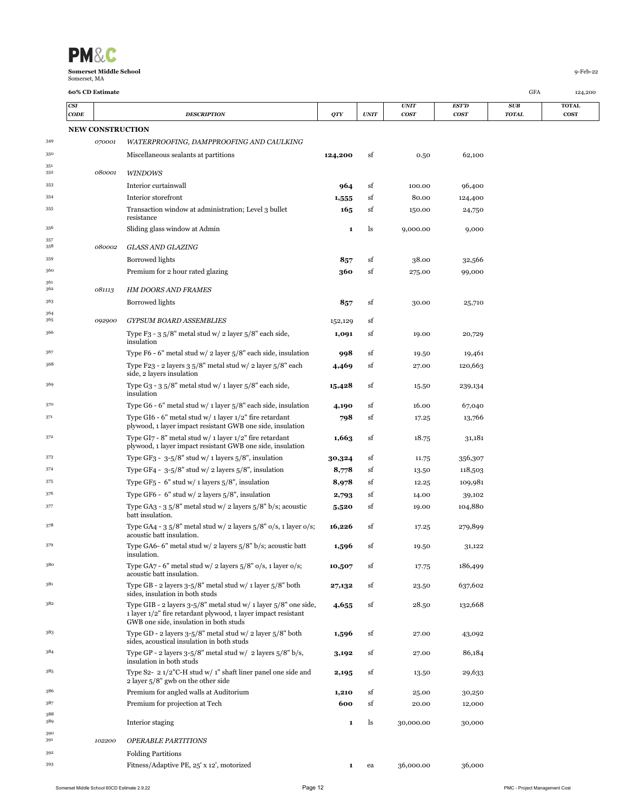

|            | CODE                    | <b>DESCRIPTION</b>                                                                                                                                                        | QTY          | <b>UNIT</b> | <b>COST</b> | <b>COST</b> | <b>TOTAL</b> | <b>COST</b> |
|------------|-------------------------|---------------------------------------------------------------------------------------------------------------------------------------------------------------------------|--------------|-------------|-------------|-------------|--------------|-------------|
|            | <b>NEW CONSTRUCTION</b> |                                                                                                                                                                           |              |             |             |             |              |             |
| 349        | 070001                  | WATERPROOFING, DAMPPROOFING AND CAULKING                                                                                                                                  |              |             |             |             |              |             |
| 350        |                         | Miscellaneous sealants at partitions                                                                                                                                      | 124,200      | sf          | 0.50        | 62,100      |              |             |
| 351<br>352 | 080001                  | <b>WINDOWS</b>                                                                                                                                                            |              |             |             |             |              |             |
| 353        |                         | Interior curtainwall                                                                                                                                                      | 964          | sf          | 100.00      | 96,400      |              |             |
| 354        |                         | Interior storefront                                                                                                                                                       | 1,555        | sf          | 80.00       | 124,400     |              |             |
| 355        |                         | Transaction window at administration; Level 3 bullet<br>resistance                                                                                                        | 165          | sf          | 150.00      | 24,750      |              |             |
| 356        |                         | Sliding glass window at Admin                                                                                                                                             | 1            | ls          | 9,000.00    | 9,000       |              |             |
| 357<br>358 | 080002                  | GLASS AND GLAZING                                                                                                                                                         |              |             |             |             |              |             |
| 359        |                         | <b>Borrowed lights</b>                                                                                                                                                    | 857          | sf          | 38.00       | 32,566      |              |             |
| 360        |                         | Premium for 2 hour rated glazing                                                                                                                                          | 360          | sf          | 275.00      | 99,000      |              |             |
| 361<br>362 | 081113                  | <b>HM DOORS AND FRAMES</b>                                                                                                                                                |              |             |             |             |              |             |
| 363<br>364 |                         | Borrowed lights                                                                                                                                                           | 857          | sf          | 30.00       | 25,710      |              |             |
| 365        | 092900                  | <b>GYPSUM BOARD ASSEMBLIES</b>                                                                                                                                            | 152,129      | sf          |             |             |              |             |
| 366        |                         | Type F <sub>3</sub> - $3.5/8$ " metal stud w/ $2$ layer $5/8$ " each side,<br>insulation                                                                                  | 1,091        | sf          | 19.00       | 20,729      |              |             |
| 367        |                         | Type F6 - 6" metal stud w/ 2 layer $5/8$ " each side, insulation                                                                                                          | 998          | sf          | 19.50       | 19,461      |              |             |
| 368        |                         | Type F23 - 2 layers $35/8$ " metal stud w/ 2 layer $5/8$ " each<br>side, 2 layers insulation                                                                              | 4,469        | sf          | 27.00       | 120,663     |              |             |
| 369        |                         | Type G3 - 3 $5/8$ " metal stud w/ 1 layer $5/8$ " each side,<br>insulation                                                                                                | 15,428       | sf          | 15.50       | 239,134     |              |             |
| 370        |                         | Type G6 - 6" metal stud w/ 1 layer $5/8$ " each side, insulation                                                                                                          | 4,190        | sf          | 16.00       | 67,040      |              |             |
| 371        |                         | Type GI6 - 6" metal stud w/ 1 layer $1/2$ " fire retardant<br>plywood, 1 layer impact resistant GWB one side, insulation                                                  | 798          | sf          | 17.25       | 13,766      |              |             |
| 372        |                         | Type GI7 - 8" metal stud w/ 1 layer $1/2$ " fire retardant<br>plywood, 1 layer impact resistant GWB one side, insulation                                                  | 1,663        | sf          | 18.75       | 31,181      |              |             |
| 373        |                         | Type GF3 - $3-5/8$ " stud w/ 1 layers $5/8$ ", insulation                                                                                                                 | 30,324       | sf          | 11.75       | 356,307     |              |             |
| 374        |                         | Type GF4 - $3-5/8$ " stud w/ 2 layers $5/8$ ", insulation                                                                                                                 | 8,778        | sf          | 13.50       | 118,503     |              |             |
| 375        |                         | Type GF <sub>5</sub> - 6" stud w/ 1 layers $5/8$ ", insulation                                                                                                            | 8,978        | sf          | 12.25       | 109,981     |              |             |
| 376        |                         | Type GF6 - $6"$ stud w/ 2 layers $5/8"$ , insulation                                                                                                                      | 2,793        | sf          | 14.00       | 39,102      |              |             |
| 377        |                         | Type GA3 - 3 $5/8$ " metal stud w/ 2 layers $5/8$ " b/s; acoustic                                                                                                         | 5,520        | sf          | 19.00       | 104,880     |              |             |
| 378        |                         | batt insulation.<br>Type GA4 - 3 $5/8$ " metal stud w/ 2 layers $5/8$ " o/s, 1 layer o/s;<br>acoustic batt insulation.                                                    | 16,226       | sf          | 17.25       | 279,899     |              |             |
| 379        |                         | Type GA6- 6" metal stud w/ 2 layers $5/8$ " b/s; acoustic batt                                                                                                            | 1,596        | sf          | 19.50       | 31,122      |              |             |
| 380        |                         | insulation.<br>Type GA7 - 6" metal stud w/ 2 layers $5/8$ " o/s, 1 layer o/s;                                                                                             | 10,507       | sf          | 17.75       | 186,499     |              |             |
| 381        |                         | acoustic batt insulation.<br>Type GB - 2 layers $3-5/8$ " metal stud w/ 1 layer $5/8$ " both                                                                              | 27,132       | sf          | 23.50       | 637,602     |              |             |
| 382        |                         | sides, insulation in both studs<br>Type GIB - 2 layers $3-5/8$ " metal stud w/ 1 layer $5/8$ " one side,<br>1 layer 1/2" fire retardant plywood, 1 layer impact resistant | 4,655        | sf          | 28.50       | 132,668     |              |             |
| 383        |                         | GWB one side, insulation in both studs<br>Type GD - 2 layers $3-5/8$ " metal stud w/ 2 layer $5/8$ " both                                                                 | 1,596        | sf          | 27.00       | 43,092      |              |             |
| 384        |                         | sides, acoustical insulation in both studs<br>Type GP - 2 layers $3-5/8$ " metal stud w/ 2 layers $5/8$ " b/s,<br>insulation in both studs                                | 3,192        | sf          | 27.00       | 86,184      |              |             |
| 385        |                         | Type S2- $2 \frac{1}{2}$ "C-H stud w/ 1" shaft liner panel one side and<br>2 layer 5/8" gwb on the other side                                                             | 2,195        | sf          | 13.50       | 29,633      |              |             |
| 386        |                         | Premium for angled walls at Auditorium                                                                                                                                    | 1,210        | sf          | 25.00       | 30,250      |              |             |
| 387        |                         | Premium for projection at Tech                                                                                                                                            | 600          | sf          | 20.00       | 12,000      |              |             |
| 388        |                         |                                                                                                                                                                           |              |             |             |             |              |             |
| 389<br>390 |                         | Interior staging                                                                                                                                                          | $\mathbf{1}$ | ls          | 30,000.00   | 30,000      |              |             |
| 391<br>392 | 102200                  | <i><b>OPERABLE PARTITIONS</b></i>                                                                                                                                         |              |             |             |             |              |             |
| 393        |                         | <b>Folding Partitions</b><br>Fitness/Adaptive PE, 25' x 12', motorized                                                                                                    |              | ea          | 36,000.00   | 36,000      |              |             |
|            |                         |                                                                                                                                                                           | 1            |             |             |             |              |             |

*CSI UNIT EST'D SUB* **TOTAL**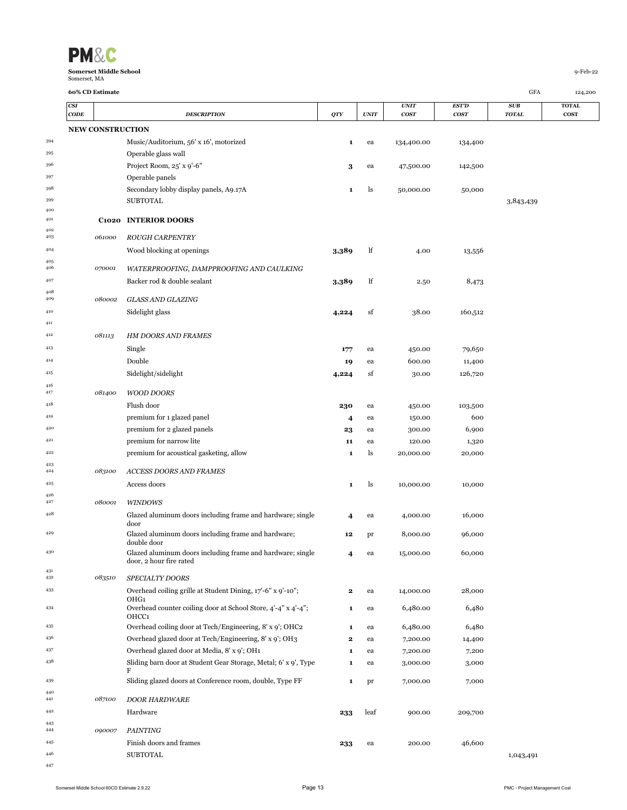| <b>PM&amp;C</b>                               |             |
|-----------------------------------------------|-------------|
| <b>Somerset Middle School</b><br>Somerset, MA | $9$ -Feb-22 |

|            | CODE                    | <b>DESCRIPTION</b>                                                     | QTY   | <b>UNIT</b> | <b>COST</b> | <b>COST</b> | <b>TOTAL</b> | <b>COST</b> |
|------------|-------------------------|------------------------------------------------------------------------|-------|-------------|-------------|-------------|--------------|-------------|
|            | <b>NEW CONSTRUCTION</b> |                                                                        |       |             |             |             |              |             |
| 394        |                         | Music/Auditorium, 56' x 16', motorized                                 | 1     | ea          | 134,400.00  | 134,400     |              |             |
| 395        |                         | Operable glass wall                                                    |       |             |             |             |              |             |
| 396        |                         | Project Room, 25' x 9'-6"                                              | 3     | ea          | 47,500.00   | 142,500     |              |             |
| 397        |                         | Operable panels                                                        |       |             |             |             |              |             |
| 398        |                         | Secondary lobby display panels, A9.17A                                 | 1     | ls          | 50,000.00   | 50,000      |              |             |
| 399        |                         | SUBTOTAL                                                               |       |             |             |             | 3,843,439    |             |
| 400        |                         |                                                                        |       |             |             |             |              |             |
| 401<br>402 |                         | C1020 INTERIOR DOORS                                                   |       |             |             |             |              |             |
| 403        | 061000                  | <b>ROUGH CARPENTRY</b>                                                 |       |             |             |             |              |             |
| 404        |                         | Wood blocking at openings                                              | 3,389 | lf          | 4.00        | 13,556      |              |             |
| 405<br>406 | 070001                  | WATERPROOFING, DAMPPROOFING AND CAULKING                               |       |             |             |             |              |             |
| 407        |                         | Backer rod & double sealant                                            | 3,389 | lf          | 2.50        | 8,473       |              |             |
| 408        |                         |                                                                        |       |             |             |             |              |             |
| 409        | 080002                  | <b>GLASS AND GLAZING</b>                                               |       |             |             |             |              |             |
| 410        |                         | Sidelight glass                                                        | 4,224 | sf          | 38.00       | 160,512     |              |             |
| 411        |                         |                                                                        |       |             |             |             |              |             |
| 412        | 081113                  | <b>HM DOORS AND FRAMES</b>                                             |       |             |             |             |              |             |
| 413        |                         | Single                                                                 | 177   | ea          | 450.00      | 79,650      |              |             |
| 414        |                         | Double                                                                 | 19    | ea          | 600.00      | 11,400      |              |             |
| 415        |                         | Sidelight/sidelight                                                    | 4,224 | sf          | 30.00       | 126,720     |              |             |
| 416<br>417 | 081400                  | <b>WOOD DOORS</b>                                                      |       |             |             |             |              |             |
| $418\,$    |                         | Flush door                                                             | 230   | ea          | 450.00      | 103,500     |              |             |
| 419        |                         | premium for 1 glazed panel                                             | 4     | ea          | 150.00      | 600         |              |             |
| 420        |                         | premium for 2 glazed panels                                            | 23    | ea          | 300.00      | 6,900       |              |             |
| 421        |                         | premium for narrow lite                                                | 11    | ea          | 120.00      | 1,320       |              |             |
| 422        |                         | premium for acoustical gasketing, allow                                | 1     | ls          | 20,000.00   | 20,000      |              |             |
| 423<br>424 | 083100                  | ACCESS DOORS AND FRAMES                                                |       |             |             |             |              |             |
| 425        |                         | Access doors                                                           | 1     | ls          | 10,000.00   | 10,000      |              |             |
| 426        |                         |                                                                        |       |             |             |             |              |             |
| 427        | 080001                  | <b>WINDOWS</b>                                                         |       |             |             |             |              |             |
| 428        |                         | Glazed aluminum doors including frame and hardware; single<br>door     | 4     | ea          | 4,000.00    | 16,000      |              |             |
| 429        |                         | Glazed aluminum doors including frame and hardware;<br>double door     | 12    | pr          | 8,000.00    | 96,000      |              |             |
| 430        |                         | Glazed aluminum doors including frame and hardware; single             | 4     | ea          | 15,000.00   | 60,000      |              |             |
| 431        |                         | door, 2 hour fire rated                                                |       |             |             |             |              |             |
| 432        | 083510                  | SPECIALTY DOORS                                                        |       |             |             |             |              |             |
| 433        |                         | Overhead coiling grille at Student Dining, 17'-6" x 9'-10";<br>OHG1    | 2     | ea          | 14,000.00   | 28,000      |              |             |
| 434        |                         | Overhead counter coiling door at School Store, 4'-4" x 4'-4";<br>OHCC1 | 1     | ea          | 6,480.00    | 6,480       |              |             |
| 435        |                         | Overhead coiling door at Tech/Engineering, 8' x 9'; OHC2               | 1     | ea          | 6,480.00    | 6,480       |              |             |
| 436        |                         | Overhead glazed door at Tech/Engineering, 8' x 9'; OH3                 | 2     | ea          | 7,200.00    | 14,400      |              |             |
| 437        |                         | Overhead glazed door at Media, 8' x 9'; OH1                            | 1     | ea          | 7,200.00    | 7,200       |              |             |
| 438        |                         | Sliding barn door at Student Gear Storage, Metal; 6' x 9', Type        | 1     | ea          | 3,000.00    | 3,000       |              |             |
| 439        |                         | F<br>Sliding glazed doors at Conference room, double, Type FF          | 1     | pr          | 7,000.00    | 7,000       |              |             |
| 440<br>441 | 087100                  | <b>DOOR HARDWARE</b>                                                   |       |             |             |             |              |             |
| 442        |                         | Hardware                                                               | 233   | leaf        | 900.00      | 209,700     |              |             |
| 443        |                         |                                                                        |       |             |             |             |              |             |
| 444        | 090007                  | <b>PAINTING</b>                                                        |       |             |             |             |              |             |
| 445<br>446 |                         | Finish doors and frames<br><b>SUBTOTAL</b>                             | 233   | ea          | 200.00      | 46,600      |              |             |
| 447        |                         |                                                                        |       |             |             |             | 1,043,491    |             |
|            |                         |                                                                        |       |             |             |             |              |             |

*CSI UNIT EST'D SUB* **TOTAL**

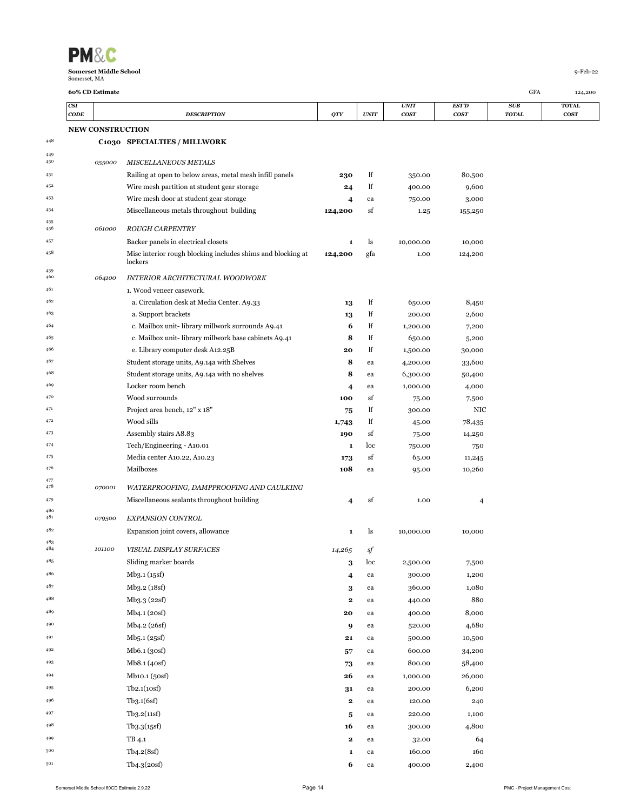| <b>PM&amp;C</b>                               |             |
|-----------------------------------------------|-------------|
| <b>Somerset Middle School</b><br>Somerset, MA | $9$ -Feb-22 |

|            | CSI<br>CODE             |        | <b>DESCRIPTION</b>                                          | QTY                     | <b>UNIT</b> | <i>UNIT</i><br><b>COST</b> | EST'D<br><b>COST</b> | SUB<br><b>TOTAL</b> | <b>TOTAL</b><br><b>COST</b> |
|------------|-------------------------|--------|-------------------------------------------------------------|-------------------------|-------------|----------------------------|----------------------|---------------------|-----------------------------|
|            | <b>NEW CONSTRUCTION</b> |        |                                                             |                         |             |                            |                      |                     |                             |
| 448        |                         |        | C1030 SPECIALTIES / MILLWORK                                |                         |             |                            |                      |                     |                             |
| 449<br>450 |                         | 055000 | <b>MISCELLANEOUS METALS</b>                                 |                         |             |                            |                      |                     |                             |
| 451        |                         |        | Railing at open to below areas, metal mesh infill panels    | 230                     | lf          | 350.00                     | 80,500               |                     |                             |
| 452        |                         |        | Wire mesh partition at student gear storage                 | 24                      | lf          | 400.00                     | 9,600                |                     |                             |
| 453        |                         |        | Wire mesh door at student gear storage                      | 4                       | ea          | 750.00                     | 3,000                |                     |                             |
| 454        |                         |        | Miscellaneous metals throughout building                    | 124,200                 | sf          | 1.25                       | 155,250              |                     |                             |
| 455<br>456 |                         | 061000 | <b>ROUGH CARPENTRY</b>                                      |                         |             |                            |                      |                     |                             |
| 457        |                         |        | Backer panels in electrical closets                         | $\mathbf{1}$            | ls          | 10,000.00                  | 10,000               |                     |                             |
| 458        |                         |        | Misc interior rough blocking includes shims and blocking at | 124,200                 | gfa         | 1.00                       | 124,200              |                     |                             |
| 459        |                         |        | lockers                                                     |                         |             |                            |                      |                     |                             |
| 460        |                         | 064100 | INTERIOR ARCHITECTURAL WOODWORK                             |                         |             |                            |                      |                     |                             |
| 461        |                         |        | 1. Wood veneer casework.                                    |                         |             |                            |                      |                     |                             |
| 462        |                         |        | a. Circulation desk at Media Center. A9.33                  | 13                      | lf          | 650.00                     | 8,450                |                     |                             |
| 463        |                         |        | a. Support brackets                                         | 13                      | lf          | 200.00                     | 2,600                |                     |                             |
| 464        |                         |        | c. Mailbox unit- library millwork surrounds A9.41           | 6                       | lf          | 1,200.00                   | 7,200                |                     |                             |
| 465        |                         |        | c. Mailbox unit-library millwork base cabinets A9.41        | 8                       | lf          | 650.00                     | 5,200                |                     |                             |
| 466        |                         |        | e. Library computer desk A12.25B                            | 20                      | lf          | 1,500.00                   | 30,000               |                     |                             |
| 467        |                         |        | Student storage units, A9.14a with Shelves                  | 8                       | ea          | 4,200.00                   | 33,600               |                     |                             |
| 468        |                         |        | Student storage units, A9.14a with no shelves               | 8                       | ea          | 6,300.00                   | 50,400               |                     |                             |
| 469        |                         |        | Locker room bench                                           | $\overline{\mathbf{4}}$ | ea          | 1,000.00                   | 4,000                |                     |                             |
| 470        |                         |        | Wood surrounds                                              | 100                     | sf          | 75.00                      | 7,500                |                     |                             |
| 471        |                         |        | Project area bench, 12" x 18"                               | 75                      | lf          | 300.00                     | NIC                  |                     |                             |
| 472        |                         |        | Wood sills                                                  | 1,743                   | lf          | 45.00                      | 78,435               |                     |                             |
| 473        |                         |        | Assembly stairs A8.83                                       | 190                     | sf          | 75.00                      | 14,250               |                     |                             |
| 474        |                         |        | Tech/Engineering - A10.01                                   | 1                       | loc         | 750.00                     | 750                  |                     |                             |
| 475        |                         |        | Media center A10.22, A10.23                                 | 173                     | sf          | 65.00                      | 11,245               |                     |                             |
| 476<br>477 |                         |        | Mailboxes                                                   | 108                     | ea          | 95.00                      | 10,260               |                     |                             |
| 478        |                         | 070001 | WATERPROOFING, DAMPPROOFING AND CAULKING                    |                         |             |                            |                      |                     |                             |
| 479        |                         |        | Miscellaneous sealants throughout building                  | 4                       | sf          | 1.00                       | 4                    |                     |                             |
| 480<br>481 |                         | 079500 | <b>EXPANSION CONTROL</b>                                    |                         |             |                            |                      |                     |                             |
| 482        |                         |        | Expansion joint covers, allowance                           | 1                       | ls          | 10,000.00                  | 10,000               |                     |                             |
| 483<br>484 |                         | 101100 | VISUAL DISPLAY SURFACES                                     | 14,265                  | sf          |                            |                      |                     |                             |
| 485        |                         |        | Sliding marker boards                                       | 3                       | loc         | 2,500.00                   | 7,500                |                     |                             |
| 486        |                         |        | Mb <sub>3</sub> .1 (15sf)                                   | 4                       | ea          | 300.00                     | 1,200                |                     |                             |
| 487        |                         |        | Mb <sub>3.2</sub> (18sf)                                    | 3                       | ea          | 360.00                     | 1,080                |                     |                             |
| 488        |                         |        | Mb <sub>3</sub> .3 (22sf)                                   | $\mathbf{2}$            | ea          | 440.00                     | 880                  |                     |                             |
| 489        |                         |        | Mb <sub>4</sub> .1 (20sf)                                   | 20                      | ea          | 400.00                     | 8,000                |                     |                             |
| 490        |                         |        | Mb4.2 (26sf)                                                | 9                       | ea          | 520.00                     | 4,680                |                     |                             |
| 491        |                         |        | Mb5.1 (25sf)                                                | 21                      | ea          | 500.00                     | 10,500               |                     |                             |
| 492        |                         |        | Mb6.1 (30sf)                                                |                         |             | 600.00                     | 34,200               |                     |                             |
| 493        |                         |        |                                                             | 57                      | ea          |                            |                      |                     |                             |
|            |                         |        | Mb8.1 (40sf)                                                | 73                      | ea          | 800.00                     | 58,400               |                     |                             |
| 494        |                         |        | Mb <sub>10.1</sub> (50sf)                                   | 26                      | ea          | 1,000.00                   | 26,000               |                     |                             |
| 495        |                         |        | Tb2.1(10sf)                                                 | 31                      | ea          | 200.00                     | 6,200                |                     |                             |
| 496        |                         |        | Tb3.1(6sf)                                                  | $\mathbf{2}$            | ea          | 120.00                     | 240                  |                     |                             |
| 497        |                         |        | Tb3.2(11sf)                                                 | 5                       | ea          | 220.00                     | 1,100                |                     |                             |
| 498        |                         |        | Tb3.3(15sf)                                                 | 16                      | ea          | 300.00                     | 4,800                |                     |                             |
| 499        |                         |        | TB 4.1                                                      | $\mathbf{2}$            | ea          | 32.00                      | 64                   |                     |                             |
| 500        |                         |        | Tb4.2(8sf)                                                  | 1                       | ea          | 160.00                     | 160                  |                     |                             |
| 501        |                         |        | Tb4.3(20sf)                                                 | 6                       | ea          | 400.00                     | 2,400                |                     |                             |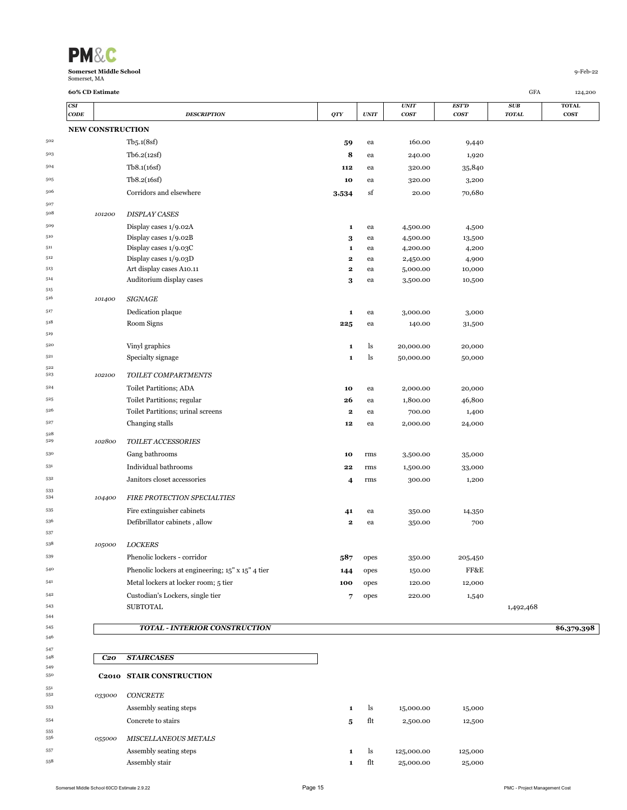

 $519\,$ 

 $\frac{522}{523}$ 

 $\begin{array}{c} 528 \\ 529 \end{array}$ 

 

 $\begin{array}{c} 551 \\ 552 \end{array}$ 

| $\mathbf{CODE}$ | <b>DESCRIPTION</b>                                | QTY       | $\boldsymbol{UNIT}$ | <b>UNIT</b><br>cosr | <b>EST'D</b><br>cosr | SUB<br><b>TOTAL</b> | <b>TOTAL</b><br><b>COST</b> |
|-----------------|---------------------------------------------------|-----------|---------------------|---------------------|----------------------|---------------------|-----------------------------|
|                 | <b>NEW CONSTRUCTION</b>                           |           |                     |                     |                      |                     |                             |
|                 | Tb5.1(8sf)                                        | 59        | ea                  | 160.00              | 9,440                |                     |                             |
|                 | Tb6.2(12sf)                                       | 8         | ea                  | 240.00              | 1,920                |                     |                             |
|                 | Tb8.1(16sf)                                       | 112       | ea                  | 320.00              | 35,840               |                     |                             |
|                 | Tb8.2(16sf)                                       | 10        | ea                  | 320.00              | 3,200                |                     |                             |
|                 | Corridors and elsewhere                           | 3,534     | sf                  | 20.00               | 70,680               |                     |                             |
|                 |                                                   |           |                     |                     |                      |                     |                             |
| 101200          | <b>DISPLAY CASES</b>                              |           |                     |                     |                      |                     |                             |
|                 | Display cases 1/9.02A                             | 1         | ea                  | 4,500.00            | 4,500                |                     |                             |
|                 | Display cases 1/9.02B                             | 3         | ea                  | 4,500.00            | 13,500               |                     |                             |
|                 | Display cases 1/9.03C                             | 1         | ea                  | 4,200.00            | 4,200                |                     |                             |
|                 | Display cases 1/9.03D                             | 2         | ea                  | 2,450.00            | 4,900                |                     |                             |
|                 | Art display cases A10.11                          | $\bf{2}$  | ea                  | 5,000.00            | 10,000               |                     |                             |
|                 | Auditorium display cases                          | 3         | ea                  | 3,500.00            | 10,500               |                     |                             |
| 101400          | <b>SIGNAGE</b>                                    |           |                     |                     |                      |                     |                             |
|                 | Dedication plaque                                 | 1         | ea                  | 3,000.00            | 3,000                |                     |                             |
|                 | Room Signs                                        | $\bf 225$ | ea                  | 140.00              | 31,500               |                     |                             |
|                 |                                                   |           |                     |                     |                      |                     |                             |
|                 | Vinyl graphics                                    | 1         | ls                  | 20,000.00           | 20,000               |                     |                             |
|                 | Specialty signage                                 | 1         | ls                  | 50,000.00           | 50,000               |                     |                             |
| 102100          | TOILET COMPARTMENTS                               |           |                     |                     |                      |                     |                             |
|                 | <b>Toilet Partitions; ADA</b>                     | 10        | ea                  | 2,000.00            | 20,000               |                     |                             |
|                 | Toilet Partitions; regular                        | 26        | ea                  | 1,800.00            | 46,800               |                     |                             |
|                 | Toilet Partitions; urinal screens                 | $\bf{2}$  | ea                  | 700.00              | 1,400                |                     |                             |
|                 | Changing stalls                                   | 12        | ea                  | 2,000.00            | 24,000               |                     |                             |
| 102800          | TOILET ACCESSORIES                                |           |                     |                     |                      |                     |                             |
|                 | Gang bathrooms                                    | 10        | rms                 | 3,500.00            | 35,000               |                     |                             |
|                 | Individual bathrooms                              |           |                     |                     |                      |                     |                             |
|                 |                                                   | 22        | rms                 | 1,500.00            | 33,000               |                     |                             |
|                 | Janitors closet accessories                       | 4         | rms                 | 300.00              | 1,200                |                     |                             |
| 104400          | FIRE PROTECTION SPECIALTIES                       |           |                     |                     |                      |                     |                             |
|                 | Fire extinguisher cabinets                        | 41        | ea                  | 350.00              | 14,350               |                     |                             |
|                 | Defibrillator cabinets, allow                     | $\bf{2}$  | ea                  | 350.00              | 700                  |                     |                             |
|                 |                                                   |           |                     |                     |                      |                     |                             |
| 105000          | <b>LOCKERS</b>                                    |           |                     |                     |                      |                     |                             |
|                 | Phenolic lockers - corridor                       | 587       | opes                | 350.00              | 205,450              |                     |                             |
|                 | Phenolic lockers at engineering; 15" x 15" 4 tier | 144       | opes                | 150.00              | FF&E                 |                     |                             |
|                 | Metal lockers at locker room; 5 tier              | 100       | opes                | 120.00              | 12,000               |                     |                             |
|                 | Custodian's Lockers, single tier                  | 7         | opes                | 220.00              | 1,540                |                     |                             |
|                 | <b>SUBTOTAL</b>                                   |           |                     |                     |                      | 1,492,468           |                             |
|                 |                                                   |           |                     |                     |                      |                     |                             |
|                 | <b>TOTAL - INTERIOR CONSTRUCTION</b>              |           |                     |                     |                      |                     | \$6,379,398                 |

| 548        | C20    | <b>STAIRCASES</b>               |   |                |            |         |
|------------|--------|---------------------------------|---|----------------|------------|---------|
| 549<br>550 |        | <b>C2010 STAIR CONSTRUCTION</b> |   |                |            |         |
| 551<br>552 | 033000 | <b>CONCRETE</b>                 |   |                |            |         |
| 553        |        | Assembly seating steps          | 1 | <sup>1</sup> S | 15,000.00  | 15,000  |
| 554        |        | Concrete to stairs              | 5 | flt            | 2,500.00   | 12,500  |
| 555<br>556 | 055000 | <b>MISCELLANEOUS METALS</b>     |   |                |            |         |
| 557        |        | Assembly seating steps          | 1 | ls.            | 125,000.00 | 125,000 |
| 558        |        | Assembly stair                  | 1 | flt            | 25,000.00  | 25,000  |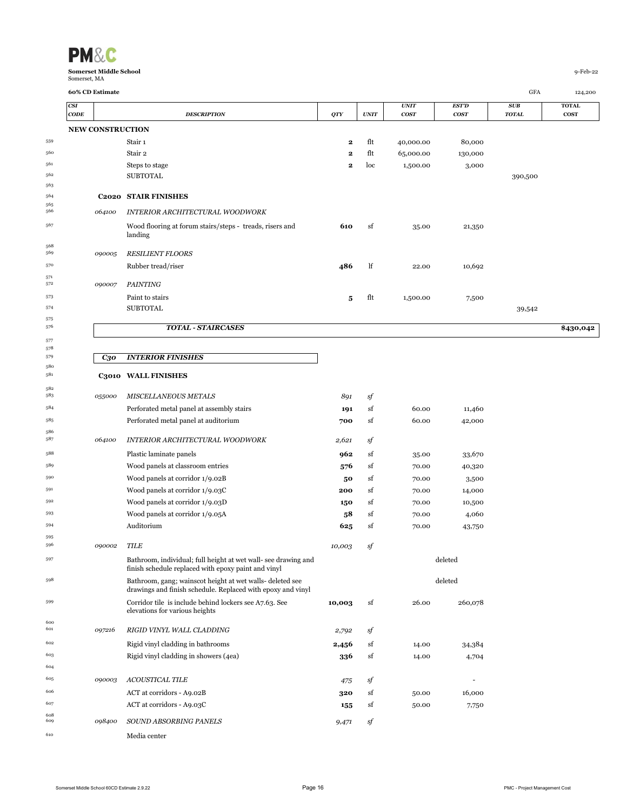| <b>PM&amp;C</b>               |            |
|-------------------------------|------------|
| <b>Somerset Middle School</b> | $9-Feb-22$ |
| Somerset, MA                  |            |

| <b>CSI</b><br>CODE |                         | <b>DESCRIPTION</b>                                                                                                       | <b>QTY</b>  | <b>UNIT</b> | <b>UNIT</b><br>cos <sub>T</sub> | EST'D<br><b>COST</b> | SUB<br><b>TOTAL</b> | <b>TOTAL</b><br><b>COST</b> |
|--------------------|-------------------------|--------------------------------------------------------------------------------------------------------------------------|-------------|-------------|---------------------------------|----------------------|---------------------|-----------------------------|
|                    | <b>NEW CONSTRUCTION</b> |                                                                                                                          |             |             |                                 |                      |                     |                             |
|                    |                         | Stair 1                                                                                                                  | 2           | flt         | 40,000.00                       | 80,000               |                     |                             |
|                    |                         | Stair 2                                                                                                                  | $\mathbf 2$ | flt         | 65,000.00                       | 130,000              |                     |                             |
|                    |                         | Steps to stage                                                                                                           | 2           | loc         | 1,500.00                        | 3,000                |                     |                             |
|                    |                         | <b>SUBTOTAL</b>                                                                                                          |             |             |                                 |                      | 390,500             |                             |
|                    |                         |                                                                                                                          |             |             |                                 |                      |                     |                             |
|                    |                         | <b>C2020 STAIR FINISHES</b>                                                                                              |             |             |                                 |                      |                     |                             |
|                    | 064100                  | INTERIOR ARCHITECTURAL WOODWORK                                                                                          |             |             |                                 |                      |                     |                             |
|                    |                         | Wood flooring at forum stairs/steps - treads, risers and<br>landing                                                      | 610         | sf          | 35.00                           | 21,350               |                     |                             |
|                    | 090005                  | <b>RESILIENT FLOORS</b>                                                                                                  |             |             |                                 |                      |                     |                             |
|                    |                         | Rubber tread/riser                                                                                                       | 486         | lf          | 22.00                           | 10,692               |                     |                             |
|                    | 090007                  | <b>PAINTING</b>                                                                                                          |             |             |                                 |                      |                     |                             |
|                    |                         | Paint to stairs                                                                                                          | 5           | flt         | 1,500.00                        | 7,500                |                     |                             |
|                    |                         | <b>SUBTOTAL</b>                                                                                                          |             |             |                                 |                      | 39,542              |                             |
|                    |                         | <b>TOTAL - STAIRCASES</b>                                                                                                |             |             |                                 |                      |                     | \$430,042                   |
|                    |                         |                                                                                                                          |             |             |                                 |                      |                     |                             |
|                    | С30                     | <b>INTERIOR FINISHES</b>                                                                                                 |             |             |                                 |                      |                     |                             |
|                    |                         | C3010 WALL FINISHES                                                                                                      |             |             |                                 |                      |                     |                             |
|                    | 055000                  | <b>MISCELLANEOUS METALS</b>                                                                                              | 891         | sf          |                                 |                      |                     |                             |
|                    |                         | Perforated metal panel at assembly stairs                                                                                | 191         | sf          | 60.00                           | 11,460               |                     |                             |
|                    |                         | Perforated metal panel at auditorium                                                                                     | 700         | sf          | 60.00                           | 42,000               |                     |                             |
|                    | 064100                  | INTERIOR ARCHITECTURAL WOODWORK                                                                                          | 2,621       | sf          |                                 |                      |                     |                             |
|                    |                         | Plastic laminate panels                                                                                                  | 962         | sf          | 35.00                           | 33,670               |                     |                             |
|                    |                         | Wood panels at classroom entries                                                                                         | 576         | sf          | 70.00                           | 40,320               |                     |                             |
|                    |                         | Wood panels at corridor 1/9.02B                                                                                          | 50          | sf          | 70.00                           | 3,500                |                     |                             |
|                    |                         | Wood panels at corridor 1/9.03C                                                                                          | 200         | sf          | 70.00                           | 14,000               |                     |                             |
|                    |                         | Wood panels at corridor 1/9.03D                                                                                          | 150         | sf          | 70.00                           | 10,500               |                     |                             |
|                    |                         | Wood panels at corridor 1/9.05A                                                                                          | 58          | sf          | 70.00                           | 4,060                |                     |                             |
|                    |                         | Auditorium                                                                                                               | 625         | sf          | 70.00                           | 43,750               |                     |                             |
|                    | 090002                  | <b>TILE</b>                                                                                                              | 10,003      | sf          |                                 |                      |                     |                             |
|                    |                         | Bathroom, individual; full height at wet wall- see drawing and<br>finish schedule replaced with epoxy paint and vinyl    |             |             |                                 | deleted              |                     |                             |
|                    |                         | Bathroom, gang; wainscot height at wet walls- deleted see<br>drawings and finish schedule. Replaced with epoxy and vinyl |             |             |                                 | deleted              |                     |                             |
|                    |                         | Corridor tile is include behind lockers see A7.63. See<br>elevations for various heights                                 | 10,003      | sf          | 26.00                           | 260,078              |                     |                             |
|                    | 097216                  | RIGID VINYL WALL CLADDING                                                                                                | 2,792       | sf          |                                 |                      |                     |                             |
|                    |                         | Rigid vinyl cladding in bathrooms                                                                                        | 2,456       | sf          | 14.00                           | 34,384               |                     |                             |
|                    |                         | Rigid vinyl cladding in showers (4ea)                                                                                    | 336         | sf          | 14.00                           | 4,704                |                     |                             |
|                    |                         |                                                                                                                          |             |             |                                 |                      |                     |                             |
|                    | 090003                  | ACOUSTICAL TILE                                                                                                          | 475         | sf          |                                 | $\overline{a}$       |                     |                             |
|                    |                         | ACT at corridors - A9.02B                                                                                                | 320         | sf          | 50.00                           | 16,000               |                     |                             |
|                    |                         | ACT at corridors - A9.03C                                                                                                | 155         | sf          | 50.00                           | 7,750                |                     |                             |
|                    | 098400                  | SOUND ABSORBING PANELS                                                                                                   | 9,471       | sf          |                                 |                      |                     |                             |
|                    |                         | Media center                                                                                                             |             |             |                                 |                      |                     |                             |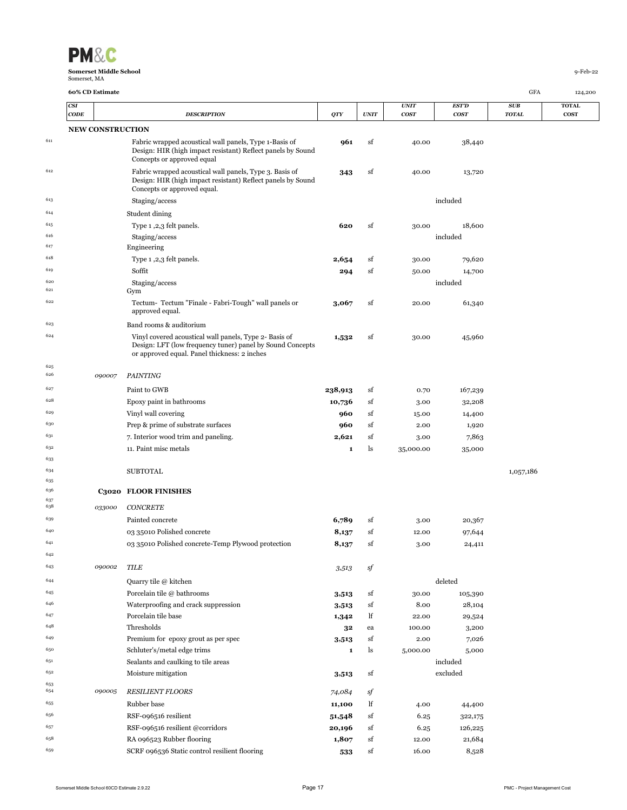

|            |      | 60% CD Estimate         |                                                                                                                                                                     |                |             |               |                  | GFA          | 124,200      |
|------------|------|-------------------------|---------------------------------------------------------------------------------------------------------------------------------------------------------------------|----------------|-------------|---------------|------------------|--------------|--------------|
|            | CSI  |                         |                                                                                                                                                                     |                |             | <b>UNIT</b>   | <b>EST'D</b>     | SUB          | <b>TOTAL</b> |
|            | CODE |                         | <b>DESCRIPTION</b>                                                                                                                                                  | <b>QTY</b>     | <b>UNIT</b> | <b>COST</b>   | cosr             | <b>TOTAL</b> | <b>COST</b>  |
|            |      | <b>NEW CONSTRUCTION</b> |                                                                                                                                                                     |                |             |               |                  |              |              |
| 611        |      |                         | Fabric wrapped acoustical wall panels, Type 1-Basis of<br>Design: HIR (high impact resistant) Reflect panels by Sound<br>Concepts or approved equal                 | 961            | sf          | 40.00         | 38,440           |              |              |
| 612        |      |                         | Fabric wrapped acoustical wall panels, Type 3. Basis of<br>Design: HIR (high impact resistant) Reflect panels by Sound<br>Concepts or approved equal.               | 343            | sf          | 40.00         | 13,720           |              |              |
| 613        |      |                         | Staging/access                                                                                                                                                      |                |             |               | included         |              |              |
| 614        |      |                         | Student dining                                                                                                                                                      |                |             |               |                  |              |              |
| 615        |      |                         | Type 1,2,3 felt panels.                                                                                                                                             | 620            | sf          | 30.00         | 18,600           |              |              |
| 616        |      |                         | Staging/access                                                                                                                                                      |                |             |               | included         |              |              |
| 617        |      |                         | Engineering                                                                                                                                                         |                |             |               |                  |              |              |
| 618        |      |                         | Type 1,2,3 felt panels.                                                                                                                                             | 2,654          | sf          | 30.00         | 79,620           |              |              |
| 619        |      |                         | Soffit                                                                                                                                                              | 294            | sf          | 50.00         | 14,700           |              |              |
| 620<br>621 |      |                         | Staging/access<br>Gym                                                                                                                                               |                |             |               | included         |              |              |
| 622        |      |                         | Tectum-Tectum "Finale - Fabri-Tough" wall panels or<br>approved equal.                                                                                              | 3,067          | sf          | 20.00         | 61,340           |              |              |
| 623        |      |                         | Band rooms & auditorium                                                                                                                                             |                |             |               |                  |              |              |
| 624        |      |                         | Vinyl covered acoustical wall panels, Type 2- Basis of<br>Design: LFT (low frequency tuner) panel by Sound Concepts<br>or approved equal. Panel thickness: 2 inches | 1,532          | sf          | 30.00         | 45,960           |              |              |
| 625<br>626 |      | 090007                  | <b>PAINTING</b>                                                                                                                                                     |                |             |               |                  |              |              |
| 627        |      |                         | Paint to GWB                                                                                                                                                        | 238,913        | sf          | 0.70          | 167,239          |              |              |
| 628        |      |                         | Epoxy paint in bathrooms                                                                                                                                            | 10,736         | sf          | 3.00          | 32,208           |              |              |
| 629        |      |                         | Vinyl wall covering                                                                                                                                                 | 960            | sf          | 15.00         | 14,400           |              |              |
| 630        |      |                         | Prep & prime of substrate surfaces                                                                                                                                  | 960            | sf          | 2.00          | 1,920            |              |              |
| 631        |      |                         | 7. Interior wood trim and paneling.                                                                                                                                 | 2,621          | sf          | 3.00          | 7,863            |              |              |
| 632        |      |                         | 11. Paint misc metals                                                                                                                                               | $\mathbf{1}$   | ls          | 35,000.00     | 35,000           |              |              |
| 633        |      |                         |                                                                                                                                                                     |                |             |               |                  |              |              |
| 634<br>635 |      |                         | <b>SUBTOTAL</b>                                                                                                                                                     |                |             |               |                  | 1,057,186    |              |
| 636        |      |                         | C3020 FLOOR FINISHES                                                                                                                                                |                |             |               |                  |              |              |
| 637<br>638 |      | 033000                  | <b>CONCRETE</b>                                                                                                                                                     |                |             |               |                  |              |              |
| 639        |      |                         |                                                                                                                                                                     |                |             |               |                  |              |              |
| 640        |      |                         | Painted concrete<br>03 35010 Polished concrete                                                                                                                      | 6,789<br>8,137 | sf<br>sf    | 3.00<br>12.00 | 20,367           |              |              |
| 641        |      |                         | 03 35010 Polished concrete-Temp Plywood protection                                                                                                                  | 8,137          | sf          | 3.00          | 97,644<br>24,411 |              |              |
| 642        |      |                         |                                                                                                                                                                     |                |             |               |                  |              |              |
| 643        |      | 090002                  | TILE                                                                                                                                                                | 3,513          | sf          |               |                  |              |              |
| 644        |      |                         | Quarry tile @ kitchen                                                                                                                                               |                |             |               | deleted          |              |              |
| 645        |      |                         | Porcelain tile @ bathrooms                                                                                                                                          | 3,513          | sf          | 30.00         | 105,390          |              |              |
| 646        |      |                         | Waterproofing and crack suppression                                                                                                                                 | 3,513          | sf          | 8.00          | 28,104           |              |              |
| 647        |      |                         | Porcelain tile base                                                                                                                                                 | 1,342          | lf          | 22.00         | 29,524           |              |              |
| 648        |      |                         | Thresholds                                                                                                                                                          | 32             | ea          | 100.00        | 3,200            |              |              |
| 649        |      |                         | Premium for epoxy grout as per spec                                                                                                                                 | 3,513          | sf          | 2.00          | 7,026            |              |              |
| 650        |      |                         | Schluter's/metal edge trims                                                                                                                                         | $\mathbf 1$    | ls          | 5,000.00      | 5,000            |              |              |
| 651        |      |                         | Sealants and caulking to tile areas                                                                                                                                 |                |             |               | included         |              |              |
| 652        |      |                         | Moisture mitigation                                                                                                                                                 | 3,513          | sf          |               | excluded         |              |              |
| 653<br>654 |      | 090005                  | <b>RESILIENT FLOORS</b>                                                                                                                                             | 74,084         | sf          |               |                  |              |              |
| 655        |      |                         | Rubber base                                                                                                                                                         | 11,100         | lf          | 4.00          | 44,400           |              |              |
| 656        |      |                         | RSF-096516 resilient                                                                                                                                                | 51,548         | sf          | 6.25          | 322,175          |              |              |
| 657        |      |                         | RSF-096516 resilient @corridors                                                                                                                                     | 20,196         | sf          | 6.25          | 126,225          |              |              |
| 658        |      |                         | RA 096523 Rubber flooring                                                                                                                                           | 1,807          | sf          | 12.00         | 21,684           |              |              |
| 659        |      |                         | SCRF 096536 Static control resilient flooring                                                                                                                       | 533            | sf          | 16.00         | 8,528            |              |              |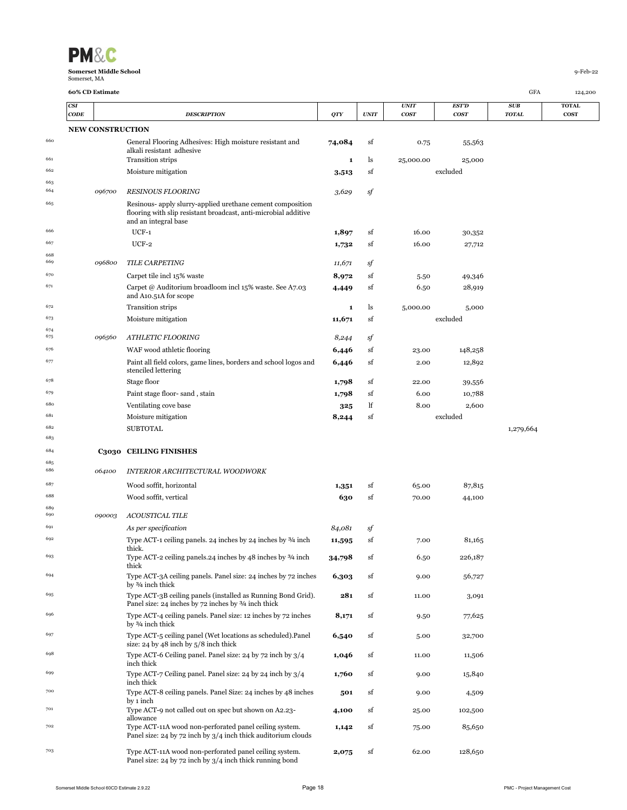| <b>PM&amp;C</b>                               |             |
|-----------------------------------------------|-------------|
| <b>Somerset Middle School</b><br>Somerset, MA | $9$ -Feb-22 |

|            | CSI         |                         |                                                                                                                                                       |            |             | <b>UNIT</b>      | <b>EST'D</b> | SUB          | <b>TOTAL</b> |
|------------|-------------|-------------------------|-------------------------------------------------------------------------------------------------------------------------------------------------------|------------|-------------|------------------|--------------|--------------|--------------|
|            | <b>CODE</b> |                         | <b>DESCRIPTION</b>                                                                                                                                    | <b>QTY</b> | <b>UNIT</b> | cos <sub>T</sub> | <b>COST</b>  | <b>TOTAL</b> | <b>COST</b>  |
|            |             | <b>NEW CONSTRUCTION</b> |                                                                                                                                                       |            |             |                  |              |              |              |
| 660        |             |                         | General Flooring Adhesives: High moisture resistant and<br>alkali resistant adhesive                                                                  | 74,084     | sf          | 0.75             | 55,563       |              |              |
| 661        |             |                         | <b>Transition strips</b>                                                                                                                              | 1          | ls          | 25,000.00        | 25,000       |              |              |
| 662        |             |                         | Moisture mitigation                                                                                                                                   | 3,513      | sf          |                  | excluded     |              |              |
| 663<br>664 |             | 096700                  | <b>RESINOUS FLOORING</b>                                                                                                                              | 3,629      | sf          |                  |              |              |              |
| 665        |             |                         | Resinous- apply slurry-applied urethane cement composition<br>flooring with slip resistant broadcast, anti-microbial additive<br>and an integral base |            |             |                  |              |              |              |
| 666        |             |                         | $UCF-1$                                                                                                                                               | 1,897      | sf          | 16.00            | 30,352       |              |              |
| 667        |             |                         | $UCF-2$                                                                                                                                               | 1,732      | sf          | 16.00            | 27,712       |              |              |
| 668<br>669 |             | 096800                  | TILE CARPETING                                                                                                                                        | 11,671     | sf          |                  |              |              |              |
| 670        |             |                         | Carpet tile incl 15% waste                                                                                                                            | 8,972      | sf          | 5.50             | 49,346       |              |              |
| 671        |             |                         | Carpet @ Auditorium broadloom incl 15% waste. See A7.03<br>and A10.51A for scope                                                                      | 4,449      | sf          | 6.50             | 28,919       |              |              |
| 672        |             |                         | <b>Transition strips</b>                                                                                                                              | 1          | ls          | 5,000.00         | 5,000        |              |              |
| 673        |             |                         | Moisture mitigation                                                                                                                                   | 11,671     | sf          |                  | excluded     |              |              |
| 674<br>675 |             | 096560                  | ATHLETIC FLOORING                                                                                                                                     | 8,244      | sf          |                  |              |              |              |
| 676        |             |                         | WAF wood athletic flooring                                                                                                                            | 6,446      | sf          | 23.00            | 148,258      |              |              |
| 677        |             |                         | Paint all field colors, game lines, borders and school logos and<br>stenciled lettering                                                               | 6,446      | sf          | 2.00             | 12,892       |              |              |
| 678        |             |                         | Stage floor                                                                                                                                           | 1,798      | sf          | 22.00            | 39,556       |              |              |
| 679        |             |                         | Paint stage floor-sand, stain                                                                                                                         | 1,798      | sf          | 6.00             | 10,788       |              |              |
| 680        |             |                         | Ventilating cove base                                                                                                                                 | 325        | lf          | 8.00             | 2,600        |              |              |
| 681        |             |                         | Moisture mitigation                                                                                                                                   | 8,244      | sf          |                  | excluded     |              |              |
| 682        |             |                         | <b>SUBTOTAL</b>                                                                                                                                       |            |             |                  |              | 1,279,664    |              |
| 683        |             |                         |                                                                                                                                                       |            |             |                  |              |              |              |
| 684        |             |                         | C3030 CEILING FINISHES                                                                                                                                |            |             |                  |              |              |              |
| 685<br>686 |             | 064100                  | INTERIOR ARCHITECTURAL WOODWORK                                                                                                                       |            |             |                  |              |              |              |
| 687        |             |                         | Wood soffit, horizontal                                                                                                                               | 1,351      | sf          | 65.00            | 87,815       |              |              |
| 688        |             |                         | Wood soffit, vertical                                                                                                                                 | 630        | sf          | 70.00            | 44,100       |              |              |
| 689<br>690 |             | 090003                  | <b>ACOUSTICAL TILE</b>                                                                                                                                |            |             |                  |              |              |              |
| 691        |             |                         | As per specification                                                                                                                                  | 84,081     | sf          |                  |              |              |              |
| 692        |             |                         | Type ACT-1 ceiling panels. 24 inches by 24 inches by 3/4 inch                                                                                         | 11,595     | sf          | 7.00             | 81,165       |              |              |
| 693        |             |                         | thick.<br>Type ACT-2 ceiling panels. 24 inches by $48$ inches by $3/4$ inch<br>thick                                                                  | 34,798     | sf          | 6.50             | 226,187      |              |              |
| 694        |             |                         | Type ACT-3A ceiling panels. Panel size: 24 inches by 72 inches<br>by 3/4 inch thick                                                                   | 6,303      | sf          | 9.00             | 56,727       |              |              |
| 695        |             |                         | Type ACT-3B ceiling panels (installed as Running Bond Grid).<br>Panel size: 24 inches by 72 inches by 3/4 inch thick                                  | 281        | sf          | 11.00            | 3,091        |              |              |
| 696        |             |                         | Type ACT-4 ceiling panels. Panel size: 12 inches by 72 inches<br>by 3/4 inch thick                                                                    | 8,171      | sf          | 9.50             | 77,625       |              |              |
| 697        |             |                         | Type ACT-5 ceiling panel (Wet locations as scheduled).Panel<br>size: $24$ by $48$ inch by $5/8$ inch thick                                            | 6,540      | sf          | 5.00             | 32,700       |              |              |
| 698        |             |                         | Type ACT-6 Ceiling panel. Panel size: 24 by 72 inch by 3/4<br>inch thick                                                                              | 1,046      | sf          | 11.00            | 11,506       |              |              |
| 699        |             |                         | Type ACT-7 Ceiling panel. Panel size: 24 by 24 inch by 3/4<br>inch thick                                                                              | 1,760      | sf          | 9.00             | 15,840       |              |              |
| 700        |             |                         | Type ACT-8 ceiling panels. Panel Size: 24 inches by 48 inches<br>by 1 inch                                                                            | 501        | sf          | 9.00             | 4,509        |              |              |
| 701        |             |                         | Type ACT-9 not called out on spec but shown on A2.23-<br>allowance                                                                                    | 4,100      | sf          | 25.00            | 102,500      |              |              |
| 702        |             |                         | Type ACT-11A wood non-perforated panel ceiling system.                                                                                                | 1,142      | sf          | 75.00            | 85,650       |              |              |

Panel size: 24 by 72 inch by 3/4 inch thick auditorium clouds

**2,075** sf 62.00 128,650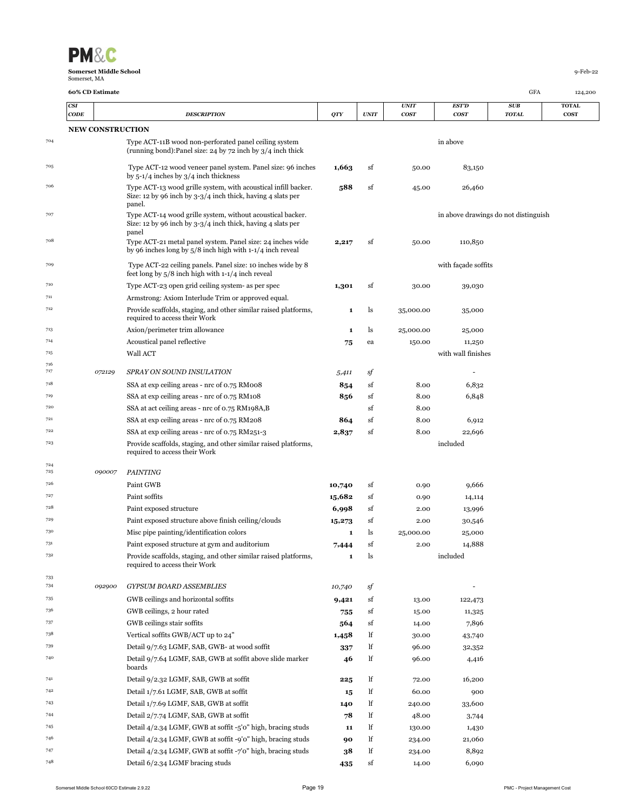

|            | <b>CSI</b><br>$\mathbf{CODE}$ |                         | <b>DESCRIPTION</b>                                                                                                                      | QTY    | UNIT          | <b>UNIT</b><br>cos <sub>T</sub> | <b>EST'D</b><br><b>COST</b> | SUB<br><b>TOTAL</b>                  | <b>TOTAL</b><br><b>COST</b> |
|------------|-------------------------------|-------------------------|-----------------------------------------------------------------------------------------------------------------------------------------|--------|---------------|---------------------------------|-----------------------------|--------------------------------------|-----------------------------|
|            |                               | <b>NEW CONSTRUCTION</b> |                                                                                                                                         |        |               |                                 |                             |                                      |                             |
| 704        |                               |                         | Type ACT-11B wood non-perforated panel ceiling system<br>(running bond): Panel size: 24 by 72 inch by $3/4$ inch thick                  |        |               |                                 | in above                    |                                      |                             |
| 705        |                               |                         | Type ACT-12 wood veneer panel system. Panel size: 96 inches<br>by $5-1/4$ inches by $3/4$ inch thickness                                | 1,663  | sf            | 50.00                           | 83,150                      |                                      |                             |
| 706        |                               |                         | Type ACT-13 wood grille system, with acoustical infill backer.<br>Size: 12 by 96 inch by 3-3/4 inch thick, having 4 slats per<br>panel. | 588    | sf            | 45.00                           | 26,460                      |                                      |                             |
| 707        |                               |                         | Type ACT-14 wood grille system, without acoustical backer.<br>Size: 12 by 96 inch by $3-3/4$ inch thick, having 4 slats per<br>panel    |        |               |                                 |                             | in above drawings do not distinguish |                             |
| 708        |                               |                         | Type ACT-21 metal panel system. Panel size: 24 inches wide<br>by 96 inches long by $5/8$ inch high with $1-1/4$ inch reveal             | 2,217  | sf            | 50.00                           | 110,850                     |                                      |                             |
| 709        |                               |                         | Type ACT-22 ceiling panels. Panel size: 10 inches wide by 8<br>feet long by $5/8$ inch high with $1-1/4$ inch reveal                    |        |               |                                 | with façade soffits         |                                      |                             |
| 710        |                               |                         | Type ACT-23 open grid ceiling system- as per spec                                                                                       | 1,301  | sf            | 30.00                           | 39,030                      |                                      |                             |
| 711        |                               |                         | Armstrong: Axiom Interlude Trim or approved equal.                                                                                      |        |               |                                 |                             |                                      |                             |
| 712        |                               |                         | Provide scaffolds, staging, and other similar raised platforms,<br>required to access their Work                                        | 1      | ls            | 35,000.00                       | 35,000                      |                                      |                             |
| 713        |                               |                         | Axion/perimeter trim allowance                                                                                                          | 1      | ls            | 25,000.00                       | 25,000                      |                                      |                             |
| 714        |                               |                         | Acoustical panel reflective                                                                                                             | 75     | ea            | 150.00                          | 11,250                      |                                      |                             |
| 715        |                               |                         | Wall ACT                                                                                                                                |        |               |                                 | with wall finishes          |                                      |                             |
| 716<br>717 |                               | 072129                  | SPRAY ON SOUND INSULATION                                                                                                               | 5,411  | sf            |                                 |                             |                                      |                             |
| 718        |                               |                         | SSA at exp ceiling areas - nrc of 0.75 RM008                                                                                            | 854    | sf            | 8.00                            | 6,832                       |                                      |                             |
| 719        |                               |                         | SSA at exp ceiling areas - nrc of 0.75 RM108                                                                                            | 856    | sf            | 8.00                            | 6,848                       |                                      |                             |
| 720        |                               |                         | SSA at act ceiling areas - nrc of 0.75 RM198A,B                                                                                         |        | sf            | 8.00                            |                             |                                      |                             |
| 721        |                               |                         | SSA at exp ceiling areas - nrc of 0.75 RM208                                                                                            | 864    | sf            | 8.00                            | 6,912                       |                                      |                             |
| 722        |                               |                         | SSA at exp ceiling areas - nrc of 0.75 RM251-3                                                                                          | 2,837  | sf            | 8.00                            | 22,696                      |                                      |                             |
| 723        |                               |                         | Provide scaffolds, staging, and other similar raised platforms,<br>required to access their Work                                        |        |               |                                 | included                    |                                      |                             |
| 724<br>725 |                               | 090007                  | <b>PAINTING</b>                                                                                                                         |        |               |                                 |                             |                                      |                             |
| 726        |                               |                         | Paint GWB                                                                                                                               | 10,740 | sf            | 0.90                            | 9,666                       |                                      |                             |
| 727        |                               |                         | Paint soffits                                                                                                                           | 15,682 | sf            | 0.90                            | 14,114                      |                                      |                             |
| 728        |                               |                         | Paint exposed structure                                                                                                                 | 6,998  | sf            | 2.00                            | 13,996                      |                                      |                             |
| 729        |                               |                         | Paint exposed structure above finish ceiling/clouds                                                                                     | 15,273 | sf            | 2.00                            | 30,546                      |                                      |                             |
| 730        |                               |                         | Misc pipe painting/identification colors                                                                                                | 1      | ls            | 25,000.00                       | 25,000                      |                                      |                             |
| 731        |                               |                         | Paint exposed structure at gym and auditorium                                                                                           | 7,444  | sf            | 2.00                            | 14,888                      |                                      |                             |
| 732        |                               |                         | Provide scaffolds, staging, and other similar raised platforms,<br>required to access their Work                                        | 1      | <sub>15</sub> |                                 | included                    |                                      |                             |
| 733<br>734 |                               | 092900                  | <b>GYPSUM BOARD ASSEMBLIES</b>                                                                                                          | 10,740 | sf            |                                 |                             |                                      |                             |
| 735        |                               |                         | GWB ceilings and horizontal soffits                                                                                                     | 9,421  | sf            | 13.00                           | 122,473                     |                                      |                             |
| 736        |                               |                         | GWB ceilings, 2 hour rated                                                                                                              | 755    | sf            | 15.00                           | 11,325                      |                                      |                             |
| 737        |                               |                         | GWB ceilings stair soffits                                                                                                              | 564    | sf            | 14.00                           | 7,896                       |                                      |                             |
| 738        |                               |                         | Vertical soffits GWB/ACT up to 24"                                                                                                      | 1,458  | lf            | 30.00                           | 43,740                      |                                      |                             |
| 739        |                               |                         | Detail 9/7.63 LGMF, SAB, GWB- at wood soffit                                                                                            | 337    | lf            | 96.00                           | 32,352                      |                                      |                             |
| 740        |                               |                         | Detail 9/7.64 LGMF, SAB, GWB at soffit above slide marker<br>boards                                                                     | 46     | lf            | 96.00                           | 4,416                       |                                      |                             |
| 741        |                               |                         | Detail 9/2.32 LGMF, SAB, GWB at soffit                                                                                                  | 225    | lf            | 72.00                           | 16,200                      |                                      |                             |
| 742        |                               |                         | Detail 1/7.61 LGMF, SAB, GWB at soffit                                                                                                  | 15     | lf            | 60.00                           | 900                         |                                      |                             |
| 743        |                               |                         | Detail 1/7.69 LGMF, SAB, GWB at soffit                                                                                                  | 140    | lf            | 240.00                          | 33,600                      |                                      |                             |
| 744        |                               |                         | Detail 2/7.74 LGMF, SAB, GWB at soffit                                                                                                  | 78     | lf            | 48.00                           | 3,744                       |                                      |                             |
| 745        |                               |                         | Detail 4/2.34 LGMF, GWB at soffit -5'0" high, bracing studs                                                                             | 11     | lf            | 130.00                          | 1,430                       |                                      |                             |
| 746        |                               |                         | Detail 4/2.34 LGMF, GWB at soffit -9'0" high, bracing studs                                                                             | 90     | lf            | 234.00                          | 21,060                      |                                      |                             |
| 747        |                               |                         | Detail 4/2.34 LGMF, GWB at soffit -7'0" high, bracing studs                                                                             | 38     | lf            | 234.00                          | 8,892                       |                                      |                             |
| 748        |                               |                         | Detail 6/2.34 LGMF bracing studs                                                                                                        | 435    | sf            | 14.00                           | 6,090                       |                                      |                             |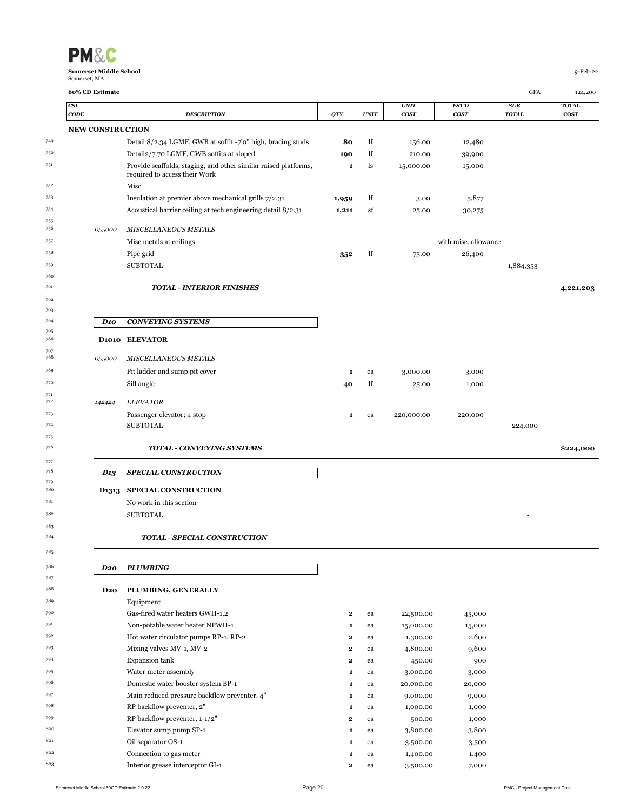| <b>PM&amp;C</b>                               |            |
|-----------------------------------------------|------------|
| <b>Somerset Middle School</b><br>Somerset, MA | $9-Feb-22$ |

755<br>756

 

 $\frac{771}{772}$ 

|                         | 60% CD Estimate                                                 |             |             |                                 |                                  | GFA                        | 124,200                  |
|-------------------------|-----------------------------------------------------------------|-------------|-------------|---------------------------------|----------------------------------|----------------------------|--------------------------|
| CSI<br>$\mathbf{CODE}$  | <b>DESCRIPTION</b>                                              | <b>QTY</b>  | <b>UNIT</b> | <b>UNIT</b><br>cos <sub>T</sub> | <b>EST'D</b><br>cos <sub>T</sub> | <b>SUB</b><br><b>TOTAL</b> | <b>TOTAL</b><br>$\cos r$ |
| <b>NEW CONSTRUCTION</b> |                                                                 |             |             |                                 |                                  |                            |                          |
|                         | Detail 8/2.34 LGMF, GWB at soffit -7'0" high, bracing studs     | 80          | lf          | 156.00                          | 12,480                           |                            |                          |
|                         | Detail2/7.70 LGMF, GWB soffits at sloped                        | 190         | lf          | 210.00                          | 39,900                           |                            |                          |
|                         | Provide scaffolds, staging, and other similar raised platforms, | 1           | ls          | 15,000.00                       | 15,000                           |                            |                          |
|                         | required to access their Work                                   |             |             |                                 |                                  |                            |                          |
|                         | Misc                                                            |             |             |                                 |                                  |                            |                          |
|                         | Insulation at premier above mechanical grills 7/2.31            | 1,959       | lf          | 3.00                            | 5,877                            |                            |                          |
|                         | Acoustical barrier ceiling at tech engineering detail 8/2.31    | 1,211       | sf          | 25.00                           | 30,275                           |                            |                          |
|                         |                                                                 |             |             |                                 |                                  |                            |                          |
| 055000                  | <b>MISCELLANEOUS METALS</b>                                     |             |             |                                 |                                  |                            |                          |
|                         | Misc metals at ceilings                                         |             |             |                                 | with misc. allowance             |                            |                          |
|                         | Pipe grid                                                       | 352         | lf          | 75.00                           | 26,400                           |                            |                          |
|                         | <b>SUBTOTAL</b>                                                 |             |             |                                 |                                  | 1,884,353                  |                          |
|                         | <b>TOTAL - INTERIOR FINISHES</b>                                |             |             |                                 |                                  |                            | 4,221,203                |
|                         |                                                                 |             |             |                                 |                                  |                            |                          |
| D <sub>10</sub>         | <b>CONVEYING SYSTEMS</b>                                        |             |             |                                 |                                  |                            |                          |
|                         | D1010 ELEVATOR                                                  |             |             |                                 |                                  |                            |                          |
| 055000                  | MISCELLANEOUS METALS                                            |             |             |                                 |                                  |                            |                          |
|                         | Pit ladder and sump pit cover                                   | 1           | ea          | 3,000.00                        | 3,000                            |                            |                          |
|                         | Sill angle                                                      | 40          | lf          | 25.00                           | 1,000                            |                            |                          |
|                         |                                                                 |             |             |                                 |                                  |                            |                          |
| 142424                  | <b>ELEVATOR</b>                                                 |             |             |                                 |                                  |                            |                          |
|                         | Passenger elevator; 4 stop                                      | 1           | ea          | 220,000.00                      | 220,000                          |                            |                          |
|                         | <b>SUBTOTAL</b>                                                 |             |             |                                 |                                  | 224,000                    |                          |
|                         | TOTAL - CONVEYING SYSTEMS                                       |             |             |                                 |                                  |                            | \$224,000                |
| D13                     | SPECIAL CONSTRUCTION                                            |             |             |                                 |                                  |                            |                          |
|                         |                                                                 |             |             |                                 |                                  |                            |                          |
|                         | D1313 SPECIAL CONSTRUCTION                                      |             |             |                                 |                                  |                            |                          |
|                         | No work in this section                                         |             |             |                                 |                                  |                            |                          |
|                         | <b>SUBTOTAL</b>                                                 |             |             |                                 |                                  |                            |                          |
|                         | <b>TOTAL - SPECIAL CONSTRUCTION</b>                             |             |             |                                 |                                  |                            |                          |
|                         |                                                                 |             |             |                                 |                                  |                            |                          |
| D <sub>20</sub>         | <b>PLUMBING</b>                                                 |             |             |                                 |                                  |                            |                          |
|                         | PLUMBING, GENERALLY                                             |             |             |                                 |                                  |                            |                          |
| D <sub>20</sub>         |                                                                 |             |             |                                 |                                  |                            |                          |
|                         | Equipment                                                       |             |             |                                 |                                  |                            |                          |
|                         | Gas-fired water heaters GWH-1,2                                 | $\mathbf 2$ | ea          | 22,500.00                       | 45,000                           |                            |                          |
|                         | Non-potable water heater NPWH-1                                 | 1           | ea          | 15,000.00                       | 15,000                           |                            |                          |
|                         | Hot water circulator pumps RP-1. RP-2                           | 2           | ea          | 1,300.00                        | 2,600                            |                            |                          |
|                         | Mixing valves MV-1, MV-2                                        | 2           | ea          | 4,800.00                        | 9,600                            |                            |                          |
|                         | <b>Expansion</b> tank                                           | $\bf{2}$    | ea          | 450.00                          | 900                              |                            |                          |
|                         | Water meter assembly                                            | 1           | ea          | 3,000.00                        | 3,000                            |                            |                          |
|                         | Domestic water booster system BP-1                              | 1           | ea          | 20,000.00                       | 20,000                           |                            |                          |
|                         | Main reduced pressure backflow preventer. 4"                    | 1           | ea          | 9,000.00                        | 9,000                            |                            |                          |
|                         | RP backflow preventer, 2"                                       | 1           | ea          | 1,000.00                        | 1,000                            |                            |                          |
|                         | RP backflow preventer, $1-1/2$ "                                | $\bf{2}$    | ea          | 500.00                          | 1,000                            |                            |                          |
|                         | Elevator sump pump SP-1<br>Oil separator OS-1                   | 1<br>1      | ea<br>ea    | 3,800.00<br>3,500.00            | 3,800<br>3,500                   |                            |                          |

220000 Interior grease interceptor GI-1 **2** ea 3,500.00 7,000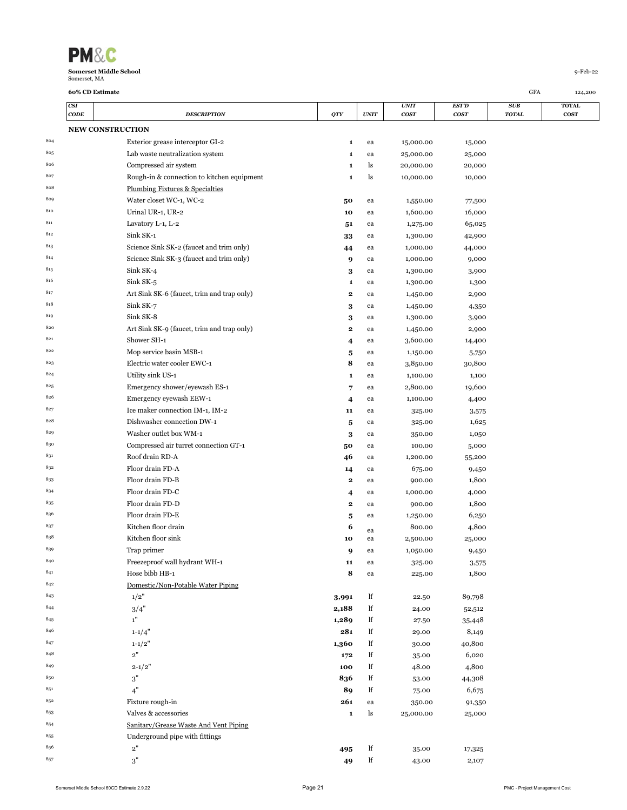| <b>PM&amp;C</b>               |             |
|-------------------------------|-------------|
| <b>Somerset Middle School</b> | $q$ -Feb-22 |
| Somerset, MA                  |             |

|     | CSI<br>CODE | <b>DESCRIPTION</b>                         | QTY          | <b>UNIT</b> | <i>UNIT</i><br><b>COST</b> | EST'D<br><b>COST</b> | SUB<br><b>TOTAL</b> | <b>TOTAL</b><br><b>COST</b> |
|-----|-------------|--------------------------------------------|--------------|-------------|----------------------------|----------------------|---------------------|-----------------------------|
|     |             | <b>NEW CONSTRUCTION</b>                    |              |             |                            |                      |                     |                             |
| 804 |             | Exterior grease interceptor GI-2           | $\mathbf{1}$ | ea          | 15,000.00                  | 15,000               |                     |                             |
| 805 |             | Lab waste neutralization system            | $\mathbf{1}$ | ea          | 25,000.00                  | 25,000               |                     |                             |
| 806 |             | Compressed air system                      | 1            | ls          | 20,000.00                  | 20,000               |                     |                             |
| 807 |             | Rough-in & connection to kitchen equipment | $\mathbf{1}$ | ls          | 10,000.00                  | 10,000               |                     |                             |
| 808 |             | <b>Plumbing Fixtures &amp; Specialties</b> |              |             |                            |                      |                     |                             |
| 809 |             | Water closet WC-1, WC-2                    | 50           | ea          | 1,550.00                   | 77,500               |                     |                             |
| 810 |             | Urinal UR-1, UR-2                          | 10           | ea          | 1,600.00                   | 16,000               |                     |                             |
| 811 |             | Lavatory L-1, L-2                          | 51           | ea          | 1,275.00                   | 65,025               |                     |                             |
| 812 |             | Sink SK-1                                  | 33           | ea          | 1,300.00                   | 42,900               |                     |                             |
| 813 |             | Science Sink SK-2 (faucet and trim only)   | 44           | ea          | 1,000.00                   | 44,000               |                     |                             |
| 814 |             | Science Sink SK-3 (faucet and trim only)   | 9            | ea          | 1,000.00                   | 9,000                |                     |                             |
| 815 |             | Sink SK-4                                  | 3            | ea          | 1,300.00                   | 3,900                |                     |                             |
| 816 |             | Sink SK-5                                  | 1            | ea          | 1,300.00                   | 1,300                |                     |                             |
| 817 |             | Art Sink SK-6 (faucet, trim and trap only) | 2            | ea          | 1,450.00                   | 2,900                |                     |                             |
| 818 |             | Sink SK-7                                  | 3            | ea          | 1,450.00                   | 4,350                |                     |                             |
| 819 |             | Sink SK-8                                  | 3            | ea          | 1,300.00                   | 3,900                |                     |                             |
| 820 |             | Art Sink SK-9 (faucet, trim and trap only) | 2            | ea          | 1,450.00                   | 2,900                |                     |                             |
| 821 |             | Shower SH-1                                | 4            | ea          | 3,600.00                   | 14,400               |                     |                             |
| 822 |             | Mop service basin MSB-1                    | 5            | ea          | 1,150.00                   | 5,750                |                     |                             |
| 823 |             | Electric water cooler EWC-1                | 8            | ea          | 3,850.00                   | 30,800               |                     |                             |
| 824 |             | Utility sink US-1                          | $\mathbf{1}$ | ea          | 1,100.00                   | 1,100                |                     |                             |
| 825 |             | Emergency shower/eyewash ES-1              | 7            | ea          | 2,800.00                   | 19,600               |                     |                             |
| 826 |             | Emergency eyewash EEW-1                    | 4            | ea          | 1,100.00                   | 4,400                |                     |                             |
| 827 |             | Ice maker connection IM-1, IM-2            | 11           | ea          | 325.00                     | 3,575                |                     |                             |
| 828 |             | Dishwasher connection DW-1                 | 5            | ea          | 325.00                     | 1,625                |                     |                             |
| 829 |             | Washer outlet box WM-1                     | 3            | ea          | 350.00                     | 1,050                |                     |                             |
| 830 |             | Compressed air turret connection GT-1      | 50           | ea          | 100.00                     | 5,000                |                     |                             |
| 831 |             | Roof drain RD-A                            | 46           | ea          | 1,200.00                   | 55,200               |                     |                             |
| 832 |             | Floor drain FD-A                           | 14           | ea          | 675.00                     | 9,450                |                     |                             |
| 833 |             | Floor drain FD-B                           | 2            | ea          | 900.00                     | 1,800                |                     |                             |
| 834 |             | Floor drain FD-C                           | 4            | ea          | 1,000.00                   | 4,000                |                     |                             |
| 835 |             | Floor drain FD-D                           | 2            | ea          | 900.00                     | 1,800                |                     |                             |
| 836 |             | Floor drain FD-E                           | 5            | ea          | 1,250.00                   | 6,250                |                     |                             |
| 837 |             | Kitchen floor drain                        | 6            | ea          | 800.00                     | 4,800                |                     |                             |
| 838 |             | Kitchen floor sink                         | 10           | ea          | 2,500.00                   | 25,000               |                     |                             |
| 839 |             | Trap primer                                | 9            | ea          | 1,050.00                   | 9,450                |                     |                             |
| 840 |             | Freezeproof wall hydrant WH-1              | 11           | ea          | 325.00                     | 3,575                |                     |                             |
| 841 |             | Hose bibb HB-1                             | 8            | ea          | 225.00                     | 1,800                |                     |                             |
| 842 |             | Domestic/Non-Potable Water Piping          |              |             |                            |                      |                     |                             |
| 843 |             | 1/2"                                       | 3,991        | lf          | 22.50                      | 89,798               |                     |                             |
| 844 |             | 3/4"                                       | 2,188        | lf          | 24.00                      | 52,512               |                     |                             |
| 845 |             | $1\mathrm{"}$                              | 1,289        | lf          | 27.50                      | 35,448               |                     |                             |
| 846 |             | $1 - 1/4"$                                 | 281          | lf          | 29.00                      | 8,149                |                     |                             |
| 847 |             | $1 - 1/2"$                                 | 1,360        | lf          | 30.00                      | 40,800               |                     |                             |
| 848 |             | 2"                                         | 172          | lf          | 35.00                      | 6,020                |                     |                             |
| 849 |             | $2 - 1/2"$                                 | 100          | lf          | 48.00                      | 4,800                |                     |                             |
| 850 |             | 3"                                         | 836          | lf          | 53.00                      | 44,308               |                     |                             |
| 851 |             | 4"                                         | 89           | lf          | 75.00                      | 6,675                |                     |                             |
| 852 |             | Fixture rough-in                           | 261          | ea          | 350.00                     | 91,350               |                     |                             |
| 853 |             | Valves & accessories                       | $\mathbf 1$  | ls          | 25,000.00                  | 25,000               |                     |                             |
| 854 |             | Sanitary/Grease Waste And Vent Piping      |              |             |                            |                      |                     |                             |
| 855 |             | Underground pipe with fittings             |              |             |                            |                      |                     |                             |
| 856 |             | $\mathbf{2}^{\prime\prime}$                | 495          | lf          | 35.00                      | 17,325               |                     |                             |
| 857 |             | $\mathbf{3}^{"}$                           | 49           | lf          | 43.00                      | 2,107                |                     |                             |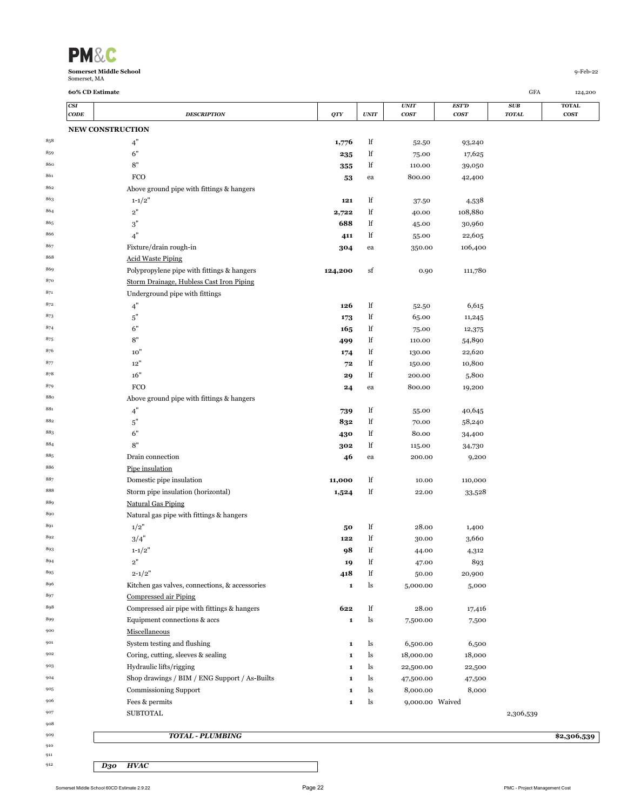

|         | CSI  |                                                |             |             | <i><b>UNIT</b></i> | EST'D            | SUB          | <b>TOTAL</b> |
|---------|------|------------------------------------------------|-------------|-------------|--------------------|------------------|--------------|--------------|
|         | CODE | <b>DESCRIPTION</b>                             | QTY         | <b>UNIT</b> | cosr               | cos <sub>T</sub> | <b>TOTAL</b> | $\cos r$     |
|         |      | <b>NEW CONSTRUCTION</b>                        |             |             |                    |                  |              |              |
| 858     |      | 4"                                             | 1,776       | lf          | 52.50              | 93,240           |              |              |
| 859     |      | 6"                                             | 235         | lf          | 75.00              | 17,625           |              |              |
| 860     |      | 8"                                             | 355         | lf          | 110.00             | 39,050           |              |              |
| 861     |      | <b>FCO</b>                                     |             |             | 800.00             | 42,400           |              |              |
| 862     |      |                                                | 53          | ea          |                    |                  |              |              |
|         |      | Above ground pipe with fittings & hangers      |             |             |                    |                  |              |              |
| 863     |      | $1 - 1/2"$                                     | 121         | lf          | 37.50              | 4,538            |              |              |
| 864     |      | $\mathbf{2}^{\prime\prime}$                    | 2,722       | lf          | 40.00              | 108,880          |              |              |
| 865     |      | 3"                                             | 688         | lf          | 45.00              | 30,960           |              |              |
| 866     |      | 4"                                             | 411         | lf          | 55.00              | 22,605           |              |              |
| 867     |      | Fixture/drain rough-in                         | 304         | ea          | 350.00             | 106,400          |              |              |
| 868     |      | <b>Acid Waste Piping</b>                       |             |             |                    |                  |              |              |
| 869     |      | Polypropylene pipe with fittings & hangers     | 124,200     | sf          | 0.90               | 111,780          |              |              |
| 870     |      | Storm Drainage, Hubless Cast Iron Piping       |             |             |                    |                  |              |              |
| 871     |      | Underground pipe with fittings                 |             |             |                    |                  |              |              |
| 872     |      | 4"                                             | 126         | lf          | 52.50              | 6,615            |              |              |
| 873     |      | $5"$                                           | 173         | lf          | 65.00              | 11,245           |              |              |
| 874     |      | 6"                                             | 165         | lf          | 75.00              | 12,375           |              |              |
| 875     |      | 8"                                             | 499         | lf          | 110.00             | 54,890           |              |              |
| 876     |      | 10"                                            | 174         | lf          | 130.00             | 22,620           |              |              |
| 877     |      | 12"                                            | 72          | lf          | 150.00             | 10,800           |              |              |
| 878     |      | 16"                                            | 29          | lf          | 200.00             | 5,800            |              |              |
| 879     |      | <b>FCO</b>                                     |             |             | 800.00             | 19,200           |              |              |
| 880     |      | Above ground pipe with fittings & hangers      | 24          | ea          |                    |                  |              |              |
| $881\,$ |      |                                                |             |             |                    |                  |              |              |
| 882     |      | 4"                                             | 739         | lf          | 55.00              | 40,645           |              |              |
|         |      | $5"$                                           | 832         | lf          | 70.00              | 58,240           |              |              |
| 883     |      | 6"                                             | 430         | lf          | 80.00              | 34,400           |              |              |
| 884     |      | 8"                                             | 302         | lf          | 115.00             | 34,730           |              |              |
| 885     |      | Drain connection                               | 46          | ea          | 200.00             | 9,200            |              |              |
| 886     |      | Pipe insulation                                |             |             |                    |                  |              |              |
| 887     |      | Domestic pipe insulation                       | 11,000      | lf          | 10.00              | 110,000          |              |              |
| 888     |      | Storm pipe insulation (horizontal)             | 1,524       | lf          | 22.00              | 33,528           |              |              |
| 889     |      | <b>Natural Gas Piping</b>                      |             |             |                    |                  |              |              |
| 890     |      | Natural gas pipe with fittings & hangers       |             |             |                    |                  |              |              |
| 891     |      | 1/2"                                           | 50          | lf          | 28.00              | 1,400            |              |              |
| 892     |      | 3/4"                                           | 122         | lf          | 30.00              | 3,660            |              |              |
| 893     |      | $1 - 1/2"$                                     | 98          | lf          | 44.00              | 4,312            |              |              |
| 894     |      | 2"                                             | 19          | lf          | 47.00              | 893              |              |              |
| 895     |      | $2 - 1/2"$                                     | 418         | lf          | 50.00              | 20,900           |              |              |
| 896     |      | Kitchen gas valves, connections, & accessories | 1           | ls          | 5,000.00           | 5,000            |              |              |
| 897     |      | Compressed air Piping                          |             |             |                    |                  |              |              |
| 898     |      | Compressed air pipe with fittings & hangers    | 622         | $_{\rm lf}$ | 28.00              | 17,416           |              |              |
| 899     |      | Equipment connections & accs                   | $\mathbf 1$ | ls          | 7,500.00           | 7,500            |              |              |
| 900     |      | Miscellaneous                                  |             |             |                    |                  |              |              |
| 901     |      | System testing and flushing                    |             |             |                    |                  |              |              |
| 902     |      |                                                | 1           | ls          | 6,500.00           | 6,500            |              |              |
|         |      | Coring, cutting, sleeves & sealing             | 1           | ls          | 18,000.00          | 18,000           |              |              |
| 903     |      | Hydraulic lifts/rigging                        | 1           | ls          | 22,500.00          | 22,500           |              |              |
| 904     |      | Shop drawings / BIM / ENG Support / As-Builts  | 1           | ls          | 47,500.00          | 47,500           |              |              |
| 905     |      | Commissioning Support                          | 1           | ls          | 8,000.00           | 8,000            |              |              |
| 906     |      | Fees & permits                                 | 1           | ls          | 9,000.00 Waived    |                  |              |              |
| 907     |      | <b>SUBTOTAL</b>                                |             |             |                    |                  | 2,306,539    |              |
| 908     |      |                                                |             |             |                    |                  |              |              |
| 909     |      | TOTAL - PLUMBING                               |             |             |                    |                  |              | \$2,306,539  |
| 910     |      |                                                |             |             |                    |                  |              |              |

*D30 HVAC*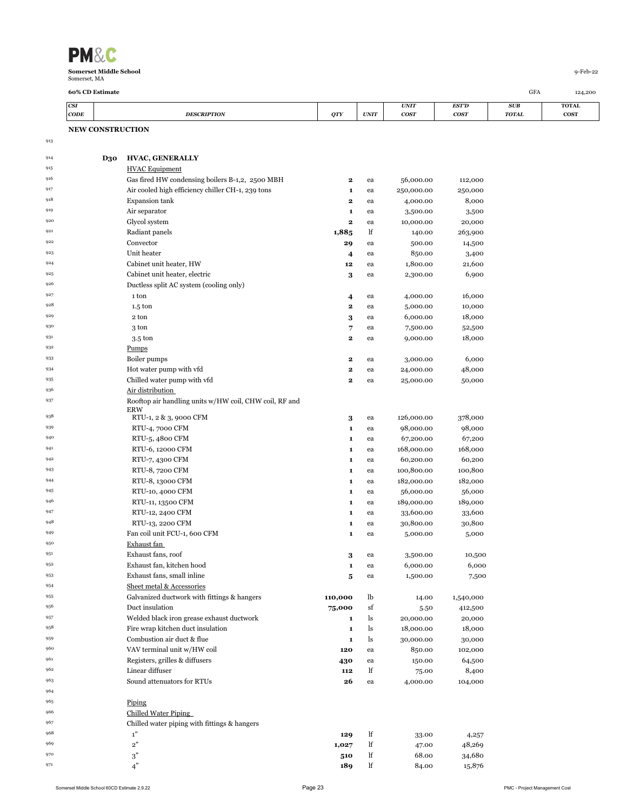| <b>PM&amp;C</b>               |          |
|-------------------------------|----------|
| <b>Somerset Middle School</b> | q-Feb-22 |
| Somerset, MA                  |          |

**NEW CONSTRUCTION** 

**60% CD Estimate** GFA 124,200

| <b>CSI</b>  |                    |            |             | <b>UNIT</b> | ECTID | <b>SUB</b>   | TOTAL       |
|-------------|--------------------|------------|-------------|-------------|-------|--------------|-------------|
| <b>CODE</b> | <b>DESCRIPTION</b> | <b>OTY</b> | <b>UNIT</b> | <b>COST</b> | cost  | <b>TOTAL</b> | <b>COST</b> |

| 914 | <b>D30</b> | <b>HVAC, GENERALLY</b>                                 |              |    |            |           |
|-----|------------|--------------------------------------------------------|--------------|----|------------|-----------|
| 915 |            | <b>HVAC Equipment</b>                                  |              |    |            |           |
| 916 |            | Gas fired HW condensing boilers B-1,2, 2500 MBH        | $\mathbf{2}$ | ea | 56,000.00  | 112,000   |
| 917 |            | Air cooled high efficiency chiller CH-1, 239 tons      | 1            | ea | 250,000.00 | 250,000   |
| 918 |            | <b>Expansion tank</b>                                  | 2            | ea | 4,000.00   | 8,000     |
| 919 |            | Air separator                                          | 1            | ea | 3,500.00   | 3,500     |
| 920 |            | Glycol system                                          | $\mathbf{2}$ | ea | 10,000.00  | 20,000    |
| 921 |            | Radiant panels                                         | 1,885        | lf | 140.00     | 263,900   |
| 922 |            | Convector                                              | 29           | ea | 500.00     | 14,500    |
| 923 |            | Unit heater                                            | 4            | ea | 850.00     | 3,400     |
| 924 |            | Cabinet unit heater, HW                                | 12           | ea | 1,800.00   | 21,600    |
| 925 |            | Cabinet unit heater, electric                          | 3            | ea | 2,300.00   | 6,900     |
| 926 |            | Ductless split AC system (cooling only)                |              |    |            |           |
| 927 |            | 1 ton                                                  | 4            | ea | 4,000.00   | 16,000    |
| 928 |            | $1.5 \text{ ton}$                                      | $\mathbf 2$  | ea | 5,000.00   | 10,000    |
| 929 |            | 2 ton                                                  | 3            | ea | 6,000.00   | 18,000    |
| 930 |            | 3 ton                                                  | 7            | ea | 7,500.00   | 52,500    |
| 931 |            | 3.5 ton                                                | $\mathbf 2$  | ea | 9,000.00   | 18,000    |
| 932 |            | Pumps                                                  |              |    |            |           |
| 933 |            | Boiler pumps                                           | 2            | ea | 3,000.00   | 6,000     |
| 934 |            | Hot water pump with vfd                                | 2            | ea | 24,000.00  | 48,000    |
| 935 |            | Chilled water pump with vfd                            | $\mathbf 2$  | ea | 25,000.00  | 50,000    |
| 936 |            | Air distribution                                       |              |    |            |           |
| 937 |            | Rooftop air handling units w/HW coil, CHW coil, RF and |              |    |            |           |
|     |            | <b>ERW</b>                                             |              |    |            |           |
| 938 |            | RTU-1, 2 & 3, 9000 CFM                                 | 3            | ea | 126,000.00 | 378,000   |
| 939 |            | RTU-4, 7000 CFM                                        | $\mathbf{1}$ | ea | 98,000.00  | 98,000    |
| 940 |            | RTU-5, 4800 CFM                                        | 1            | ea | 67,200.00  | 67,200    |
| 941 |            | RTU-6, 12000 CFM                                       | 1            | ea | 168,000.00 | 168,000   |
| 942 |            | RTU-7, 4300 CFM                                        | 1            | ea | 60,200.00  | 60,200    |
| 943 |            | RTU-8, 7200 CFM                                        | 1            | ea | 100,800.00 | 100,800   |
| 944 |            | RTU-8, 13000 CFM                                       | 1            | ea | 182,000.00 | 182,000   |
| 945 |            | RTU-10, 4000 CFM                                       | 1            | ea | 56,000.00  | 56,000    |
| 946 |            | RTU-11, 13500 CFM                                      | 1            | ea | 189,000.00 | 189,000   |
| 947 |            | RTU-12, 2400 CFM                                       | 1            | ea | 33,600.00  | 33,600    |
| 948 |            | RTU-13, 2200 CFM                                       | 1            | ea | 30,800.00  | 30,800    |
| 949 |            | Fan coil unit FCU-1, 600 CFM                           | 1            | ea | 5,000.00   | 5,000     |
| 950 |            | Exhaust fan                                            |              |    |            |           |
| 951 |            | Exhaust fans, roof                                     | 3            | ea | 3,500.00   | 10,500    |
| 952 |            | Exhaust fan, kitchen hood                              | 1            | ea | 6,000.00   | 6,000     |
| 953 |            | Exhaust fans, small inline                             | 5            | ea | 1,500.00   | 7,500     |
| 954 |            | Sheet metal & Accessories                              |              |    |            |           |
| 955 |            | Galvanized ductwork with fittings & hangers            | 110,000      | lb | 14.00      | 1,540,000 |
| 956 |            | Duct insulation                                        | 75,000       | sf | 5.50       | 412,500   |
| 957 |            | Welded black iron grease exhaust ductwork              | 1            | ls | 20,000.00  | 20,000    |
| 958 |            | Fire wrap kitchen duct insulation                      | 1            | ls | 18,000.00  | 18,000    |
| 959 |            | Combustion air duct & flue                             | 1            | ls | 30,000.00  | 30,000    |
| 960 |            | VAV terminal unit w/HW coil                            | 120          | ea | 850.00     | 102,000   |
| 961 |            | Registers, grilles & diffusers                         | 430          | ea | 150.00     | 64,500    |
| 962 |            | Linear diffuser                                        | 112          | lf | 75.00      | 8,400     |
| 963 |            | Sound attenuators for RTUs                             | 26           | ea | 4,000.00   | 104,000   |
| 964 |            |                                                        |              |    |            |           |
| 965 |            | Piping                                                 |              |    |            |           |
| 966 |            | <b>Chilled Water Piping</b>                            |              |    |            |           |
| 967 |            | Chilled water piping with fittings & hangers           |              |    |            |           |
| 968 |            | 1"                                                     | 129          | lf | 33.00      | 4,257     |
| 969 |            | 2"                                                     | 1,027        | lf | 47.00      | 48,269    |
| 970 |            | 3"                                                     | 510          | lf | 68.00      | 34,680    |
| 971 |            | 4"                                                     | 189          | lf | 84.00      | 15,876    |

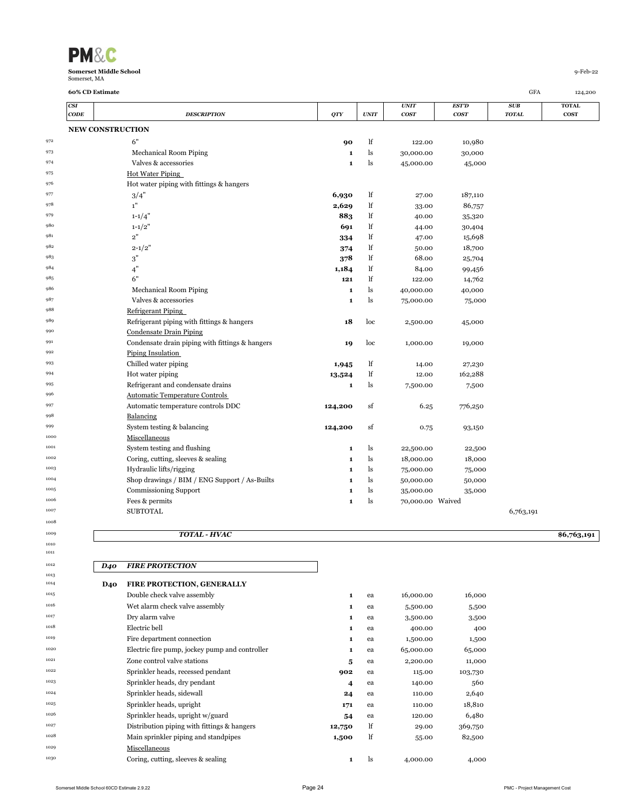| <b>PM&amp;C</b>               |          |
|-------------------------------|----------|
| <b>Somerset Middle School</b> | q-Feb-22 |
| Somerset, MA                  |          |

| CSI  |                                                 |              |                              | <b>UNIT</b>      | <b>EST'D</b> | SUB           | <b>TOTAL</b> |
|------|-------------------------------------------------|--------------|------------------------------|------------------|--------------|---------------|--------------|
| CODE | <b>DESCRIPTION</b>                              | <b>QTY</b>   | $\ensuremath{\textit{UNIT}}$ | <b>COST</b>      | cosr         | $\pmb{TOTAL}$ | $\cos r$     |
|      | <b>NEW CONSTRUCTION</b>                         |              |                              |                  |              |               |              |
|      | 6"                                              | 90           | lf                           | 122.00           | 10,980       |               |              |
|      | Mechanical Room Piping                          | 1            | ls                           | 30,000.00        | 30,000       |               |              |
|      | Valves & accessories                            | $\mathbf{1}$ | ls                           | 45,000.00        | 45,000       |               |              |
|      | <b>Hot Water Piping</b>                         |              |                              |                  |              |               |              |
|      | Hot water piping with fittings & hangers        |              |                              |                  |              |               |              |
|      | 3/4"                                            | 6,930        | lf                           | 27.00            | 187,110      |               |              |
|      | 1"                                              | 2,629        | lf                           | 33.00            | 86,757       |               |              |
|      | $1 - 1/4$                                       | 883          | lf                           | 40.00            | 35,320       |               |              |
|      | $1 - 1/2"$                                      | 691          | lf                           | 44.00            | 30,404       |               |              |
|      | 2"                                              | 334          | lf                           | 47.00            | 15,698       |               |              |
|      | $2 - 1/2"$                                      | 374          | lf                           | 50.00            | 18,700       |               |              |
|      | 3"                                              | 378          | lf                           | 68.00            | 25,704       |               |              |
|      | 4"                                              | 1,184        | lf                           | 84.00            | 99,456       |               |              |
|      | 6"                                              | 121          | lf                           | 122.00           | 14,762       |               |              |
|      | Mechanical Room Piping                          | 1            | ls                           | 40,000.00        | 40,000       |               |              |
|      | Valves & accessories                            | 1            | ls                           | 75,000.00        | 75,000       |               |              |
|      | Refrigerant Piping                              |              |                              |                  |              |               |              |
|      | Refrigerant piping with fittings & hangers      | 18           | loc                          | 2,500.00         | 45,000       |               |              |
|      | <b>Condensate Drain Piping</b>                  |              |                              |                  |              |               |              |
|      | Condensate drain piping with fittings & hangers | 19           | loc                          | 1,000.00         | 19,000       |               |              |
|      | Piping Insulation                               |              |                              |                  |              |               |              |
|      | Chilled water piping                            | 1,945        | lf                           | 14.00            | 27,230       |               |              |
|      | Hot water piping                                | 13,524       | lf                           | 12.00            | 162,288      |               |              |
|      | Refrigerant and condensate drains               | $\mathbf{1}$ | ls                           | 7,500.00         | 7,500        |               |              |
|      | <b>Automatic Temperature Controls</b>           |              |                              |                  |              |               |              |
|      | Automatic temperature controls DDC              | 124,200      | sf                           | 6.25             | 776,250      |               |              |
|      | Balancing                                       |              |                              |                  |              |               |              |
|      | System testing & balancing                      | 124,200      | sf                           | 0.75             | 93,150       |               |              |
|      | Miscellaneous                                   |              |                              |                  |              |               |              |
|      | System testing and flushing                     | $\mathbf{1}$ | ls                           | 22,500.00        | 22,500       |               |              |
|      | Coring, cutting, sleeves & sealing              | 1            | ls                           | 18,000.00        | 18,000       |               |              |
|      | Hydraulic lifts/rigging                         | 1            | ls                           | 75,000.00        | 75,000       |               |              |
|      | Shop drawings / BIM / ENG Support / As-Builts   | 1            | ls                           | 50,000.00        | 50,000       |               |              |
|      | <b>Commissioning Support</b>                    | 1            | ls                           | 35,000.00        | 35,000       |               |              |
|      | Fees & permits                                  | 1            | ls                           | 70,000.00 Waived |              |               |              |
|      | <b>SUBTOTAL</b>                                 |              |                              |                  |              | 6,763,191     |              |
|      |                                                 |              |                              |                  |              |               |              |

# *TOTAL - HVAC* **\$6,763,191**

| 1012 | <b>D40</b> | <b>FIRE PROTECTION</b>                         |                |    |           |         |
|------|------------|------------------------------------------------|----------------|----|-----------|---------|
| 1013 |            |                                                |                |    |           |         |
| 1014 | <b>D40</b> | FIRE PROTECTION, GENERALLY                     |                |    |           |         |
| 1015 |            | Double check valve assembly                    | $\mathbf{1}$   | ea | 16,000.00 | 16,000  |
| 1016 |            | Wet alarm check valve assembly                 | $\mathbf{1}$   | ea | 5,500.00  | 5,500   |
| 1017 |            | Dry alarm valve                                | 1              | ea | 3,500.00  | 3,500   |
| 1018 |            | Electric bell                                  | $\mathbf{1}$   | ea | 400.00    | 400     |
| 1019 |            | Fire department connection                     | 1              | ea | 1,500.00  | 1,500   |
| 1020 |            | Electric fire pump, jockey pump and controller | 1              | ea | 65,000.00 | 65,000  |
| 1021 |            | Zone control valve stations                    | 5              | ea | 2,200.00  | 11,000  |
| 1022 |            | Sprinkler heads, recessed pendant              | 902            | ea | 115.00    | 103,730 |
| 1023 |            | Sprinkler heads, dry pendant                   | 4              | ea | 140.00    | 560     |
| 1024 |            | Sprinkler heads, sidewall                      | 24             | ea | 110.00    | 2,640   |
| 1025 |            | Sprinkler heads, upright                       | 171            | ea | 110.00    | 18,810  |
| 1026 |            | Sprinkler heads, upright w/guard               | 54             | ea | 120.00    | 6,480   |
| 1027 |            | Distribution piping with fittings & hangers    | 12,750         | lf | 29.00     | 369,750 |
| 1028 |            | Main sprinkler piping and standpipes           | 1,500          | lf | 55.00     | 82,500  |
| 1029 |            | Miscellaneous                                  |                |    |           |         |
| 1030 |            | Coring, cutting, sleeves & sealing             | $\blacksquare$ | ls | 4,000.00  | 4,000   |

**60% CD Estimate** GFA 124,200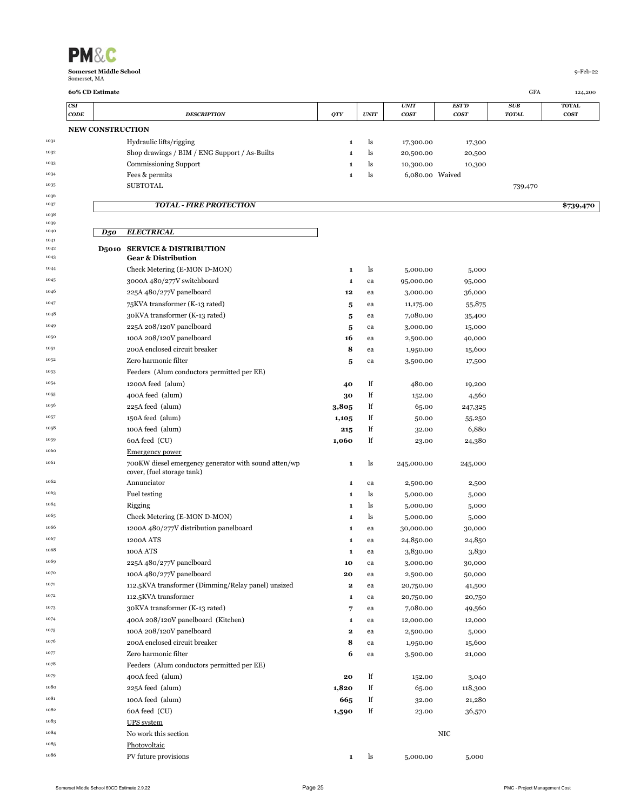|              | <b>NEW CONSTRUCTION</b>                                                            |             |    |                 |         |         |           |
|--------------|------------------------------------------------------------------------------------|-------------|----|-----------------|---------|---------|-----------|
| 1031         | Hydraulic lifts/rigging                                                            | 1           | ls | 17,300.00       | 17,300  |         |           |
| 1032         | Shop drawings / BIM / ENG Support / As-Builts                                      | 1           | ls | 20,500.00       | 20,500  |         |           |
| 1033         | Commissioning Support                                                              | 1           | ls | 10,300.00       | 10,300  |         |           |
| 1034         | Fees & permits                                                                     | 1           | ls | 6,080.00 Waived |         |         |           |
| 1035         | <b>SUBTOTAL</b>                                                                    |             |    |                 |         | 739,470 |           |
| 1036<br>1037 |                                                                                    |             |    |                 |         |         |           |
| 1038         | <b>TOTAL - FIRE PROTECTION</b>                                                     |             |    |                 |         |         | \$739,470 |
| 1039         |                                                                                    |             |    |                 |         |         |           |
| 1040<br>1041 | <b>ELECTRICAL</b><br>$D_5$ o                                                       |             |    |                 |         |         |           |
| 1042<br>1043 | <b>D5010 SERVICE &amp; DISTRIBUTION</b><br><b>Gear &amp; Distribution</b>          |             |    |                 |         |         |           |
| 1044         | Check Metering (E-MON D-MON)                                                       | 1           | ls | 5,000.00        | 5,000   |         |           |
| 1045         | 3000A 480/277V switchboard                                                         | 1           | ea | 95,000.00       | 95,000  |         |           |
| 1046         | 225A 480/277V panelboard                                                           | 12          | ea | 3,000.00        | 36,000  |         |           |
| 1047         | 75 KVA transformer (K-13 rated)                                                    | 5           | ea | 11,175.00       | 55,875  |         |           |
| 1048         | 30KVA transformer (K-13 rated)                                                     | 5           | ea | 7,080.00        | 35,400  |         |           |
| 1049         | 225A 208/120V panelboard                                                           | 5           | ea | 3,000.00        | 15,000  |         |           |
| 1050         | 100A 208/120V panelboard                                                           | 16          | ea | 2,500.00        | 40,000  |         |           |
| 1051         | 200A enclosed circuit breaker                                                      | 8           | ea | 1,950.00        | 15,600  |         |           |
| 1052         | Zero harmonic filter                                                               | 5           | ea | 3,500.00        | 17,500  |         |           |
| 1053         | Feeders (Alum conductors permitted per EE)                                         |             |    |                 |         |         |           |
| 1054         | 1200A feed (alum)                                                                  | 40          | lf | 480.00          | 19,200  |         |           |
| 1055         | 400A feed (alum)                                                                   | 30          | lf | 152.00          | 4,560   |         |           |
| 1056         | 225A feed (alum)                                                                   | 3,805       | lf | 65.00           | 247,325 |         |           |
| 1057         | 150A feed (alum)                                                                   | 1,105       | lf | 50.00           | 55,250  |         |           |
| 1058         | 100A feed (alum)                                                                   | 215         | lf | 32.00           | 6,880   |         |           |
| 1059         | 60A feed (CU)                                                                      | 1,060       | lf | 23.00           | 24,380  |         |           |
| 1060         | <b>Emergency power</b>                                                             |             |    |                 |         |         |           |
| 1061         | 700KW diesel emergency generator with sound atten/wp<br>cover, (fuel storage tank) | 1           | ls | 245,000.00      | 245,000 |         |           |
| 1062         | Annunciator                                                                        | 1           | ea | 2,500.00        | 2,500   |         |           |
| 1063         | <b>Fuel testing</b>                                                                | 1           | ls | 5,000.00        | 5,000   |         |           |
| 1064         | Rigging                                                                            | 1           | ls | 5,000.00        | 5,000   |         |           |
| 1065         | Check Metering (E-MON D-MON)                                                       | 1           | ls | 5,000.00        | 5,000   |         |           |
| 1066         | 1200A 480/277V distribution panelboard                                             | 1           | ea | 30,000.00       | 30,000  |         |           |
| 1067         | 1200A ATS                                                                          | 1           | ea | 24,850.00       | 24,850  |         |           |
| 1068         | 100A ATS                                                                           | 1           | ea | 3,830.00        | 3,830   |         |           |
| 1069         | 225A 480/277V panelboard                                                           | 10          | ea | 3,000.00        | 30,000  |         |           |
| 1070         | 100A 480/277V panelboard                                                           | 20          | ea | 2,500.00        | 50,000  |         |           |
| 1071         | 112.5KVA transformer (Dimming/Relay panel) unsized                                 | 2           | ea | 20,750.00       | 41,500  |         |           |
| 1072         | 112.5KVA transformer                                                               | 1           | ea | 20,750.00       | 20,750  |         |           |
| 1073         | 30KVA transformer (K-13 rated)                                                     | 7           | ea | 7,080.00        | 49,560  |         |           |
| 1074         | 400A 208/120V panelboard (Kitchen)                                                 | 1           | ea | 12,000.00       | 12,000  |         |           |
| 1075         | 100A 208/120V panelboard                                                           | $\bf{2}$    | ea | 2,500.00        | 5,000   |         |           |
| 1076         | 200A enclosed circuit breaker                                                      | 8           | ea | 1,950.00        | 15,600  |         |           |
| 1077         | Zero harmonic filter                                                               | 6           | ea | 3,500.00        | 21,000  |         |           |
| 1078         | Feeders (Alum conductors permitted per EE)                                         |             |    |                 |         |         |           |
| 1079         | 400A feed (alum)                                                                   | 20          | lf | 152.00          | 3,040   |         |           |
| 1080         | 225A feed (alum)                                                                   | 1,820       | lf | 65.00           | 118,300 |         |           |
| 1081         | 100A feed (alum)                                                                   | 665         | lf | 32.00           | 21,280  |         |           |
| 1082         | 60A feed (CU)                                                                      | 1,590       | lf | 23.00           | 36,570  |         |           |
| 1083         | <b>UPS</b> system                                                                  |             |    |                 |         |         |           |
| 1084         | No work this section                                                               |             |    |                 | NIC     |         |           |
| 1085         | Photovoltaic                                                                       |             |    |                 |         |         |           |
| 1086         | PV future provisions                                                               | $\mathbf 1$ | ls | 5,000.00        | 5,000   |         |           |
|              |                                                                                    |             |    |                 |         |         |           |

**60% CD Estimate** GFA 124,200 *CSI UNIT EST'D SUB* **TOTAL** *CODE DESCRIPTION QTY UNIT COST COST TOTAL* **COST**

**PM&C**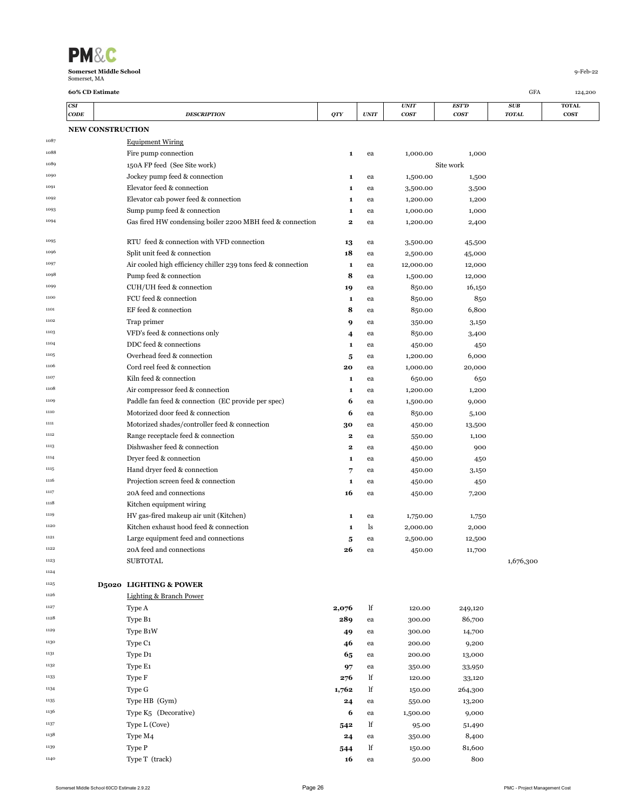| <b>PM&amp;C</b>               |          |
|-------------------------------|----------|
| <b>Somerset Middle School</b> | q-Feb-22 |
| Somerset, MA                  |          |

|      | CSI<br>CODE |                         | <b>DESCRIPTION</b>                                            | <b>QTY</b>  | <b>UNIT</b> | <b>UNIT</b><br>cos <sub>T</sub> | EST'D<br>cosr | SUB<br><b>TOTAL</b> | <b>TOTAL</b><br><b>COST</b> |
|------|-------------|-------------------------|---------------------------------------------------------------|-------------|-------------|---------------------------------|---------------|---------------------|-----------------------------|
|      |             | <b>NEW CONSTRUCTION</b> |                                                               |             |             |                                 |               |                     |                             |
| 1087 |             |                         | <b>Equipment Wiring</b>                                       |             |             |                                 |               |                     |                             |
| 1088 |             |                         | Fire pump connection                                          | 1           | ea          | 1,000.00                        | 1,000         |                     |                             |
| 1089 |             |                         | 150A FP feed (See Site work)                                  |             |             |                                 | Site work     |                     |                             |
| 1090 |             |                         | Jockey pump feed & connection                                 | 1           | ea          | 1,500.00                        | 1,500         |                     |                             |
| 1091 |             |                         | Elevator feed & connection                                    | 1           | ea          | 3,500.00                        | 3,500         |                     |                             |
| 1092 |             |                         | Elevator cab power feed & connection                          | 1           | ea          | 1,200.00                        | 1,200         |                     |                             |
| 1093 |             |                         | Sump pump feed & connection                                   | 1           | ea          | 1,000.00                        | 1,000         |                     |                             |
| 1094 |             |                         | Gas fired HW condensing boiler 2200 MBH feed & connection     | 2           | ea          | 1,200.00                        | 2,400         |                     |                             |
| 1095 |             |                         | RTU feed & connection with VFD connection                     | 13          | ea          | 3,500.00                        | 45,500        |                     |                             |
| 1096 |             |                         | Split unit feed & connection                                  | 18          | ea          | 2,500.00                        | 45,000        |                     |                             |
| 1097 |             |                         | Air cooled high efficiency chiller 239 tons feed & connection | 1           | ea          | 12,000.00                       | 12,000        |                     |                             |
| 1098 |             |                         | Pump feed & connection                                        | 8           | ea          | 1,500.00                        | 12,000        |                     |                             |
| 1099 |             |                         | CUH/UH feed & connection                                      | 19          | ea          | 850.00                          | 16,150        |                     |                             |
| 1100 |             |                         | FCU feed & connection                                         | 1           | ea          | 850.00                          | 850           |                     |                             |
| 1101 |             |                         | EF feed & connection                                          | 8           | ea          | 850.00                          | 6,800         |                     |                             |
| 1102 |             |                         | Trap primer                                                   | 9           | ea          | 350.00                          | 3,150         |                     |                             |
| 1103 |             |                         | VFD's feed & connections only                                 | 4           | ea          | 850.00                          | 3,400         |                     |                             |
| 1104 |             |                         | DDC feed & connections                                        | 1           | ea          | 450.00                          | 450           |                     |                             |
| 1105 |             |                         | Overhead feed & connection                                    | 5           | ea          | 1,200.00                        | 6,000         |                     |                             |
| 1106 |             |                         | Cord reel feed & connection                                   | 20          | ea          | 1,000.00                        | 20,000        |                     |                             |
| 1107 |             |                         | Kiln feed & connection                                        | 1           | ea          | 650.00                          | 650           |                     |                             |
| 1108 |             |                         | Air compressor feed & connection                              | 1           | ea          | 1,200.00                        | 1,200         |                     |                             |
| 1109 |             |                         | Paddle fan feed & connection (EC provide per spec)            | 6           | ea          | 1,500.00                        | 9,000         |                     |                             |
| 1110 |             |                         | Motorized door feed & connection                              | 6           | ea          | 850.00                          | 5,100         |                     |                             |
| 1111 |             |                         | Motorized shades/controller feed & connection                 | 30          | ea          | 450.00                          | 13,500        |                     |                             |
| 1112 |             |                         | Range receptacle feed & connection                            | $\mathbf 2$ | ea          | 550.00                          | 1,100         |                     |                             |
| 1113 |             |                         | Dishwasher feed & connection                                  | $\mathbf 2$ | ea          | 450.00                          | 900           |                     |                             |
| 1114 |             |                         | Dryer feed & connection                                       | 1           | ea          | 450.00                          | 450           |                     |                             |
| 1115 |             |                         | Hand dryer feed & connection                                  | 7           | ea          | 450.00                          | 3,150         |                     |                             |
| 1116 |             |                         | Projection screen feed & connection                           | $\mathbf 1$ | ea          | 450.00                          | 450           |                     |                             |
| 1117 |             |                         | 20A feed and connections                                      | 16          | ea          | 450.00                          | 7,200         |                     |                             |
| 1118 |             |                         | Kitchen equipment wiring                                      |             |             |                                 |               |                     |                             |
| 1119 |             |                         | HV gas-fired makeup air unit (Kitchen)                        | 1           | ea          | 1,750.00                        | 1,750         |                     |                             |
| 1120 |             |                         | Kitchen exhaust hood feed & connection                        | 1           | ls          | 2,000.00                        | 2,000         |                     |                             |
| 1121 |             |                         | Large equipment feed and connections                          | 5           | ea          | 2,500.00                        | 12,500        |                     |                             |
| 1122 |             |                         | 20A feed and connections                                      | 26          | ea          | 450.00                          | 11,700        |                     |                             |
| 1123 |             |                         | <b>SUBTOTAL</b>                                               |             |             |                                 |               | 1,676,300           |                             |
| 1124 |             |                         |                                                               |             |             |                                 |               |                     |                             |
| 1125 |             |                         | <b>D5020 LIGHTING &amp; POWER</b>                             |             |             |                                 |               |                     |                             |
| 1126 |             |                         | Lighting & Branch Power                                       |             |             |                                 |               |                     |                             |
| 1127 |             |                         | Type A                                                        | 2,076       | lf          | 120.00                          | 249,120       |                     |                             |
| 1128 |             |                         | Type B1                                                       | 289         | ea          | 300.00                          | 86,700        |                     |                             |
| 1129 |             |                         | Type B1W                                                      | 49          | ea          | 300.00                          | 14,700        |                     |                             |
| 1130 |             |                         | Type C1                                                       | 46          | ea          | 200.00                          | 9,200         |                     |                             |
| 1131 |             |                         | Type D1                                                       | 65          | ea          | 200.00                          | 13,000        |                     |                             |
| 1132 |             |                         | Type E1                                                       | 97          | ea          | 350.00                          | 33,950        |                     |                             |
| 1133 |             |                         | Type F                                                        | 276         | lf          | 120.00                          | 33,120        |                     |                             |
| 1134 |             |                         | Type G                                                        | 1,762       | lf          | 150.00                          | 264,300       |                     |                             |
| 1135 |             |                         | Type HB (Gym)                                                 | 24          | ea          | 550.00                          | 13,200        |                     |                             |
| 1136 |             |                         | Type K5 (Decorative)                                          | 6           | ea          | 1,500.00                        | 9,000         |                     |                             |
| 1137 |             |                         | Type L (Cove)                                                 | 542         | lf          | 95.00                           | 51,490        |                     |                             |
| 1138 |             |                         | Type M4                                                       | 24          | ea          | 350.00                          | 8,400         |                     |                             |
| 1139 |             |                         | Type P                                                        | 544         | lf          | 150.00                          | 81,600        |                     |                             |

1140 1140 **Type T** (track) **16** ea 50.00 800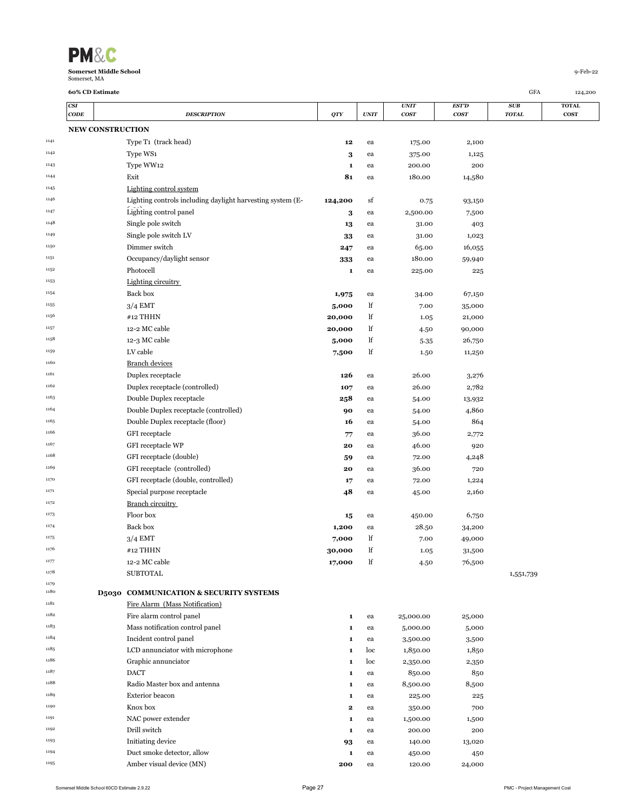| <b>PM&amp;C</b>                               |            |
|-----------------------------------------------|------------|
| <b>Somerset Middle School</b><br>Somerset, MA | $9-Feb-22$ |

| CSI                     |                                                            |                 |          | <b>UNIT</b>     | <b>EST'D</b>     | SUB          | <b>TOTAL</b> |
|-------------------------|------------------------------------------------------------|-----------------|----------|-----------------|------------------|--------------|--------------|
| <b>CODE</b>             | <b>DESCRIPTION</b>                                         | QTY             | UNIT     | <b>COST</b>     | <b>COST</b>      | <b>TOTAL</b> | <b>COST</b>  |
| <b>NEW CONSTRUCTION</b> |                                                            |                 |          |                 |                  |              |              |
|                         | Type T <sub>1</sub> (track head)                           | 12              | ea       | 175.00          | 2,100            |              |              |
|                         | Type WS1                                                   | 3               | ea       | 375.00          | 1,125            |              |              |
|                         | Type WW12                                                  | 1               | ea       | 200.00          | 200              |              |              |
|                         | Exit                                                       | 81              | ea       | 180.00          | 14,580           |              |              |
|                         | Lighting control system                                    |                 |          |                 |                  |              |              |
|                         | Lighting controls including daylight harvesting system (E- | 124,200         | sf       | 0.75            | 93,150           |              |              |
|                         | Lighting control panel                                     | 3               | ea       | 2,500.00        | 7,500            |              |              |
|                         | Single pole switch                                         | 13              | ea       | 31.00           | 403              |              |              |
|                         | Single pole switch LV                                      | 33              | ea       | 31.00           | 1,023            |              |              |
|                         | Dimmer switch                                              | 247             | ea       | 65.00           | 16,055           |              |              |
|                         | Occupancy/daylight sensor                                  | 333             | ea       | 180.00          | 59,940           |              |              |
|                         | Photocell                                                  | $\mathbf{1}$    | ea       | 225.00          | 225              |              |              |
|                         | Lighting circuitry                                         |                 |          |                 |                  |              |              |
|                         | Back box                                                   | 1,975           | ea       | 34.00           | 67,150           |              |              |
|                         | $3/4$ EMT                                                  | 5,000           | lf       | 7.00            | 35,000           |              |              |
|                         | #12 THHN                                                   | 20,000          | lf       | 1.05            | 21,000           |              |              |
|                         | 12-2 MC cable                                              | 20,000          | lf       | 4.50            | 90,000           |              |              |
|                         | 12-3 MC cable                                              | 5,000           | lf       | 5.35            | 26,750           |              |              |
|                         | LV cable                                                   | 7,500           | lf       | 1.50            | 11,250           |              |              |
|                         | <b>Branch devices</b>                                      |                 |          |                 |                  |              |              |
|                         | Duplex receptacle                                          | 126             | ea       | 26.00           | 3,276            |              |              |
|                         | Duplex receptacle (controlled)                             | 107             | ea       | 26.00           | 2,782            |              |              |
|                         | Double Duplex receptacle                                   | 258             | ea       | 54.00           | 13,932           |              |              |
|                         | Double Duplex receptacle (controlled)                      | 90              | ea       | 54.00           | 4,860            |              |              |
|                         | Double Duplex receptacle (floor)                           | 16              | ea       | 54.00           | 864              |              |              |
|                         | GFI receptacle                                             | 77              | ea       | 36.00           | 2,772            |              |              |
|                         | GFI receptacle WP                                          | 20              | ea       | 46.00           | 920              |              |              |
|                         | GFI receptacle (double)                                    |                 |          | 72.00           | 4,248            |              |              |
|                         | GFI receptacle (controlled)                                | 59<br>20        | ea<br>ea | 36.00           | 720              |              |              |
|                         | GFI receptacle (double, controlled)                        |                 | ea       |                 |                  |              |              |
|                         | Special purpose receptacle                                 | 17              |          | 72.00           | 1,224<br>2,160   |              |              |
|                         | <b>Branch circuitry</b>                                    | 48              | ea       | 45.00           |                  |              |              |
|                         | Floor box                                                  |                 |          |                 |                  |              |              |
|                         | Back box                                                   | 15<br>1,200     | ea       | 450.00<br>28.50 | 6,750<br>34,200  |              |              |
|                         | $3/4$ EMT                                                  |                 | ea<br>lf |                 |                  |              |              |
|                         | #12 THHN                                                   | 7,000<br>30,000 | lf       | 7.00            | 49,000<br>31,500 |              |              |
|                         | $12\mbox{-}2$ MC cable                                     |                 |          | 1.05            |                  |              |              |
|                         | <b>SUBTOTAL</b>                                            | 17,000          | lf       | 4.50            | 76,500           |              |              |
|                         |                                                            |                 |          |                 |                  | 1,551,739    |              |
|                         | D5030 COMMUNICATION & SECURITY SYSTEMS                     |                 |          |                 |                  |              |              |
|                         | Fire Alarm (Mass Notification)                             |                 |          |                 |                  |              |              |
|                         | Fire alarm control panel                                   | 1               | ea       | 25,000.00       | 25,000           |              |              |
|                         | Mass notification control panel                            | 1               | ea       | 5,000.00        | 5,000            |              |              |
|                         | Incident control panel                                     | 1               | ea       | 3,500.00        | 3,500            |              |              |
|                         | LCD annunciator with microphone                            | 1               | loc      | 1,850.00        | 1,850            |              |              |
|                         | Graphic annunciator                                        | 1               | loc      | 2,350.00        | 2,350            |              |              |
|                         | <b>DACT</b>                                                | 1               | ea       | 850.00          | 850              |              |              |
|                         | Radio Master box and antenna                               | 1               | ea       | 8,500.00        | 8,500            |              |              |
|                         | Exterior beacon                                            | 1               | ea       | 225.00          | 225              |              |              |
|                         | Knox box                                                   | 2               | ea       | 350.00          | 700              |              |              |
|                         | NAC power extender                                         | 1               | ea       | 1,500.00        | 1,500            |              |              |
|                         | Drill switch                                               | 1               | ea       | 200.00          | 200              |              |              |
|                         | Initiating device                                          | 93              | ea       | 140.00          | 13,020           |              |              |
|                         | Duct smoke detector, allow                                 | 1               | ea       | 450.00          | 450              |              |              |

**Amber visual device (MN) 200** ea 120.00 24,000

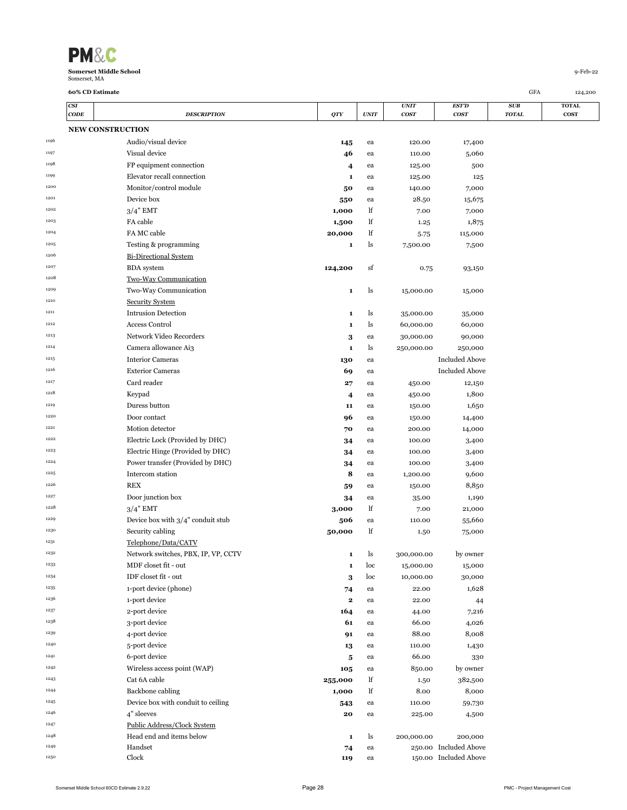

**Bi-Directional System** 

Security System

Two-Way Communication

1207 **BDA system <b>124,200** sf 0.75 93,150

270000 Two-Way Communication **1** ls 15,000.00 15,000

 280000 Intrusion Detection **1** ls 35,000.00 35,000 280000 Access Control **1** ls 60,000.00 60,000 280000 Network Video Recorders **3** ea 30,000.00 90,000 Camera allowance Ai3 **1** ls 250,000.00 250,000 1215 1215 **Interior Cameras 1216** 130 ea Included Above 280000 Exterior Cameras **69** ea Included Above 1<sup>217</sup> 27 ea 450.00 12,150 280000 Keypad **4** ea 450.00 1,800 1219 1219 Duress button **11** ea 150.00 1,650 **1230** Door contact **1230** Door contact **1250.00 14,400**  280000 Motion detector **70** ea 200.00 14,000 <sup>1222</sup> 28000 Electric Lock (Provided by DHC) **34** ea 100.00 3,400 280000 Electric Hinge (Provided by DHC) **34** ea 100.00 3,400 <sup>1224</sup> 28000 Power transfer (Provided by DHC) **34** ea 100.00 3,400 280000 Intercom station **8** ea 1,200.00 9,600 **8.850** REX **6.8600 REX 6.8600 REX 6.8600 RM** 1<sup>227</sup> 2800 Door junction box **34** ea 35.00 1,190 <sup>1228</sup> 3/4" EMT 3/4" EMT 3,000 lf 7.00 21,000 1<sup>229</sup> 2800 Device box with  $3/4$ " conduit stub  $506$  ea 110.00 55,660 280000 Security cabling **50,000** lf 1.50 75,000

 270000 Network switches, PBX, IP, VP, CCTV **1** ls 300,000.00 by owner 270000 MDF closet fit - out **1** loc 15,000.00 15,000 **1DF** closet fit - out **3** loc 10,000.00 30,000 270000 1-port device (phone) **74** ea 22.00 1,628 270000 1-port device **2** ea 22.00 44 <sup>1237</sup> 2-port device 2000 2-port device 2000 2-port device 2000 2-port device 2000 2-port device 2000 2-port device 270000 3-port device **61** ea 66.00 4,026 <sup>1239</sup> 239 4-port device 2000 2000 2000 2000 2000 2000 3000 2000 3000 3000 3000 2000 2000 2000 2000 2000 2000 2000 2000 2000 2000 2000 2000 2000 2000 2000 2000 2000 2000 2000 2000 2000 2000 2000 2000 2000 2000 2000 2000 20 270000 5-port device **13** ea 110.00 1,430 270000 6-port device **5** ea 66.00 330 <sup>1242</sup> 27000 Wireless access point (WAP) **105** ea 850.00 by owner 270000 Cat 6A cable **255,000** lf 1.50 382,500 270000 Backbone cabling **1,000** lf 8.00 8,000 <sup>1245</sup> 1245 Device box with conduit to ceiling **543** ea 110.00 59,730 270000 4" sleeves **20** ea 225.00 4,500

 270000 Head end and items below **1** ls 200,000.00 200,000 270000 Handset **74** ea 250.00 Included Above 270000 Clock **119** ea 150.00 Included Above

**60% CD Estimate** GFA 124,200

|      | CSI  |                            |        |             | <b>UNIT</b>      | <b>EST'D</b> | <b>SUB</b>   | <b>TOTAL</b> |
|------|------|----------------------------|--------|-------------|------------------|--------------|--------------|--------------|
|      | CODE | <b>DESCRIPTION</b>         | QTY    | <b>UNIT</b> | cos <sub>T</sub> | <b>COST</b>  | <b>TOTAL</b> | <b>COST</b>  |
|      |      | <b>NEW CONSTRUCTION</b>    |        |             |                  |              |              |              |
| 1196 |      | Audio/visual device        | 145    | ea          | 120.00           | 17,400       |              |              |
| 1197 |      | Visual device              | 46     | ea          | 110.00           | 5,060        |              |              |
| 1198 |      | FP equipment connection    | 4      | ea          | 125.00           | 500          |              |              |
| 1199 |      | Elevator recall connection | 1      | ea          | 125.00           | 125          |              |              |
| 1200 |      | Monitor/control module     | 50     | ea          | 140.00           | 7,000        |              |              |
| 1201 |      | Device box                 | 550    | ea          | 28.50            | 15,675       |              |              |
| 1202 |      | $3/4$ " EMT                | 1,000  | lf          | 7.00             | 7,000        |              |              |
| 1203 |      | FA cable                   | 1,500  | lf          | 1.25             | 1,875        |              |              |
| 1204 |      | FA MC cable                | 20,000 | lf          | 5.75             | 115,000      |              |              |
| 1205 |      | Testing & programming      | 1      | ls          | 7,500.00         | 7,500        |              |              |

Public Address/Clock System

Telephone/Data/CATV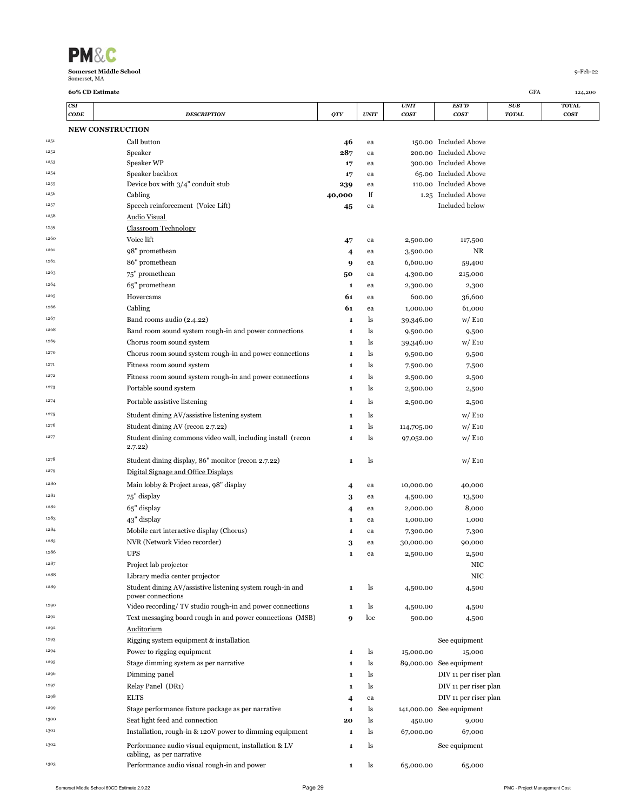| <b>PM&amp;C</b>               |          |
|-------------------------------|----------|
| <b>Somerset Middle School</b> | q-Feb-22 |
| Somerset, MA                  |          |

|      | CSI         |                                                                                    |              |             | <i><b>UNIT</b></i>   | EST'D                    | <b>SUB</b>   | <b>TOTAL</b> |
|------|-------------|------------------------------------------------------------------------------------|--------------|-------------|----------------------|--------------------------|--------------|--------------|
|      | <b>CODE</b> | <b>DESCRIPTION</b>                                                                 | QTY          | <b>UNIT</b> | <b>COST</b>          | <b>COST</b>              | <b>TOTAL</b> | <b>COST</b>  |
|      |             | <b>NEW CONSTRUCTION</b>                                                            |              |             |                      |                          |              |              |
| 1251 |             | Call button                                                                        | 46           | ea          |                      | 150.00 Included Above    |              |              |
| 1252 |             | Speaker                                                                            | 287          | ea          |                      | 200.00 Included Above    |              |              |
| 1253 |             | Speaker WP                                                                         | 17           | ea          |                      | 300.00 Included Above    |              |              |
| 1254 |             | Speaker backbox                                                                    | 17           | ea          |                      | 65.00 Included Above     |              |              |
| 1255 |             | Device box with $3/4$ " conduit stub                                               | 239          | ea          | 110.00               | <b>Included Above</b>    |              |              |
| 1256 |             | Cabling                                                                            | 40,000       | lf          | 1.25                 | Included Above           |              |              |
| 1257 |             | Speech reinforcement (Voice Lift)                                                  | 45           | ea          |                      | Included below           |              |              |
| 1258 |             | <b>Audio Visual</b>                                                                |              |             |                      |                          |              |              |
| 1259 |             | <b>Classroom Technology</b>                                                        |              |             |                      |                          |              |              |
| 1260 |             | Voice lift                                                                         | 47           | ea          | 2,500.00             | 117,500                  |              |              |
| 1261 |             | 98" promethean                                                                     | 4            | ea          | 3,500.00             | NR                       |              |              |
| 1262 |             | 86" promethean                                                                     | 9            | ea          | 6,600.00             | 59,400                   |              |              |
| 1263 |             | 75" promethean                                                                     | 50           | ea          | 4,300.00             | 215,000                  |              |              |
| 1264 |             | 65" promethean                                                                     | 1            | ea          | 2,300.00             | 2,300                    |              |              |
| 1265 |             | Hovercams                                                                          | 61           | ea          | 600.00               | 36,600                   |              |              |
| 1266 |             | Cabling                                                                            | 61           | ea          | 1,000.00             | 61,000                   |              |              |
| 1267 |             | Band rooms audio (2.4.22)                                                          | $\mathbf{1}$ | ls          | 39,346.00            | W/E10                    |              |              |
| 1268 |             | Band room sound system rough-in and power connections                              | 1            | ls          | 9,500.00             | 9,500                    |              |              |
| 1269 |             | Chorus room sound system                                                           | $\mathbf{1}$ | ls          |                      | W/E10                    |              |              |
| 1270 |             | Chorus room sound system rough-in and power connections                            | 1            | ls          | 39,346.00            |                          |              |              |
| 1271 |             | Fitness room sound system                                                          |              | ls          | 9,500.00<br>7,500.00 | 9,500                    |              |              |
| 1272 |             | Fitness room sound system rough-in and power connections                           | 1<br>1       | ls          | 2,500.00             | 7,500                    |              |              |
| 1273 |             | Portable sound system                                                              | 1            | ls          | 2,500.00             | 2,500<br>2,500           |              |              |
| 1274 |             | Portable assistive listening                                                       | 1            | ls          | 2,500.00             | 2,500                    |              |              |
|      |             |                                                                                    |              |             |                      |                          |              |              |
| 1275 |             | Student dining AV/assistive listening system                                       | 1            | ls          |                      | w/E10                    |              |              |
| 1276 |             | Student dining AV (recon 2.7.22)                                                   | 1            | ls          | 114,705.00           | w/E10                    |              |              |
| 1277 |             | Student dining commons video wall, including install (recon<br>2.7.22)             | 1            | ls          | 97,052.00            | W/E10                    |              |              |
| 1278 |             | Student dining display, 86" monitor (recon 2.7.22)                                 | $\mathbf{1}$ | ls          |                      | w/E10                    |              |              |
| 1279 |             | Digital Signage and Office Displays                                                |              |             |                      |                          |              |              |
| 1280 |             | Main lobby & Project areas, 98" display                                            | 4            | ea          | 10,000.00            | 40,000                   |              |              |
| 1281 |             | 75" display                                                                        | 3            | ea          | 4,500.00             | 13,500                   |              |              |
| 1282 |             | 65" display                                                                        | 4            | ea          | 2,000.00             | 8,000                    |              |              |
| 1283 |             | 43" display                                                                        | 1            | ea          | 1,000.00             | 1,000                    |              |              |
| 1284 |             | Mobile cart interactive display (Chorus)                                           | 1            | ea          | 7,300.00             | 7,300                    |              |              |
| 1285 |             | NVR (Network Video recorder)                                                       | 3            | ea          | 30,000.00            | 90,000                   |              |              |
| 1286 |             | <b>UPS</b>                                                                         | 1            | ea          | 2,500.00             | 2,500                    |              |              |
| 1287 |             | Project lab projector                                                              |              |             |                      | NIC                      |              |              |
| 1288 |             | Library media center projector                                                     |              |             |                      | NIC                      |              |              |
| 1289 |             | Student dining AV/assistive listening system rough-in and<br>power connections     | $\mathbf{1}$ | ls          | 4,500.00             | 4,500                    |              |              |
| 1290 |             | Video recording/ TV studio rough-in and power connections                          | 1            | ls          | 4,500.00             | 4,500                    |              |              |
| 1291 |             | Text messaging board rough in and power connections (MSB)                          | 9            | loc         | 500.00               | 4,500                    |              |              |
| 1292 |             | Auditorium                                                                         |              |             |                      |                          |              |              |
| 1293 |             | Rigging system equipment & installation                                            |              |             |                      | See equipment            |              |              |
| 1294 |             | Power to rigging equipment                                                         | 1            | ls          | 15,000.00            | 15,000                   |              |              |
| 1295 |             | Stage dimming system as per narrative                                              | $\mathbf{1}$ | ls          |                      | 89,000.00 See equipment  |              |              |
| 1296 |             | Dimming panel                                                                      | 1            | ls          |                      | DIV 11 per riser plan    |              |              |
| 1297 |             | Relay Panel (DR1)                                                                  | $\mathbf{1}$ | ls          |                      | DIV 11 per riser plan    |              |              |
| 1298 |             | <b>ELTS</b>                                                                        | 4            | ea          |                      | DIV 11 per riser plan    |              |              |
| 1299 |             | Stage performance fixture package as per narrative                                 | 1            | ls          |                      | 141,000.00 See equipment |              |              |
| 1300 |             | Seat light feed and connection                                                     | 20           | ls          | 450.00               | 9,000                    |              |              |
| 1301 |             | Installation, rough-in & 120V power to dimming equipment                           | 1            | ls          | 67,000.00            | 67,000                   |              |              |
| 1302 |             | Performance audio visual equipment, installation & LV<br>cabling, as per narrative | $\mathbf{1}$ | ls          |                      | See equipment            |              |              |
| 1303 |             | Performance audio visual rough-in and power                                        | 1            | ls          | 65,000.00            | 65,000                   |              |              |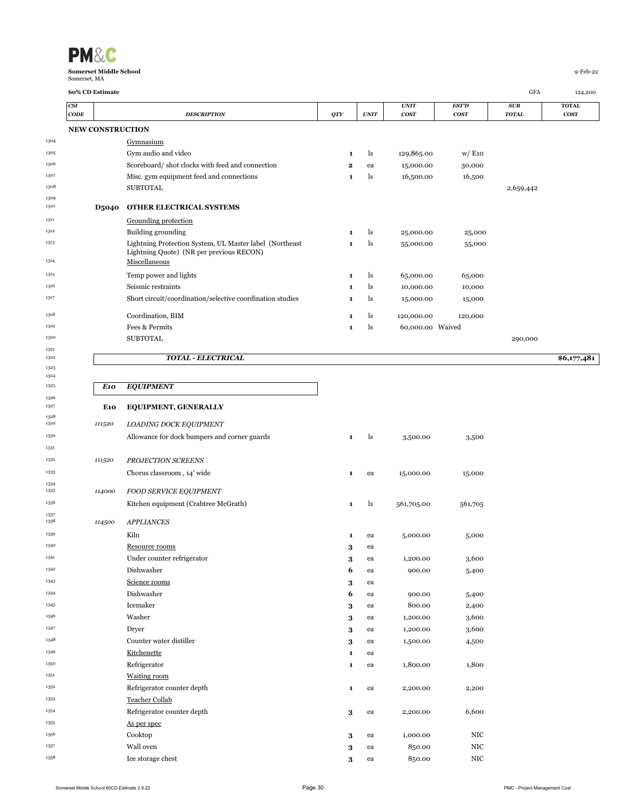| <b>PM&amp;C</b>               |          |
|-------------------------------|----------|
| <b>Somerset Middle School</b> | 9-Feb-22 |
| Somerset, MA                  |          |

 

1311 Grounding protection

1314 Miscellaneous

|      | CSI                     |              |                                                 |              |                | <b>UNIT</b> | <b>EST'D</b> | <b>SUB</b>   | <b>TOTAL</b> |
|------|-------------------------|--------------|-------------------------------------------------|--------------|----------------|-------------|--------------|--------------|--------------|
|      | CODE                    |              | <b>DESCRIPTION</b>                              | QTY          | <b>UNIT</b>    | <b>COST</b> | <b>COST</b>  | <b>TOTAL</b> | <b>COST</b>  |
|      | <b>NEW CONSTRUCTION</b> |              |                                                 |              |                |             |              |              |              |
| 1304 |                         |              | Gymnasium                                       |              |                |             |              |              |              |
| 1305 |                         |              | Gym audio and video                             |              | ls.            | 129,865.00  | W/E10        |              |              |
| 1306 |                         |              | Scoreboard/shot clocks with feed and connection | $\mathbf{2}$ | ea             | 15,000.00   | 30,000       |              |              |
| 1307 |                         |              | Misc. gym equipment feed and connections        |              | <sup>1</sup> s | 16,500.00   | 16,500       |              |              |
| 1308 |                         |              | <b>SUBTOTAL</b>                                 |              |                |             |              | 2,659,442    |              |
| 1309 |                         |              |                                                 |              |                |             |              |              |              |
| 1310 |                         | <b>D5040</b> | <b>OTHER ELECTRICAL SYSTEMS</b>                 |              |                |             |              |              |              |

ls 55,000.00 55,000

### *TOTAL - ELECTRICAL* **\$6,177,481**

260000 Lightning Protection System, UL Master label (Northeast

Lightning Quote) (NR per previous RECON)

| 1325 |      | E10 EQUIPMENT               |
|------|------|-----------------------------|
| 1326 |      |                             |
| 1327 | E10. | <b>EQUIPMENT, GENERALLY</b> |

|              |        | *******************                          |   |    |            |            |
|--------------|--------|----------------------------------------------|---|----|------------|------------|
| 1328<br>1329 | 111520 | LOADING DOCK EQUIPMENT                       |   |    |            |            |
| 1330         |        | Allowance for dock bumpers and corner guards | 1 | ls | 3,500.00   | 3,500      |
| 1331         |        |                                              |   |    |            |            |
| 1332         | 111520 | PROJECTION SCREENS                           |   |    |            |            |
| 1333         |        | Chorus classroom, 14' wide                   | 1 | ea | 15,000.00  | 15,000     |
| 1334<br>1335 | 114000 | <b>FOOD SERVICE EQUIPMENT</b>                |   |    |            |            |
| 1336         |        | Kitchen equipment (Crabtree McGrath)         | 1 | ls | 561,705.00 | 561,705    |
| 1337<br>1338 | 114500 | <b>APPLIANCES</b>                            |   |    |            |            |
| 1339         |        | Kiln                                         | 1 | ea | 5,000.00   | 5,000      |
| 1340         |        | Resource rooms                               | 3 | ea |            |            |
| 1341         |        | Under counter refrigerator                   | 3 | ea | 1,200.00   | 3,600      |
| 1342         |        | Dishwasher                                   | 6 | ea | 900.00     | 5,400      |
| 1343         |        | Science rooms                                | 3 | ea |            |            |
| 1344         |        | Dishwasher                                   | 6 | ea | 900.00     | 5,400      |
| 1345         |        | Icemaker                                     | 3 | ea | 800.00     | 2,400      |
| 1346         |        | Washer                                       | 3 | ea | 1,200.00   | 3,600      |
| 1347         |        | Dryer                                        | 3 | ea | 1,200.00   | 3,600      |
| 1348         |        | Counter water distiller                      | 3 | ea | 1,500.00   | 4,500      |
| 1349         |        | Kitchenette                                  | 1 | ea |            |            |
| 1350         |        | Refrigerator                                 | 1 | ea | 1,800.00   | 1,800      |
| 1351         |        | <b>Waiting room</b>                          |   |    |            |            |
| 1352         |        | Refrigerator counter depth                   | 1 | ea | 2,200.00   | 2,200      |
| 1353         |        | <b>Teacher Collab</b>                        |   |    |            |            |
| 1354         |        | Refrigerator counter depth                   | 3 | ea | 2,200.00   | 6,600      |
| 1355         |        | As per spec                                  |   |    |            |            |
| 1356         |        | Cooktop                                      | 3 | ea | 1,000.00   | <b>NIC</b> |
| 1357         |        | Wall oven                                    | 3 | ea | 850.00     | NIC        |
| 1358         |        | Ice storage chest                            | 3 | ea | 850.00     | <b>NIC</b> |

260000 Building grounding **1** ls 25,000.00 25,000

 260000 Temp power and lights **1** ls 65,000.00 65,000 260000 Seismic restraints **1** ls 10,000.00 10,000 1317 317 317 Short circuit/coordination/selective coordination studies **1** ls 15,000.00 15,000 260000 Coordination, BIM **1** ls 120,000.00 120,000 260000 Fees & Permits **1** ls 60,000.00 Waived

SUBTOTAL 290,000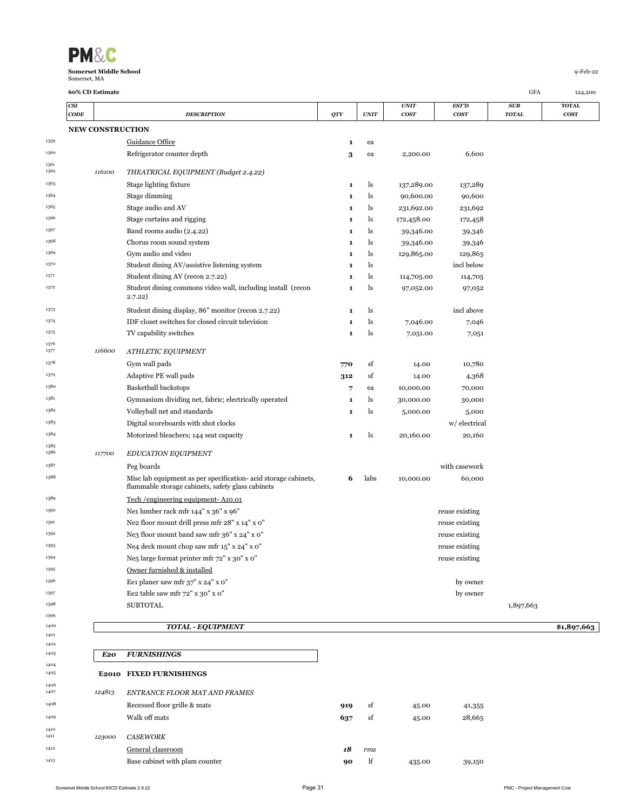| <b>PM&amp;C</b>               |          |
|-------------------------------|----------|
| <b>Somerset Middle School</b> | q-Feb-22 |
| Somerset, MA                  |          |

1376<br>1377

|              | CSI<br>$\mathbf{CODE}$ |        | <b>DESCRIPTION</b>                                                                                                   | QTY | <b>UNIT</b> | <b>UNIT</b><br><b>COST</b> | <b>EST'D</b><br>cosr | SUB<br><b>TOTAL</b> | <b>TOTAL</b><br><b>COST</b> |
|--------------|------------------------|--------|----------------------------------------------------------------------------------------------------------------------|-----|-------------|----------------------------|----------------------|---------------------|-----------------------------|
|              |                        |        | <b>NEW CONSTRUCTION</b>                                                                                              |     |             |                            |                      |                     |                             |
| 1359         |                        |        | Guidance Office                                                                                                      | 1   | ea          |                            |                      |                     |                             |
| 1360         |                        |        | Refrigerator counter depth                                                                                           | 3   | ea          | 2,200.00                   | 6,600                |                     |                             |
| 1361<br>1362 |                        | 116100 | THEATRICAL EQUIPMENT (Budget 2.4.22)                                                                                 |     |             |                            |                      |                     |                             |
| 1363         |                        |        | Stage lighting fixture                                                                                               | 1   | ls          | 137,289.00                 | 137,289              |                     |                             |
| 1364         |                        |        | Stage dimming                                                                                                        | 1   | ls          | 90,600.00                  | 90,600               |                     |                             |
| 1365         |                        |        | Stage audio and AV                                                                                                   | 1   | ls          | 231,692.00                 | 231,692              |                     |                             |
| 1366         |                        |        | Stage curtains and rigging                                                                                           | 1   | ls          | 172,458.00                 | 172,458              |                     |                             |
| 1367         |                        |        | Band rooms audio (2.4.22)                                                                                            | 1   | ls          | 39,346.00                  | 39,346               |                     |                             |
| 1368         |                        |        | Chorus room sound system                                                                                             | 1   | ls          | 39,346.00                  | 39,346               |                     |                             |
| 1369         |                        |        | Gym audio and video                                                                                                  | 1   | ls          | 129,865.00                 | 129,865              |                     |                             |
| 1370         |                        |        | Student dining AV/assistive listening system                                                                         | 1   | ls          |                            | incl below           |                     |                             |
| 1371         |                        |        | Student dining AV (recon 2.7.22)                                                                                     | 1   | ls          | 114,705.00                 | 114,705              |                     |                             |
| 1372         |                        |        | Student dining commons video wall, including install (recon<br>2.7.22)                                               | 1   | ls          | 97,052.00                  | 97,052               |                     |                             |
| 1373         |                        |        | Student dining display, 86" monitor (recon 2.7.22)                                                                   | 1   | ls          |                            | incl above           |                     |                             |
| 1374         |                        |        | IDF closet switches for closed circuit television                                                                    | 1   | ls          | 7,046.00                   | 7,046                |                     |                             |
| 1375         |                        |        | TV capability switches                                                                                               | 1   | ls          | 7,051.00                   | 7,051                |                     |                             |
| 1376<br>1377 |                        | 116600 | ATHLETIC EQUIPMENT                                                                                                   |     |             |                            |                      |                     |                             |
| 1378         |                        |        | Gym wall pads                                                                                                        | 770 | sf          | 14.00                      | 10,780               |                     |                             |
| 1379         |                        |        | Adaptive PE wall pads                                                                                                | 312 | sf          | 14.00                      | 4,368                |                     |                             |
| 1380         |                        |        | <b>Basketball backstops</b>                                                                                          | 7   | ea          | 10,000.00                  | 70,000               |                     |                             |
| 1381         |                        |        | Gymnasium dividing net, fabric; electrically operated                                                                | 1   | ls          | 30,000.00                  | 30,000               |                     |                             |
| 1382         |                        |        | Volleyball net and standards                                                                                         | 1   | ls          | 5,000.00                   | 5,000                |                     |                             |
| 1383         |                        |        | Digital scoreboards with shot clocks                                                                                 |     |             |                            | w/ electrical        |                     |                             |
| 1384         |                        |        | Motorized bleachers; 144 seat capacity                                                                               | 1   | ls          | 20,160.00                  | 20,160               |                     |                             |
| 1385<br>1386 |                        | 117700 | <b>EDUCATION EQUIPMENT</b>                                                                                           |     |             |                            |                      |                     |                             |
| 1387         |                        |        |                                                                                                                      |     |             |                            |                      |                     |                             |
|              |                        |        | Peg boards                                                                                                           |     |             |                            | with casework        |                     |                             |
| 1388         |                        |        | Misc lab equipment as per specification- acid storage cabinets,<br>flammable storage cabinets, safety glass cabinets | 6   | labs        | 10,000.00                  | 60,000               |                     |                             |
| 1389         |                        |        | Tech /engineering equipment-A10.01                                                                                   |     |             |                            |                      |                     |                             |
| 1390         |                        |        | Nei lumber rack mfr 144" x 36" x 96"                                                                                 |     |             |                            | reuse existing       |                     |                             |
| 1391         |                        |        | Ne2 floor mount drill press mfr 28" x 14" x 0"                                                                       |     |             |                            | reuse existing       |                     |                             |
| 1392         |                        |        | Ne3 floor mount band saw mfr 36" x 24" x 0"                                                                          |     |             |                            | reuse existing       |                     |                             |
| 1393         |                        |        | Ne4 deck mount chop saw mfr 15" x 24" x 0"                                                                           |     |             |                            | reuse existing       |                     |                             |
| 1394         |                        |        | Ne5 large format printer mfr 72" x 30" x 0"                                                                          |     |             |                            | reuse existing       |                     |                             |
| 1395         |                        |        | Owner furnished & installed                                                                                          |     |             |                            |                      |                     |                             |
| 1396         |                        |        | Ee1 planer saw mfr 37" x 24" x 0"                                                                                    |     |             |                            | by owner             |                     |                             |
| 1397         |                        |        | Ee2 table saw mfr 72" x 30" x 0"                                                                                     |     |             |                            | by owner             |                     |                             |
| 1398         |                        |        | <b>SUBTOTAL</b>                                                                                                      |     |             |                            |                      | 1,897,663           |                             |
| 1399         |                        |        |                                                                                                                      |     |             |                            |                      |                     |                             |
| 1400         |                        |        | <b>TOTAL - EQUIPMENT</b>                                                                                             |     |             |                            |                      |                     | \$1,897,663                 |
| 1401         |                        |        |                                                                                                                      |     |             |                            |                      |                     |                             |

| 1403         | E20    | <b>FURNISHINGS</b>             |     |     |        |        |
|--------------|--------|--------------------------------|-----|-----|--------|--------|
| 1404         |        |                                |     |     |        |        |
| 1405         |        | E2010 FIXED FURNISHINGS        |     |     |        |        |
| 1406<br>1407 | 124813 | ENTRANCE FLOOR MAT AND FRAMES  |     |     |        |        |
| 1408         |        | Recessed floor grille & mats   | 919 | sf  | 45.00  | 41,355 |
| 1409         |        | Walk off mats                  | 637 | sf  | 45.00  | 28,665 |
| 1410<br>1411 | 123000 | <b>CASEWORK</b>                |     |     |        |        |
| 1412         |        | General classroom              | 18  | rms |        |        |
| 1413         |        | Base cabinet with plam counter | 90  | lf  | 435.00 | 39,150 |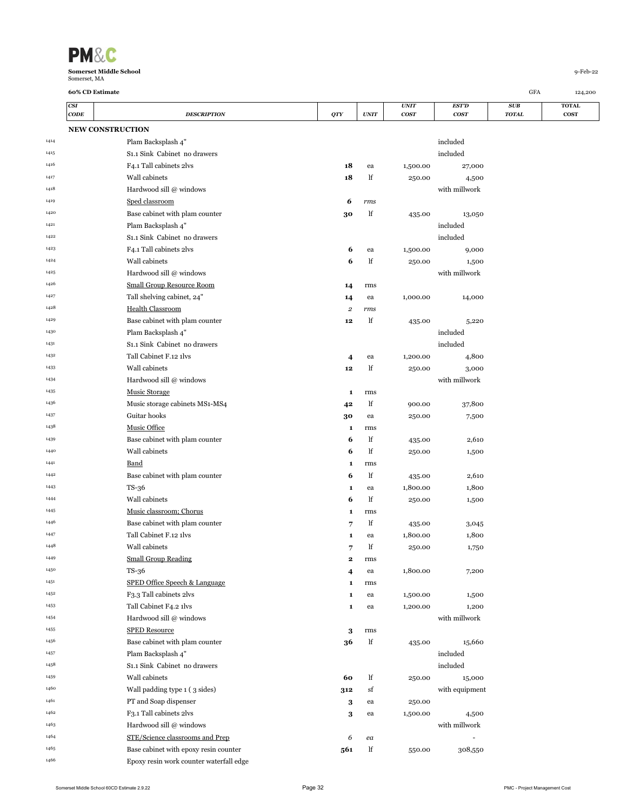| <b>PM&amp;C</b>                               |            |
|-----------------------------------------------|------------|
| <b>Somerset Middle School</b><br>Somerset, MA | $9-Feb-22$ |

|      | CSI         |                                           |              |             | <b>UNIT</b> | EST'D          | SUB          | <b>TOTAL</b> |
|------|-------------|-------------------------------------------|--------------|-------------|-------------|----------------|--------------|--------------|
|      | <b>CODE</b> | <b>DESCRIPTION</b>                        | QTY          | <b>UNIT</b> | <b>COST</b> | <b>COST</b>    | <b>TOTAL</b> | <b>COST</b>  |
|      |             | <b>NEW CONSTRUCTION</b>                   |              |             |             |                |              |              |
| 1414 |             | Plam Backsplash 4"                        |              |             |             | included       |              |              |
| 1415 |             | S <sub>1</sub> .1 Sink Cabinet no drawers |              |             |             | included       |              |              |
| 1416 |             | F4.1 Tall cabinets 2lvs                   | 18           | ea          | 1,500.00    | 27,000         |              |              |
| 1417 |             | Wall cabinets                             | 18           | lf          | 250.00      | 4,500          |              |              |
| 1418 |             | Hardwood sill @ windows                   |              |             |             | with millwork  |              |              |
| 1419 |             | Sped classroom                            | 6            | rms         |             |                |              |              |
| 1420 |             | Base cabinet with plam counter            | 30           | lf          | 435.00      | 13,050         |              |              |
| 1421 |             | Plam Backsplash 4"                        |              |             |             | included       |              |              |
| 1422 |             | S <sub>1</sub> ,1 Sink Cabinet no drawers |              |             |             | included       |              |              |
| 1423 |             | F4.1 Tall cabinets 2lvs                   | 6            | ea          | 1,500.00    | 9,000          |              |              |
| 1424 |             | Wall cabinets                             | 6            | lf          | 250.00      | 1,500          |              |              |
| 1425 |             | Hardwood sill @ windows                   |              |             |             | with millwork  |              |              |
| 1426 |             | <b>Small Group Resource Room</b>          | 14           | rms         |             |                |              |              |
| 1427 |             | Tall shelving cabinet, 24"                | 14           | ea          | 1,000.00    | 14,000         |              |              |
| 1428 |             | <b>Health Classroom</b>                   | 2            | rms         |             |                |              |              |
| 1429 |             | Base cabinet with plam counter            | 12           | lf          | 435.00      | 5,220          |              |              |
| 1430 |             | Plam Backsplash 4"                        |              |             |             | included       |              |              |
| 1431 |             | S <sub>1</sub> .1 Sink Cabinet no drawers |              |             |             | included       |              |              |
| 1432 |             | Tall Cabinet F.12 1lvs                    | 4            | ea          | 1,200.00    | 4,800          |              |              |
| 1433 |             | Wall cabinets                             | 12           | lf          | 250.00      | 3,000          |              |              |
| 1434 |             | Hardwood sill @ windows                   |              |             |             | with millwork  |              |              |
| 1435 |             | <b>Music Storage</b>                      | 1            | rms         |             |                |              |              |
| 1436 |             | Music storage cabinets MS1-MS4            | 42           | lf          | 900.00      | 37,800         |              |              |
| 1437 |             | Guitar hooks                              | 30           | ea          | 250.00      | 7,500          |              |              |
| 1438 |             | <b>Music Office</b>                       | 1            | rms         |             |                |              |              |
| 1439 |             | Base cabinet with plam counter            | 6            | lf          | 435.00      | 2,610          |              |              |
| 1440 |             | Wall cabinets                             | 6            | lf          | 250.00      | 1,500          |              |              |
| 1441 |             | Band                                      | 1            | rms         |             |                |              |              |
| 1442 |             | Base cabinet with plam counter            | 6            | lf          | 435.00      | 2,610          |              |              |
| 1443 |             | $TS-36$                                   | 1            | ea          | 1,800.00    | 1,800          |              |              |
| 1444 |             | Wall cabinets                             | 6            | lf          | 250.00      | 1,500          |              |              |
| 1445 |             | Music classroom; Chorus                   | 1            | rms         |             |                |              |              |
| 1446 |             | Base cabinet with plam counter            | 7            | lf          | 435.00      | 3,045          |              |              |
| 1447 |             | Tall Cabinet F.12 1lvs                    | 1            | ea          | 1,800.00    | 1,800          |              |              |
| 1448 |             | Wall cabinets                             | 7            | lf          | 250.00      | 1,750          |              |              |
| 1449 |             | <b>Small Group Reading</b>                | $\mathbf{2}$ | rms         |             |                |              |              |
| 1450 |             | $TS-36$                                   | 4            | ea          | 1,800.00    | 7,200          |              |              |
| 1451 |             | <b>SPED Office Speech &amp; Language</b>  | 1            | rms         |             |                |              |              |
| 1452 |             | F <sub>3</sub> .3 Tall cabinets 2lvs      | 1            | ea          | 1,500.00    | 1,500          |              |              |
| 1453 |             | Tall Cabinet F4.2 1lvs                    | 1            | ea          | 1,200.00    | 1,200          |              |              |
| 1454 |             | Hardwood sill @ windows                   |              |             |             | with millwork  |              |              |
| 1455 |             | <b>SPED Resource</b>                      | 3            | rms         |             |                |              |              |
| 1456 |             | Base cabinet with plam counter            | 36           | lf          | 435.00      | 15,660         |              |              |
| 1457 |             | Plam Backsplash 4"                        |              |             |             | included       |              |              |
| 1458 |             | S1.1 Sink Cabinet no drawers              |              |             |             | included       |              |              |
| 1459 |             | Wall cabinets                             | 60           | lf          | 250.00      | 15,000         |              |              |
| 1460 |             | Wall padding type 1 (3 sides)             | 312          | sf          |             | with equipment |              |              |
| 1461 |             | PT and Soap dispenser                     | 3            | ea          | 250.00      |                |              |              |
| 1462 |             | F3.1 Tall cabinets 2lvs                   | 3            | ea          | 1,500.00    | 4,500          |              |              |
| 1463 |             | Hardwood sill @ windows                   |              |             |             | with millwork  |              |              |
| 1464 |             | STE/Science classrooms and Prep           | 6            | ea          |             |                |              |              |
| 1465 |             | Base cabinet with epoxy resin counter     | 561          | lf          | 550.00      | 308,550        |              |              |
| 1466 |             | Epoxy resin work counter waterfall edge   |              |             |             |                |              |              |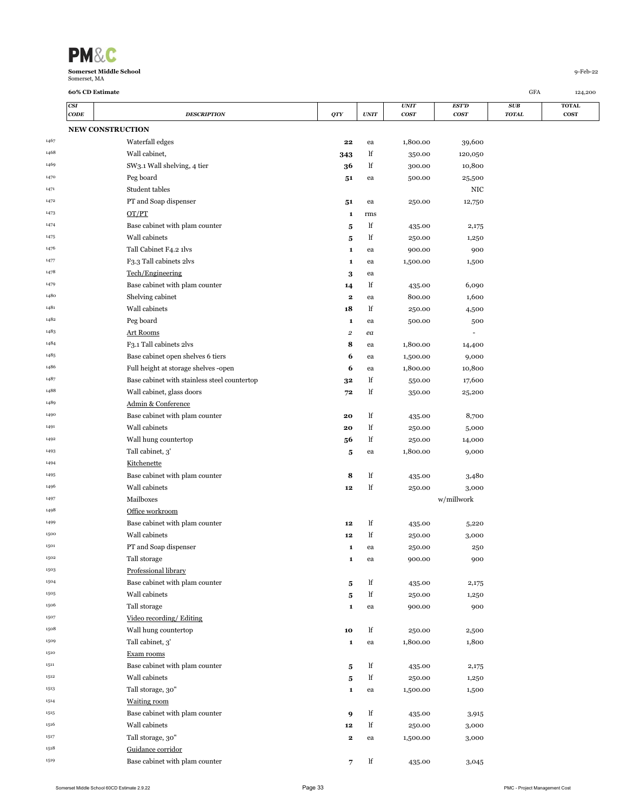

|      | CODE                    | <b>DESCRIPTION</b>                           | QTY            | <b>UNIT</b> | <b>COST</b>      | <b>COST</b> | <b>TOTAL</b> | <b>COST</b> |
|------|-------------------------|----------------------------------------------|----------------|-------------|------------------|-------------|--------------|-------------|
|      | <b>NEW CONSTRUCTION</b> |                                              |                |             |                  |             |              |             |
| 1467 |                         | Waterfall edges                              | 22             | ea          | 1,800.00         | 39,600      |              |             |
| 1468 |                         | Wall cabinet,                                | 343            | lf          | 350.00           | 120,050     |              |             |
| 1469 |                         | SW3.1 Wall shelving, 4 tier                  | 36             | lf          | 300.00           | 10,800      |              |             |
| 1470 |                         | Peg board                                    | 51             | ea          | 500.00           | 25,500      |              |             |
| 1471 |                         | Student tables                               |                |             |                  | NIC         |              |             |
| 1472 |                         | PT and Soap dispenser                        |                | ea          | 250.00           | 12,750      |              |             |
| 1473 |                         | OT/PT                                        | 51             | rms         |                  |             |              |             |
| 1474 |                         | Base cabinet with plam counter               | 1              | lf          |                  |             |              |             |
| 1475 |                         | Wall cabinets                                | 5              | lf          | 435.00           | 2,175       |              |             |
| 1476 |                         | Tall Cabinet F4.2 1lvs                       | 5              |             | 250.00           | 1,250       |              |             |
| 1477 |                         | F3.3 Tall cabinets 2lvs                      | 1              | ea          | 900.00           | 900         |              |             |
| 1478 |                         | Tech/Engineering                             | 1              | ea          | 1,500.00         | 1,500       |              |             |
| 1479 |                         |                                              | 3              | ea          |                  |             |              |             |
| 1480 |                         | Base cabinet with plam counter               | 14             | lf          | 435.00           | 6,090       |              |             |
|      |                         | Shelving cabinet                             | 2              | ea          | 800.00           | 1,600       |              |             |
| 1481 |                         | Wall cabinets                                | 18             | lf          | 250.00           | 4,500       |              |             |
| 1482 |                         | Peg board                                    | 1              | ea          | 500.00           | 500         |              |             |
| 1483 |                         | <b>Art Rooms</b>                             | 2              | ea          |                  |             |              |             |
| 1484 |                         | F3.1 Tall cabinets 2lvs                      | 8              | ea          | 1,800.00         | 14,400      |              |             |
| 1485 |                         | Base cabinet open shelves 6 tiers            | 6              | ea          | 1,500.00         | 9,000       |              |             |
| 1486 |                         | Full height at storage shelves -open         | 6              | ea          | 1,800.00         | 10,800      |              |             |
| 1487 |                         | Base cabinet with stainless steel countertop | 32             | lf          | 550.00           | 17,600      |              |             |
| 1488 |                         | Wall cabinet, glass doors                    | 72             | lf          | 350.00           | 25,200      |              |             |
| 1489 |                         | Admin & Conference                           |                |             |                  |             |              |             |
| 1490 |                         | Base cabinet with plam counter               | 20             | lf          | 435.00           | 8,700       |              |             |
| 1491 |                         | Wall cabinets                                | 20             | lf          | 250.00           | 5,000       |              |             |
| 1492 |                         | Wall hung countertop                         | 56             | lf          | 250.00           | 14,000      |              |             |
| 1493 |                         | Tall cabinet, 3'                             | 5              | ea          | 1,800.00         | 9,000       |              |             |
| 1494 |                         | Kitchenette                                  |                |             |                  |             |              |             |
| 1495 |                         | Base cabinet with plam counter               | 8              | lf          | 435.00           | 3,480       |              |             |
| 1496 |                         | Wall cabinets                                | 12             | lf          | 250.00           | 3,000       |              |             |
| 1497 |                         | Mailboxes                                    |                |             |                  | w/millwork  |              |             |
| 1498 |                         | Office workroom                              |                |             |                  |             |              |             |
| 1499 |                         | Base cabinet with plam counter               | 12             | lf          | 435.00           | 5,220       |              |             |
| 1500 |                         | Wall cabinets                                | 12             | lf          | 250.00           | 3,000       |              |             |
| 1501 |                         | PT and Soap dispenser                        | 1              | ea          | 250.00           | 250         |              |             |
| 1502 |                         | Tall storage                                 | 1              | ea          | 900.00           | 900         |              |             |
| 1503 |                         | Professional library                         |                |             |                  |             |              |             |
| 1504 |                         | Base cabinet with plam counter               | 5              | lf          | 435.00           | 2,175       |              |             |
| 1505 |                         | Wall cabinets                                | 5              | lf          | 250.00           | 1,250       |              |             |
| 1506 |                         | Tall storage                                 | 1              | ea          | 900.00           | 900         |              |             |
| 1507 |                         | Video recording/ Editing                     |                |             |                  |             |              |             |
| 1508 |                         | Wall hung countertop                         | 10             | lf          | 250.00           | 2,500       |              |             |
| 1509 |                         | Tall cabinet, 3'                             | 1              | ea          | 1,800.00         | 1,800       |              |             |
| 1510 |                         | Exam rooms                                   |                |             |                  |             |              |             |
| 1511 |                         | Base cabinet with plam counter               | 5              | lf          | 435.00           | 2,175       |              |             |
| 1512 |                         | Wall cabinets                                | 5              | lf          | 250.00           | 1,250       |              |             |
| 1513 |                         | Tall storage, 30"                            | 1              | ea          | 1,500.00         | 1,500       |              |             |
| 1514 |                         | <b>Waiting room</b>                          |                |             |                  |             |              |             |
| 1515 |                         | Base cabinet with plam counter               |                | lf          |                  |             |              |             |
| 1516 |                         | Wall cabinets                                | 9<br>$\bf{12}$ | lf          | 435.00<br>250.00 | 3,915       |              |             |
| 1517 |                         | Tall storage, 30"                            |                |             |                  | 3,000       |              |             |
| 1518 |                         | Guidance corridor                            | 2              | ea          | 1,500.00         | 3,000       |              |             |
| 1519 |                         | Base cabinet with plam counter               |                |             |                  |             |              |             |
|      |                         |                                              | $\overline{7}$ | lf          | 435.00           | 3,045       |              |             |

*CSI UNIT EST'D SUB* **TOTAL**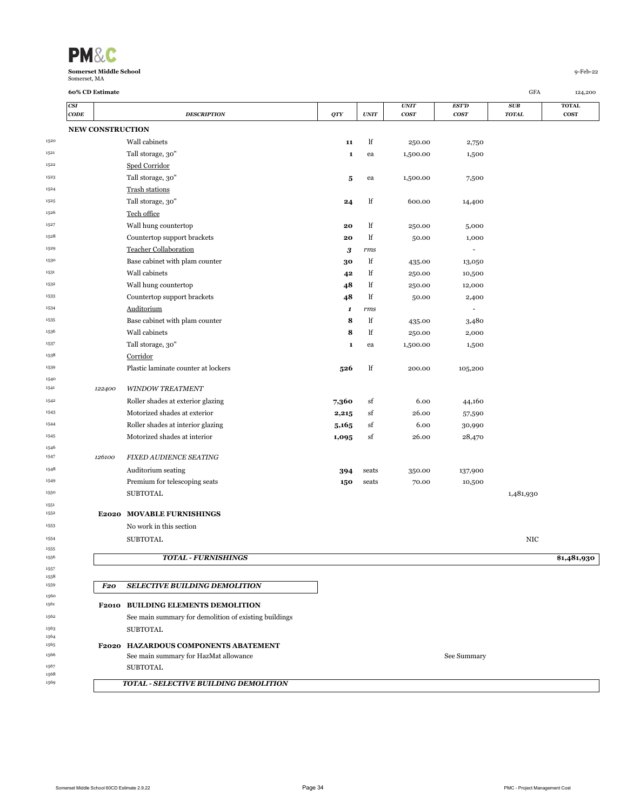| <b>PM&amp;C</b>               |          |
|-------------------------------|----------|
| <b>Somerset Middle School</b> | q-Feb-22 |
| Somerset, MA                  |          |

 

<br> $1568$ 

|              | <b>CSI</b>              |        |                                                       |       |                     | <b>UNIT</b> | EST'D                    | SUB          | <b>TOTAL</b> |
|--------------|-------------------------|--------|-------------------------------------------------------|-------|---------------------|-------------|--------------------------|--------------|--------------|
|              | $\mathbf{CODE}$         |        | <b>DESCRIPTION</b>                                    | QTY   | $\boldsymbol{UNIT}$ | cosr        | cosr                     | <b>TOTAL</b> | <b>COST</b>  |
|              | <b>NEW CONSTRUCTION</b> |        |                                                       |       |                     |             |                          |              |              |
| 1520         |                         |        | Wall cabinets                                         | 11    | lf                  | 250.00      | 2,750                    |              |              |
| 1521         |                         |        | Tall storage, 30"                                     | 1     | ea                  | 1,500.00    | 1,500                    |              |              |
| 1522         |                         |        | Sped Corridor                                         |       |                     |             |                          |              |              |
| 1523         |                         |        | Tall storage, 30"                                     | 5     | ea                  | 1,500.00    | 7,500                    |              |              |
| 1524         |                         |        | Trash stations                                        |       |                     |             |                          |              |              |
| 1525         |                         |        | Tall storage, 30"                                     | 24    | lf                  | 600.00      | 14,400                   |              |              |
| 1526         |                         |        | Tech office                                           |       |                     |             |                          |              |              |
| 1527         |                         |        | Wall hung countertop                                  | 20    | lf                  | 250.00      | 5,000                    |              |              |
| 1528         |                         |        | Countertop support brackets                           | 20    | lf                  | 50.00       | 1,000                    |              |              |
| 1529         |                         |        | <b>Teacher Collaboration</b>                          | 3     | rms                 |             | $\overline{\phantom{a}}$ |              |              |
| 1530         |                         |        | Base cabinet with plam counter                        | 30    | lf                  | 435.00      | 13,050                   |              |              |
| 1531         |                         |        | Wall cabinets                                         | 42    | lf                  | 250.00      | 10,500                   |              |              |
| 1532         |                         |        | Wall hung countertop                                  | 48    | lf                  | 250.00      | 12,000                   |              |              |
| 1533         |                         |        | Countertop support brackets                           | 48    | lf                  | 50.00       | 2,400                    |              |              |
| 1534         |                         |        | <b>Auditorium</b>                                     | 1     | rms                 |             |                          |              |              |
| 1535         |                         |        | Base cabinet with plam counter                        | 8     | lf                  | 435.00      | 3,480                    |              |              |
| 1536         |                         |        | Wall cabinets                                         | 8     | lf                  | 250.00      | 2,000                    |              |              |
| 1537         |                         |        | Tall storage, 30"                                     | 1     | ea                  | 1,500.00    | 1,500                    |              |              |
| 1538         |                         |        | Corridor                                              |       |                     |             |                          |              |              |
| 1539         |                         |        | Plastic laminate counter at lockers                   | 526   | lf                  | 200.00      | 105,200                  |              |              |
| 1540<br>1541 |                         |        | <b>WINDOW TREATMENT</b>                               |       |                     |             |                          |              |              |
| 1542         |                         | 122400 |                                                       |       |                     |             |                          |              |              |
| 1543         |                         |        | Roller shades at exterior glazing                     | 7,360 | sf                  | 6.00        | 44,160                   |              |              |
|              |                         |        | Motorized shades at exterior                          | 2,215 | sf                  | 26.00       | 57,590                   |              |              |
| 1544<br>1545 |                         |        | Roller shades at interior glazing                     | 5,165 | sf                  | 6.00        | 30,990                   |              |              |
| 1546         |                         |        | Motorized shades at interior                          | 1,095 | sf                  | 26.00       | 28,470                   |              |              |
| 1547         |                         | 126100 | <b>FIXED AUDIENCE SEATING</b>                         |       |                     |             |                          |              |              |
| 1548         |                         |        | Auditorium seating                                    | 394   | seats               | 350.00      | 137,900                  |              |              |
| 1549         |                         |        | Premium for telescoping seats                         | 150   | seats               | 70.00       | 10,500                   |              |              |
| 1550         |                         |        | <b>SUBTOTAL</b>                                       |       |                     |             |                          | 1,481,930    |              |
| 1551         |                         |        |                                                       |       |                     |             |                          |              |              |
| 1552         |                         |        | E2020 MOVABLE FURNISHINGS                             |       |                     |             |                          |              |              |
| 1553         |                         |        | No work in this section                               |       |                     |             |                          |              |              |
| 1554         |                         |        | <b>SUBTOTAL</b>                                       |       |                     |             |                          | NIC          |              |
| 1555<br>1556 |                         |        | <b>TOTAL - FURNISHINGS</b>                            |       |                     |             |                          |              | \$1,481,930  |
| 1557         |                         |        |                                                       |       |                     |             |                          |              |              |
| 1558         |                         |        |                                                       |       |                     |             |                          |              |              |
| 1559         |                         | F20    | <b>SELECTIVE BUILDING DEMOLITION</b>                  |       |                     |             |                          |              |              |
| 1560<br>1561 |                         |        | F2010 BUILDING ELEMENTS DEMOLITION                    |       |                     |             |                          |              |              |
| 1562         |                         |        | See main summary for demolition of existing buildings |       |                     |             |                          |              |              |
| 1563         |                         |        | <b>SUBTOTAL</b>                                       |       |                     |             |                          |              |              |
| 1564         |                         |        |                                                       |       |                     |             |                          |              |              |
| 1565         |                         |        | F2020 HAZARDOUS COMPONENTS ABATEMENT                  |       |                     |             |                          |              |              |
| 1566<br>1567 |                         |        | See main summary for HazMat allowance                 |       |                     |             | See Summary              |              |              |
| 1568         |                         |        | <b>SUBTOTAL</b>                                       |       |                     |             |                          |              |              |
| 1569         |                         |        | TOTAL - SELECTIVE BUILDING DEMOLITION                 |       |                     |             |                          |              |              |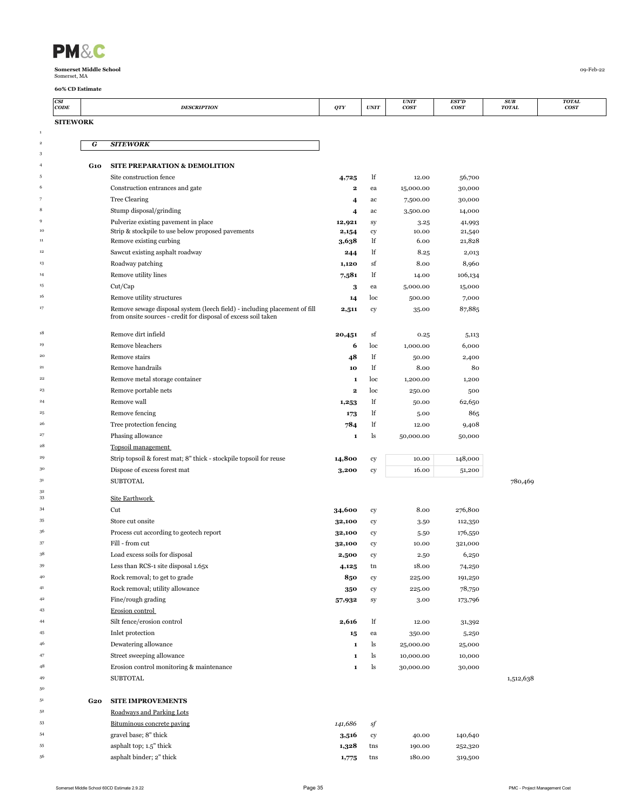| <b>PM&amp;</b> |
|----------------|
|----------------|

|                     | CSI<br>CODE     |            | <b>DESCRIPTION</b>                                                                                                                          | QTY              | $\ensuremath{\textit{UNIT}}$ | <b>UNIT</b><br>cos <sub>T</sub> | <b>EST'D</b><br><b>COST</b> | SUB<br><b>TOTAL</b> | <b>TOTAL</b><br>cosr |
|---------------------|-----------------|------------|---------------------------------------------------------------------------------------------------------------------------------------------|------------------|------------------------------|---------------------------------|-----------------------------|---------------------|----------------------|
|                     | <b>SITEWORK</b> |            |                                                                                                                                             |                  |                              |                                 |                             |                     |                      |
| $\,$ 1              |                 |            |                                                                                                                                             |                  |                              |                                 |                             |                     |                      |
| $\,$ 2 $\,$         |                 | G          | <b>SITEWORK</b>                                                                                                                             |                  |                              |                                 |                             |                     |                      |
| 3<br>$\overline{4}$ |                 |            |                                                                                                                                             |                  |                              |                                 |                             |                     |                      |
| 5                   |                 | G10        | SITE PREPARATION & DEMOLITION<br>Site construction fence                                                                                    |                  | lf                           | 12.00                           | 56,700                      |                     |                      |
| 6                   |                 |            | Construction entrances and gate                                                                                                             | 4,725<br>2       | ea                           | 15,000.00                       | 30,000                      |                     |                      |
|                     |                 |            | <b>Tree Clearing</b>                                                                                                                        | 4                | ac                           | 7,500.00                        | 30,000                      |                     |                      |
| 8                   |                 |            | Stump disposal/grinding                                                                                                                     | 4                | ac                           | 3,500.00                        | 14,000                      |                     |                      |
| 9                   |                 |            | Pulverize existing pavement in place                                                                                                        | 12,921           | sy                           | 3.25                            | 41,993                      |                     |                      |
| $10\,$              |                 |            | Strip & stockpile to use below proposed pavements                                                                                           | 2,154            | cy                           | 10.00                           | 21,540                      |                     |                      |
| 11                  |                 |            | Remove existing curbing                                                                                                                     | 3,638            | lf                           | 6.00                            | 21,828                      |                     |                      |
| $12\,$              |                 |            | Sawcut existing asphalt roadway                                                                                                             | 244              | lf                           | 8.25                            | 2,013                       |                     |                      |
| $^{\rm 13}$         |                 |            | Roadway patching                                                                                                                            | 1,120            | sf                           | 8.00                            | 8,960                       |                     |                      |
| 14                  |                 |            | Remove utility lines                                                                                                                        | 7,581            | lf                           | 14.00                           | 106,134                     |                     |                      |
| $15\,$              |                 |            | Cut/Cap                                                                                                                                     | 3                | ea                           | 5,000.00                        | 15,000                      |                     |                      |
| 16                  |                 |            | Remove utility structures                                                                                                                   | 14               | loc                          | 500.00                          | 7,000                       |                     |                      |
| 17                  |                 |            | Remove sewage disposal system (leech field) - including placement of fill<br>from onsite sources - credit for disposal of excess soil taken | 2,511            | cy                           | 35.00                           | 87,885                      |                     |                      |
|                     |                 |            |                                                                                                                                             |                  |                              |                                 |                             |                     |                      |
| $^{\rm 18}$         |                 |            | Remove dirt infield                                                                                                                         | 20,451           | sf                           | 0.25                            | 5,113                       |                     |                      |
| 19                  |                 |            | Remove bleachers                                                                                                                            | 6                | loc                          | 1,000.00                        | 6,000                       |                     |                      |
| 20                  |                 |            | Remove stairs                                                                                                                               | 48               | lf                           | 50.00                           | 2,400                       |                     |                      |
| 21<br>22            |                 |            | Remove handrails                                                                                                                            | 10               | lf                           | 8.00                            | 80                          |                     |                      |
|                     |                 |            | Remove metal storage container                                                                                                              | $\mathbf 1$      | loc                          | 1,200.00                        | 1,200                       |                     |                      |
| 23<br>24            |                 |            | Remove portable nets<br>Remove wall                                                                                                         | 2                | loc                          | 250.00                          | 500                         |                     |                      |
| 25                  |                 |            | Remove fencing                                                                                                                              | 1,253            | lf<br>lf                     | 50.00                           | 62,650<br>865               |                     |                      |
| 26                  |                 |            | Tree protection fencing                                                                                                                     | 173<br>784       | lf                           | 5.00<br>12.00                   | 9,408                       |                     |                      |
| 27                  |                 |            | Phasing allowance                                                                                                                           | $\mathbf 1$      | ls                           | 50,000.00                       | 50,000                      |                     |                      |
| 28                  |                 |            | Topsoil management                                                                                                                          |                  |                              |                                 |                             |                     |                      |
| 29                  |                 |            | Strip topsoil & forest mat; 8" thick - stockpile topsoil for reuse                                                                          | 14,800           | cy                           | 10.00                           | 148,000                     |                     |                      |
| 30                  |                 |            | Dispose of excess forest mat                                                                                                                | 3,200            | cy                           | 16.00                           | 51,200                      |                     |                      |
| 31                  |                 |            | <b>SUBTOTAL</b>                                                                                                                             |                  |                              |                                 |                             | 780,469             |                      |
| 32                  |                 |            |                                                                                                                                             |                  |                              |                                 |                             |                     |                      |
| 33                  |                 |            | Site Earthwork                                                                                                                              |                  |                              |                                 |                             |                     |                      |
| 34<br>35            |                 |            | Cut<br>Store cut onsite                                                                                                                     | 34,600           | cy                           | 8.00                            | 276,800                     |                     |                      |
| 36                  |                 |            | Process cut according to geotech report                                                                                                     | 32,100           | cy                           | 3.50                            | 112,350                     |                     |                      |
| 37                  |                 |            | Fill - from cut                                                                                                                             | 32,100<br>32,100 | cy<br>cy                     | 5.50<br>10.00                   | 176,550<br>321,000          |                     |                      |
| 38                  |                 |            | Load excess soils for disposal                                                                                                              | 2,500            | cy                           | 2.50                            | 6,250                       |                     |                      |
| 39                  |                 |            | Less than RCS-1 site disposal 1.65x                                                                                                         | 4,125            | tn                           | 18.00                           | 74,250                      |                     |                      |
| 40                  |                 |            | Rock removal; to get to grade                                                                                                               | 850              | cy                           | 225.00                          | 191,250                     |                     |                      |
| 41                  |                 |            | Rock removal; utility allowance                                                                                                             | 350              | ${\rm cy}$                   | 225.00                          | 78,750                      |                     |                      |
| 42                  |                 |            | Fine/rough grading                                                                                                                          | 57,932           | sy                           | 3.00                            | 173,796                     |                     |                      |
| 43                  |                 |            | Erosion control                                                                                                                             |                  |                              |                                 |                             |                     |                      |
| 44                  |                 |            | Silt fence/erosion control                                                                                                                  | 2,616            | lf                           | 12.00                           | 31,392                      |                     |                      |
| 45                  |                 |            | Inlet protection                                                                                                                            | 15               | ea                           | 350.00                          | 5,250                       |                     |                      |
| 46                  |                 |            | Dewatering allowance                                                                                                                        | 1                | ls                           | 25,000.00                       | 25,000                      |                     |                      |
| 47                  |                 |            | Street sweeping allowance                                                                                                                   | 1                | ls                           | 10,000.00                       | 10,000                      |                     |                      |
| 48                  |                 |            | Erosion control monitoring & maintenance                                                                                                    | $\bf{1}$         | ls                           | 30,000.00                       | 30,000                      |                     |                      |
| 49                  |                 |            | <b>SUBTOTAL</b>                                                                                                                             |                  |                              |                                 |                             | 1,512,638           |                      |
| 50                  |                 |            |                                                                                                                                             |                  |                              |                                 |                             |                     |                      |
| 51                  |                 | <b>G20</b> | <b>SITE IMPROVEMENTS</b>                                                                                                                    |                  |                              |                                 |                             |                     |                      |
| 52                  |                 |            | Roadways and Parking Lots                                                                                                                   |                  |                              |                                 |                             |                     |                      |
| 53                  |                 |            | Bituminous concrete paving                                                                                                                  | 141,686          | sf                           |                                 |                             |                     |                      |
| 54                  |                 |            | gravel base; 8" thick                                                                                                                       | 3,516            | ${\rm cy}$                   | 40.00                           | 140,640                     |                     |                      |
| 55<br>56            |                 |            | asphalt top; 1.5" thick                                                                                                                     | 1,328            | tns                          | 190.00                          | 252,320                     |                     |                      |
|                     |                 |            | asphalt binder; 2" thick                                                                                                                    | 1,775            | tns                          | 180.00                          | 319,500                     |                     |                      |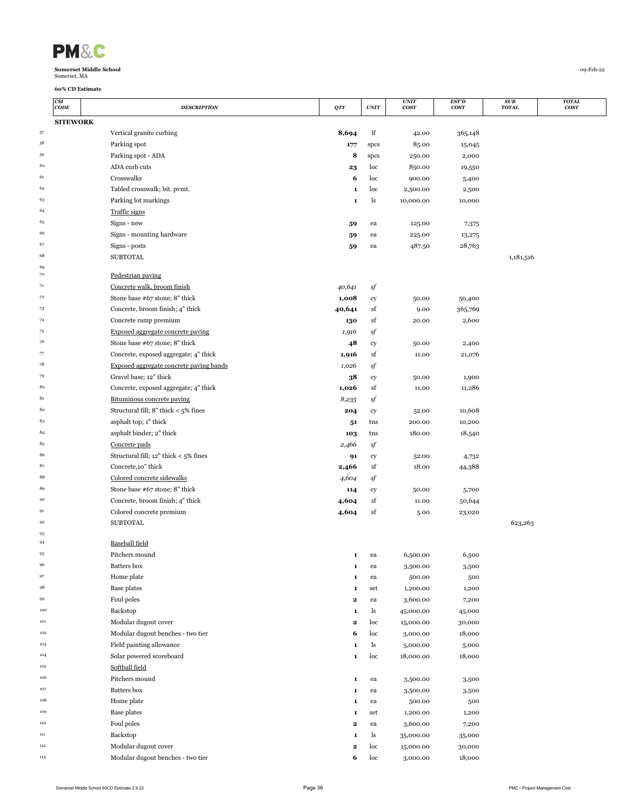|  | <b>PM&amp;</b> |  |
|--|----------------|--|
|--|----------------|--|

|              | CSI<br>CODE     | <b>DESCRIPTION</b>                        | QTY          | <b>UNIT</b> | <b>UNIT</b><br>cos <sub>T</sub> | <b>EST'D</b><br>cos <sub>T</sub> | SUB<br><b>TOTAL</b> | <b>TOTAL</b><br>cos <sub>T</sub> |
|--------------|-----------------|-------------------------------------------|--------------|-------------|---------------------------------|----------------------------------|---------------------|----------------------------------|
|              | <b>SITEWORK</b> |                                           |              |             |                                 |                                  |                     |                                  |
| 57           |                 | Vertical granite curbing                  | 8,694        | lf          | 42.00                           | 365,148                          |                     |                                  |
| 58           |                 | Parking spot                              | 177          | spcs        | 85.00                           | 15,045                           |                     |                                  |
| 59           |                 | Parking spot - ADA                        | 8            | spcs        | 250.00                          | 2,000                            |                     |                                  |
| 60           |                 | ADA curb cuts                             | 23           | loc         | 850.00                          | 19,550                           |                     |                                  |
| 61           |                 | Crosswalks                                | 6            | loc         | 900.00                          | 5,400                            |                     |                                  |
| 62           |                 | Tabled crosswalk; bit. pvmt.              | ${\bf 1}$    | loc         | 2,500.00                        | 2,500                            |                     |                                  |
| 63           |                 | Parking lot markings                      | 1            | ls          | 10,000.00                       | 10,000                           |                     |                                  |
| 64           |                 | Traffic signs                             |              |             |                                 |                                  |                     |                                  |
| 65           |                 | Signs - new                               | 59           | ea          | 125.00                          | 7,375                            |                     |                                  |
| 66           |                 | Signs - mounting hardware                 | 59           | ea          | 225.00                          | 13,275                           |                     |                                  |
| 67           |                 | Signs - posts                             | 59           | ea          | 487.50                          | 28,763                           |                     |                                  |
| 68           |                 | <b>SUBTOTAL</b>                           |              |             |                                 |                                  | 1,181,516           |                                  |
| 69           |                 |                                           |              |             |                                 |                                  |                     |                                  |
| 70           |                 | Pedestrian paving                         |              |             |                                 |                                  |                     |                                  |
| 71           |                 | Concrete walk, broom finish               | 40,641       | sf          |                                 |                                  |                     |                                  |
| 72           |                 | Stone base #67 stone; 8" thick            | 1,008        | cy          | 50.00                           | 50,400                           |                     |                                  |
| 73           |                 | Concrete, broom finish; 4" thick          | 40,641       | sf          | 9.00                            | 365,769                          |                     |                                  |
| 74           |                 | Concrete ramp premium                     | 130          | sf          | 20.00                           | 2,600                            |                     |                                  |
| 75           |                 | Exposed aggregate concrete paving         | 1,916        | sf          |                                 |                                  |                     |                                  |
| 76           |                 | Stone base #67 stone; 8" thick            | 48           | cy          | 50.00                           | 2,400                            |                     |                                  |
| 77           |                 | Concrete, exposed aggregate; 4" thick     | 1,916        | sf          | 11.00                           | 21,076                           |                     |                                  |
| 78           |                 | Exposed aggregate concrete paving bands   | 1,026        | sf          |                                 |                                  |                     |                                  |
| 79           |                 | Gravel base; 12" thick                    | 38           | cy          | 50.00                           | 1,900                            |                     |                                  |
| 80           |                 | Concrete, exposed aggregate; 4" thick     | 1,026        | sf          | 11.00                           | 11,286                           |                     |                                  |
| 81           |                 | Bituminous concrete paving                | 8,235        | sf          |                                 |                                  |                     |                                  |
| $\bf 82$     |                 | Structural fill; $8"$ thick $< 5\%$ fines | 204          | cy          | 52.00                           | 10,608                           |                     |                                  |
| 83           |                 | asphalt top; 1" thick                     | 51           | tns         | 200.00                          | 10,200                           |                     |                                  |
| 84           |                 | asphalt binder; 2" thick                  | 103          | tns         | 180.00                          | 18,540                           |                     |                                  |
| 85           |                 | Concrete pads                             | 2,466        | sf          |                                 |                                  |                     |                                  |
| 86           |                 | Structural fill; 12" thick < 5% fines     | 91           | ${\rm cy}$  | 52.00                           | 4,732                            |                     |                                  |
| 87           |                 | Concrete, 10" thick                       | 2,466        | sf          | 18.00                           | 44,388                           |                     |                                  |
| 88           |                 | Colored concrete sidewalks                | 4,604        | sf          |                                 |                                  |                     |                                  |
| 89           |                 | Stone base #67 stone; 8" thick            | 114          | ${\rm cy}$  | 50.00                           | 5,700                            |                     |                                  |
| 90           |                 | Concrete, broom finish; 4" thick          | 4,604        | sf          | 11.00                           | 50,644                           |                     |                                  |
| 91           |                 | Colored concrete premium                  | 4,604        | sf          | 5.00                            | 23,020                           |                     |                                  |
| 92           |                 | <b>SUBTOTAL</b>                           |              |             |                                 |                                  | 623,263             |                                  |
| 93           |                 |                                           |              |             |                                 |                                  |                     |                                  |
| 94           |                 | Baseball field                            |              |             |                                 |                                  |                     |                                  |
| 95           |                 | Pitchers mound                            | 1            | ea          | 6,500.00                        | 6,500                            |                     |                                  |
| 96           |                 | Batters box                               | 1            | ea          | 3,500.00                        | 3,500                            |                     |                                  |
| 97           |                 | Home plate                                | 1            | ea          | 500.00                          | 500                              |                     |                                  |
| 98           |                 | <b>Base plates</b>                        | 1            | set         | 1,200.00                        | 1,200                            |                     |                                  |
| 99           |                 | Foul poles                                | $\mathbf 2$  | ea          | 3,600.00                        | 7,200                            |                     |                                  |
| 100          |                 | Backstop                                  | $\mathbf 1$  | ls          | 45,000.00                       | 45,000                           |                     |                                  |
| 101          |                 | Modular dugout cover                      | $\mathbf 2$  | loc         | 15,000.00                       | 30,000                           |                     |                                  |
| 102          |                 | Modular dugout benches - two tier         | 6            | loc         | 3,000.00                        | 18,000                           |                     |                                  |
| 103          |                 | Field painting allowance                  | $\mathbf 1$  | ls          | 5,000.00                        | 5,000                            |                     |                                  |
| 104          |                 | Solar powered scoreboard                  | $\mathbf 1$  | loc         | 18,000.00                       | 18,000                           |                     |                                  |
| 105          |                 | Softball field                            |              |             |                                 |                                  |                     |                                  |
| 106          |                 | Pitchers mound                            | 1            | ea          | 3,500.00                        | 3,500                            |                     |                                  |
| 107          |                 | Batters box                               | 1            | ea          | 3,500.00                        | 3,500                            |                     |                                  |
| 108          |                 | Home plate                                | 1            | ea          | 500.00                          | 500                              |                     |                                  |
| 109          |                 | <b>Base plates</b>                        | 1            | set         | 1,200.00                        | 1,200                            |                     |                                  |
| 110          |                 | Foul poles                                | $\mathbf 2$  | ea          | 3,600.00                        | 7,200                            |                     |                                  |
| $_{\rm 111}$ |                 | Backstop                                  | 1            | ls          | 35,000.00                       | 35,000                           |                     |                                  |
| 112          |                 | Modular dugout cover                      | $\mathbf{2}$ | loc         | 15,000.00                       | 30,000                           |                     |                                  |
| 113          |                 | Modular dugout benches - two tier         | 6            | loc         | 3,000.00                        | 18,000                           |                     |                                  |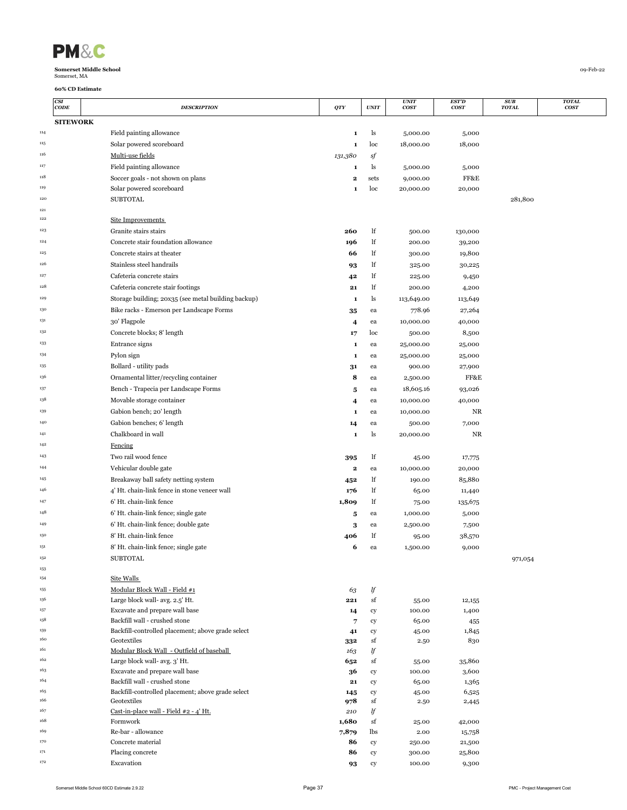| <b>PM&amp;</b> |
|----------------|
|----------------|

|            | CSI<br>CODE     | <b>DESCRIPTION</b>                                              | QTY      | <b>UNIT</b> | <b>UNIT</b><br>cos <sub>T</sub> | EST'D<br><b>COST</b> | <b>SUB</b><br><b>TOTAL</b> | <b>TOTAL</b><br><b>COST</b> |
|------------|-----------------|-----------------------------------------------------------------|----------|-------------|---------------------------------|----------------------|----------------------------|-----------------------------|
|            | <b>SITEWORK</b> |                                                                 |          |             |                                 |                      |                            |                             |
| 114        |                 | Field painting allowance                                        | 1        | ls          | 5,000.00                        | 5,000                |                            |                             |
| 115        |                 | Solar powered scoreboard                                        | 1        | loc         | 18,000.00                       | 18,000               |                            |                             |
| 116        |                 | Multi-use fields                                                | 131,380  | sf          |                                 |                      |                            |                             |
| 117        |                 | Field painting allowance                                        | 1        | ls          | 5,000.00                        | 5,000                |                            |                             |
| 118        |                 | Soccer goals - not shown on plans                               | 2        | sets        | 9,000.00                        | FF&E                 |                            |                             |
| 119        |                 | Solar powered scoreboard                                        | 1        | loc         | 20,000.00                       | 20,000               |                            |                             |
| 120        |                 | <b>SUBTOTAL</b>                                                 |          |             |                                 |                      | 281,800                    |                             |
| 121        |                 |                                                                 |          |             |                                 |                      |                            |                             |
| 122        |                 | Site Improvements                                               |          |             |                                 |                      |                            |                             |
| 123        |                 | Granite stairs stairs                                           | 260      | lf          | 500.00                          | 130,000              |                            |                             |
| 124        |                 | Concrete stair foundation allowance                             | 196      | lf          | 200.00                          | 39,200               |                            |                             |
| 125        |                 | Concrete stairs at theater                                      | 66       | lf          | 300.00                          | 19,800               |                            |                             |
| 126        |                 | Stainless steel handrails                                       | 93       | lf          | 325.00                          | 30,225               |                            |                             |
| 127        |                 | Cafeteria concrete stairs                                       | 42       | lf          | 225.00                          | 9,450                |                            |                             |
| 128        |                 | Cafeteria concrete stair footings                               | 21       | lf          | 200.00                          | 4,200                |                            |                             |
| 129        |                 | Storage building; 20x35 (see metal building backup)             | 1        | ls          | 113,649.00                      | 113,649              |                            |                             |
| 130        |                 | Bike racks - Emerson per Landscape Forms                        | 35       | ea          | 778.96                          | 27,264               |                            |                             |
| 131        |                 | 30' Flagpole                                                    | 4        | ea          | 10,000.00                       | 40,000               |                            |                             |
| 132        |                 | Concrete blocks; 8' length                                      | 17       | loc         | 500.00                          | 8,500                |                            |                             |
| 133        |                 | Entrance signs                                                  | 1        | ea          | 25,000.00                       | 25,000               |                            |                             |
| 134        |                 | Pylon sign                                                      | 1        | ea          | 25,000.00                       | 25,000               |                            |                             |
| 135        |                 | Bollard - utility pads                                          | 31       | ea          | 900.00                          | 27,900               |                            |                             |
| 136        |                 | Ornamental litter/recycling container                           | 8        | ea          | 2,500.00                        | FF&E                 |                            |                             |
| 137        |                 | Bench - Trapecia per Landscape Forms                            | 5        | ea          | 18,605.16                       | 93,026               |                            |                             |
| 138        |                 | Movable storage container                                       | 4        | ea          | 10,000.00                       | 40,000               |                            |                             |
| 139        |                 | Gabion bench; 20' length                                        | 1        | ea          | 10,000.00                       | NR                   |                            |                             |
| 140        |                 | Gabion benches; 6' length                                       | 14       | ea          | 500.00                          | 7,000                |                            |                             |
| 141        |                 | Chalkboard in wall                                              | 1        | ls          | 20,000.00                       | <b>NR</b>            |                            |                             |
| 142        |                 | Fencing                                                         |          |             |                                 |                      |                            |                             |
| 143        |                 | Two rail wood fence                                             | 395      | lf          | 45.00                           | 17,775               |                            |                             |
| 144        |                 | Vehicular double gate                                           | 2        | ea          | 10,000.00                       | 20,000               |                            |                             |
| 145        |                 | Breakaway ball safety netting system                            | 452      | lf          | 190.00                          | 85,880               |                            |                             |
| 146        |                 | 4' Ht. chain-link fence in stone veneer wall                    | 176      | lf          | 65.00                           | 11,440               |                            |                             |
| 147        |                 | 6' Ht. chain-link fence                                         | 1,809    | lf          | 75.00                           | 135,675              |                            |                             |
| 148        |                 | 6' Ht. chain-link fence; single gate                            | 5        | ea          | 1,000.00                        | 5,000                |                            |                             |
| 149        |                 | 6' Ht. chain-link fence; double gate                            | 3        | ea          | 2,500.00                        | 7,500                |                            |                             |
| 150        |                 | 8' Ht. chain-link fence                                         | 406      | lf          | 95.00                           | 38,570               |                            |                             |
| 151<br>152 |                 | 8' Ht. chain-link fence; single gate                            | 6        | ea          | 1,500.00                        | 9,000                |                            |                             |
|            |                 | <b>SUBTOTAL</b>                                                 |          |             |                                 |                      | 971,054                    |                             |
| 153<br>154 |                 | Site Walls                                                      |          |             |                                 |                      |                            |                             |
| 155        |                 | Modular Block Wall - Field #1                                   | 63       | lf          |                                 |                      |                            |                             |
| 156        |                 | Large block wall- avg. 2.5' Ht.                                 | 221      | sf          | 55.00                           | 12,155               |                            |                             |
| 157        |                 | Excavate and prepare wall base                                  | 14       | cy          | 100.00                          | 1,400                |                            |                             |
| 158        |                 | Backfill wall - crushed stone                                   | 7        | cy          | 65.00                           | 455                  |                            |                             |
| 159        |                 | Backfill-controlled placement; above grade select               | 41       | cy          | 45.00                           | 1,845                |                            |                             |
| 160        |                 | Geotextiles                                                     | 332      | sf          | 2.50                            | 830                  |                            |                             |
| 161<br>162 |                 | Modular Block Wall - Outfield of baseball                       | 163      | lf          |                                 |                      |                            |                             |
| 163        |                 | Large block wall- avg. 3' Ht.<br>Excavate and prepare wall base | 652      | sf          | 55.00<br>100.00                 | 35,860<br>3,600      |                            |                             |
| 164        |                 | Backfill wall - crushed stone                                   | 36<br>21 | cy<br>cy    | 65.00                           | 1,365                |                            |                             |
| 165        |                 | Backfill-controlled placement; above grade select               | 145      | cy          | 45.00                           | 6,525                |                            |                             |
| 166        |                 | Geotextiles                                                     | 978      | sf          | 2.50                            | 2,445                |                            |                             |
| 167        |                 | Cast-in-place wall - Field #2 - 4' Ht.                          | 210      | lf          |                                 |                      |                            |                             |
| 168        |                 | Formwork                                                        | 1,680    | sf          | 25.00                           | 42,000               |                            |                             |
| 169        |                 | Re-bar - allowance                                              | 7,879    | lbs         | 2.00                            | 15,758               |                            |                             |
| 170        |                 | Concrete material                                               | 86       | cy          | 250.00                          | 21,500               |                            |                             |
| 171<br>172 |                 | Placing concrete<br>Excavation                                  | 86       | cy          | 300.00                          | 25,800               |                            |                             |
|            |                 |                                                                 | 93       | cy          | 100.00                          | 9,300                |                            |                             |

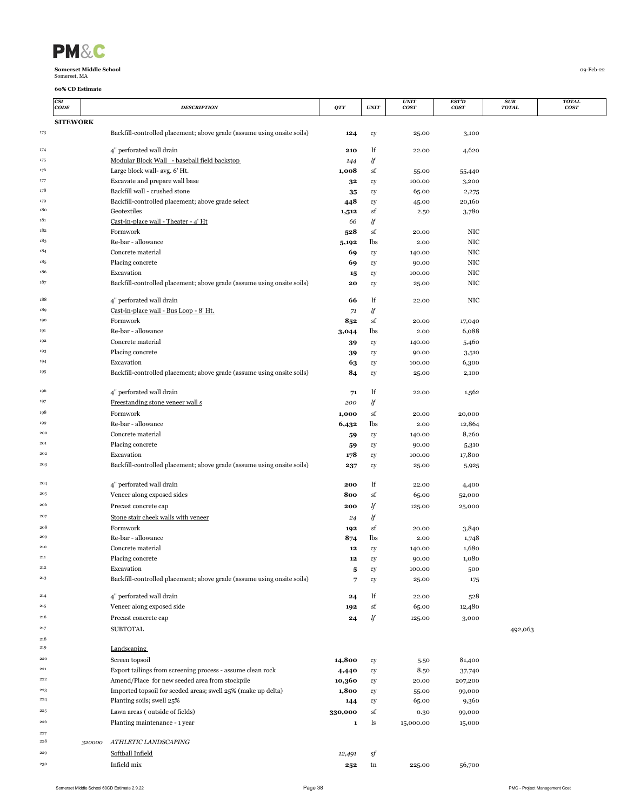| <b>PM&amp;</b> |   |
|----------------|---|
|                | . |

|            | CSI<br>CODE     |        | <b>DESCRIPTION</b>                                                     | QTY         | <b>UNIT</b> | <i><b>UNIT</b></i><br><b>COST</b> | EST'D<br>cos <sub>T</sub> | <b>SUB</b><br><b>TOTAL</b> | <b>TOTAL</b><br><b>COST</b> |
|------------|-----------------|--------|------------------------------------------------------------------------|-------------|-------------|-----------------------------------|---------------------------|----------------------------|-----------------------------|
|            | <b>SITEWORK</b> |        |                                                                        |             |             |                                   |                           |                            |                             |
| 173        |                 |        | Backfill-controlled placement; above grade (assume using onsite soils) | 124         | cy          | 25.00                             | 3,100                     |                            |                             |
|            |                 |        |                                                                        |             |             |                                   |                           |                            |                             |
| 174        |                 |        | 4" perforated wall drain                                               | 210         | lf          | 22.00                             | 4,620                     |                            |                             |
| 175        |                 |        | Modular Block Wall - baseball field backstop                           | 144         | lf          |                                   |                           |                            |                             |
| 176        |                 |        | Large block wall- avg. 6' Ht.                                          | 1,008       | sf          | 55.00                             | 55,440                    |                            |                             |
| 177        |                 |        | Excavate and prepare wall base                                         | 32          | cy          | 100.00                            | 3,200                     |                            |                             |
| 178        |                 |        | Backfill wall - crushed stone                                          | 35          | cy          | 65.00                             | 2,275                     |                            |                             |
| 179<br>180 |                 |        | Backfill-controlled placement; above grade select<br>Geotextiles       | 448         | cy<br>sf    | 45.00                             | 20,160                    |                            |                             |
| 181        |                 |        | Cast-in-place wall - Theater - 4' Ht                                   | 1,512<br>66 | lf          | 2.50                              | 3,780                     |                            |                             |
| 182        |                 |        | Formwork                                                               | 528         | sf          | 20.00                             | NIC                       |                            |                             |
| 183        |                 |        | Re-bar - allowance                                                     | 5,192       | lbs         | 2.00                              | NIC                       |                            |                             |
| 184        |                 |        | Concrete material                                                      | 69          | cy          | 140.00                            | NIC                       |                            |                             |
| 185        |                 |        | Placing concrete                                                       | 69          | cy          | 90.00                             | NIC                       |                            |                             |
| 186        |                 |        | Excavation                                                             | 15          | cy          | 100.00                            | NIC                       |                            |                             |
| 187        |                 |        | Backfill-controlled placement; above grade (assume using onsite soils) | 20          | cy          | 25.00                             | NIC                       |                            |                             |
|            |                 |        |                                                                        |             |             |                                   |                           |                            |                             |
| 188        |                 |        | 4" perforated wall drain                                               | 66          | lf          | 22.00                             | NIC                       |                            |                             |
| 189        |                 |        | Cast-in-place wall - Bus Loop - 8' Ht.                                 | 71          | lf          |                                   |                           |                            |                             |
| 190        |                 |        | Formwork                                                               | 852         | sf          | 20.00                             | 17,040                    |                            |                             |
| 191        |                 |        | Re-bar - allowance                                                     | 3,044       | lbs         | 2.00                              | 6,088                     |                            |                             |
| 192<br>193 |                 |        | Concrete material                                                      | 39          | cy          | 140.00                            | 5,460                     |                            |                             |
| 194        |                 |        | Placing concrete<br>Excavation                                         | 39          | cy          | 90.00                             | 3,510                     |                            |                             |
| 195        |                 |        | Backfill-controlled placement; above grade (assume using onsite soils) | 63          | cy          | 100.00                            | 6,300<br>2,100            |                            |                             |
|            |                 |        |                                                                        | 84          | cy          | 25.00                             |                           |                            |                             |
| 196        |                 |        | 4" perforated wall drain                                               | 71          | lf          | 22.00                             | 1,562                     |                            |                             |
| 197        |                 |        | Freestanding stone veneer wall s                                       | 200         | lf          |                                   |                           |                            |                             |
| 198        |                 |        | Formwork                                                               | 1,000       | sf          | 20.00                             | 20,000                    |                            |                             |
| 199        |                 |        | Re-bar - allowance                                                     | 6,432       | lbs         | 2.00                              | 12,864                    |                            |                             |
| 200        |                 |        | Concrete material                                                      | 59          | cy          | 140.00                            | 8,260                     |                            |                             |
| 201        |                 |        | Placing concrete                                                       | 59          | cy          | 90.00                             | 5,310                     |                            |                             |
| 202        |                 |        | Excavation                                                             | 178         | cy          | 100.00                            | 17,800                    |                            |                             |
| 203        |                 |        | Backfill-controlled placement; above grade (assume using onsite soils) | 237         | cy          | 25.00                             | 5,925                     |                            |                             |
|            |                 |        |                                                                        |             |             |                                   |                           |                            |                             |
| 204        |                 |        | 4" perforated wall drain                                               | 200         | lf          | 22.00                             | 4,400                     |                            |                             |
| 205        |                 |        | Veneer along exposed sides                                             | 800         | sf          | 65.00                             | 52,000                    |                            |                             |
| 206        |                 |        | Precast concrete cap                                                   | 200         | lf          | 125.00                            | 25,000                    |                            |                             |
| 207        |                 |        | Stone stair cheek walls with veneer                                    | 24          | lf          |                                   |                           |                            |                             |
| 208        |                 |        | Formwork                                                               | 192         | sf          | 20.00                             | 3,840                     |                            |                             |
| 209<br>210 |                 |        | Re-bar - allowance                                                     | 874         | lbs         | 2.00                              | 1,748                     |                            |                             |
| 211        |                 |        | Concrete material                                                      | 12<br>12    | cy          | 140.00                            | 1,680                     |                            |                             |
| 212        |                 |        | Placing concrete<br>Excavation                                         |             | cy          | 90.00<br>100.00                   | 1,080                     |                            |                             |
| $\bf 213$  |                 |        | Backfill-controlled placement; above grade (assume using onsite soils) | 5<br>7      | cy<br>cy    | 25.00                             | 500<br>175                |                            |                             |
|            |                 |        |                                                                        |             |             |                                   |                           |                            |                             |
| 214        |                 |        | 4" perforated wall drain                                               | 24          | lf          | 22.00                             | 528                       |                            |                             |
| 215        |                 |        | Veneer along exposed side                                              | 192         | sf          | 65.00                             | 12,480                    |                            |                             |
| 216        |                 |        | Precast concrete cap                                                   | 24          | lf          | 125.00                            | 3,000                     |                            |                             |
| 217        |                 |        | <b>SUBTOTAL</b>                                                        |             |             |                                   |                           | 492,063                    |                             |
| 218        |                 |        |                                                                        |             |             |                                   |                           |                            |                             |
| 219        |                 |        | Landscaping                                                            |             |             |                                   |                           |                            |                             |
| 220        |                 |        | Screen topsoil                                                         | 14,800      | cy          | 5.50                              | 81,400                    |                            |                             |
| 221        |                 |        | Export tailings from screening process - assume clean rock             | 4,440       | ${\rm cy}$  | 8.50                              | 37,740                    |                            |                             |
| 222        |                 |        | Amend/Place for new seeded area from stockpile                         | 10,360      | cy          | 20.00                             | 207,200                   |                            |                             |
| 223<br>224 |                 |        | Imported topsoil for seeded areas; swell 25% (make up delta)           | 1,800       | cy          | 55.00                             | 99,000                    |                            |                             |
|            |                 |        | Planting soils; swell 25%                                              | 144         | cy          | 65.00                             | 9,360                     |                            |                             |
| 225        |                 |        | Lawn areas (outside of fields)                                         | 330,000     | sf          | 0.30                              | 99,000                    |                            |                             |
| 226        |                 |        | Planting maintenance - 1 year                                          | 1           | ls          | 15,000.00                         | 15,000                    |                            |                             |
| 227<br>228 |                 | 320000 | ATHLETIC LANDSCAPING                                                   |             |             |                                   |                           |                            |                             |
| 229        |                 |        | Softball Infield                                                       | 12,491      |             |                                   |                           |                            |                             |
| 230        |                 |        | Infield mix                                                            |             | sf          |                                   |                           |                            |                             |
|            |                 |        |                                                                        | 252         | tn          | 225.00                            | 56,700                    |                            |                             |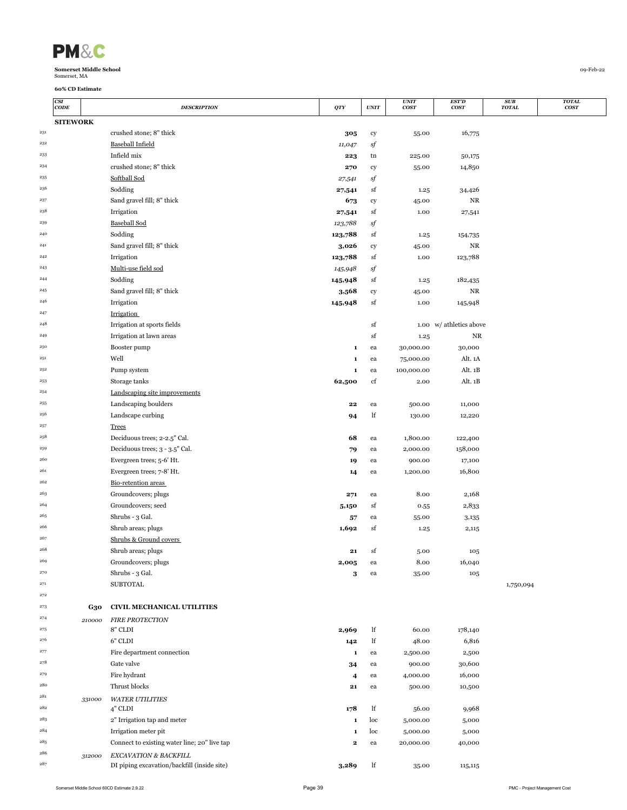| $\sqrt{2}$<br>'M |  |
|------------------|--|
|------------------|--|

|              | CSI<br>CODE     |                       | <b>DESCRIPTION</b>                                                   | QTY                     | $\ensuremath{\textit{UNIT}}$ | <b>UNIT</b><br><b>COST</b> | <b>EST'D</b><br><b>COST</b> | SUB<br><b>TOTAL</b> | <b>TOTAL</b><br><b>COST</b> |
|--------------|-----------------|-----------------------|----------------------------------------------------------------------|-------------------------|------------------------------|----------------------------|-----------------------------|---------------------|-----------------------------|
|              | <b>SITEWORK</b> |                       |                                                                      |                         |                              |                            |                             |                     |                             |
| $\sqrt{231}$ |                 |                       | crushed stone; 8" thick                                              | 305                     | cy                           | 55.00                      | 16,775                      |                     |                             |
| 232          |                 |                       | <b>Baseball Infield</b>                                              | 11,047                  | sf                           |                            |                             |                     |                             |
| 233          |                 |                       | Infield mix                                                          | 223                     | tn                           | 225.00                     | 50,175                      |                     |                             |
| 234          |                 |                       | crushed stone; 8" thick                                              | 270                     | cy                           | 55.00                      | 14,850                      |                     |                             |
| 235          |                 |                       | Softball Sod                                                         | 27,541                  | sf                           |                            |                             |                     |                             |
| 236          |                 |                       | Sodding                                                              | 27,541                  | sf                           | 1.25                       | 34,426                      |                     |                             |
| 237          |                 |                       | Sand gravel fill; 8" thick                                           | 673                     | cy                           | 45.00                      | $_{\rm NR}$                 |                     |                             |
| 238          |                 |                       | Irrigation                                                           | 27,541                  | sf                           | 1.00                       | 27,541                      |                     |                             |
| 239          |                 |                       | <b>Baseball Sod</b>                                                  | 123,788                 | sf                           |                            |                             |                     |                             |
| 240          |                 |                       | Sodding                                                              | 123,788                 | sf                           | 1.25                       | 154,735                     |                     |                             |
| 241          |                 |                       | Sand gravel fill; 8" thick                                           | 3,026                   | cy                           | 45.00                      | NR                          |                     |                             |
| 242          |                 |                       | Irrigation                                                           | 123,788                 | sf                           | 1.00                       | 123,788                     |                     |                             |
| 243          |                 |                       | Multi-use field sod                                                  | 145,948                 | sf                           |                            |                             |                     |                             |
| 244          |                 |                       | Sodding                                                              | 145,948                 | sf                           | 1.25                       | 182,435                     |                     |                             |
| 245          |                 |                       | Sand gravel fill; 8" thick                                           | 3,568                   | ${\rm cy}$                   | 45.00                      | NR                          |                     |                             |
| 246          |                 |                       | Irrigation                                                           | 145,948                 | sf                           | 1.00                       | 145,948                     |                     |                             |
| 247<br>248   |                 |                       | Irrigation                                                           |                         |                              |                            |                             |                     |                             |
|              |                 |                       | Irrigation at sports fields                                          |                         | sf                           |                            | 1.00 w/ athletics above     |                     |                             |
| 249<br>250   |                 |                       | Irrigation at lawn areas                                             |                         | sf                           | 1.25                       | NR                          |                     |                             |
| 251          |                 |                       | Booster pump<br>Well                                                 | 1                       | ea                           | 30,000.00                  | 30,000                      |                     |                             |
| 252          |                 |                       |                                                                      | 1                       | ea                           | 75,000.00                  | Alt. 1A                     |                     |                             |
| 253          |                 |                       | Pump system<br>Storage tanks                                         | $\mathbf 1$<br>62,500   | ea                           | 100,000.00                 | Alt. 1B<br>Alt. 1B          |                     |                             |
| 254          |                 |                       | Landscaping site improvements                                        |                         | cf                           | 2.00                       |                             |                     |                             |
| 255          |                 |                       | Landscaping boulders                                                 | 22                      | ea                           | 500.00                     | 11,000                      |                     |                             |
| 256          |                 |                       | Landscape curbing                                                    | 94                      | lf                           | 130.00                     | 12,220                      |                     |                             |
| 257          |                 |                       | <b>Trees</b>                                                         |                         |                              |                            |                             |                     |                             |
| 258          |                 |                       | Deciduous trees; 2-2.5" Cal.                                         | 68                      | ea                           | 1,800.00                   | 122,400                     |                     |                             |
| 259          |                 |                       | Deciduous trees; 3 - 3.5" Cal.                                       | 79                      | ea                           | 2,000.00                   | 158,000                     |                     |                             |
| 260          |                 |                       | Evergreen trees; 5-6' Ht.                                            | 19                      | ea                           | 900.00                     | 17,100                      |                     |                             |
| 261          |                 |                       | Evergreen trees; 7-8' Ht.                                            | 14                      | ea                           | 1,200.00                   | 16,800                      |                     |                             |
| 262          |                 |                       | Bio-retention areas                                                  |                         |                              |                            |                             |                     |                             |
| 263          |                 |                       | Groundcovers; plugs                                                  | 271                     | ea                           | 8.00                       | 2,168                       |                     |                             |
| 264          |                 |                       | Groundcovers; seed                                                   | 5,150                   | sf                           | 0.55                       | 2,833                       |                     |                             |
| 265          |                 |                       | Shrubs - 3 Gal.                                                      | 57                      | ea                           | 55.00                      | 3,135                       |                     |                             |
| 266          |                 |                       | Shrub areas; plugs                                                   | 1,692                   | sf                           | 1.25                       | 2,115                       |                     |                             |
| 267          |                 |                       | Shrubs & Ground covers                                               |                         |                              |                            |                             |                     |                             |
| 268          |                 |                       | Shrub areas; plugs                                                   | 21                      | sf                           | 5.00                       | 105                         |                     |                             |
| 269          |                 |                       | Groundcovers; plugs                                                  | 2,005                   | ea                           | 8.00                       | 16,040                      |                     |                             |
| 270          |                 |                       | Shrubs - 3 Gal.                                                      | 3                       | ea                           | 35.00                      | 105                         |                     |                             |
| 271          |                 |                       | <b>SUBTOTAL</b>                                                      |                         |                              |                            |                             | 1,750,094           |                             |
| 272          |                 |                       |                                                                      |                         |                              |                            |                             |                     |                             |
| 273          |                 | G30                   | <b>CIVIL MECHANICAL UTILITIES</b>                                    |                         |                              |                            |                             |                     |                             |
| 274          |                 | $\boldsymbol{210000}$ | <b>FIRE PROTECTION</b>                                               |                         |                              |                            |                             |                     |                             |
| 275          |                 |                       | 8" CLDI                                                              | 2,969                   | lf                           | 60.00                      | 178,140                     |                     |                             |
| 276          |                 |                       | 6" CLDI                                                              | 142                     | lf                           | 48.00                      | 6,816                       |                     |                             |
| 277          |                 |                       | Fire department connection                                           | 1                       | ea                           | 2,500.00                   | 2,500                       |                     |                             |
| 278          |                 |                       | Gate valve                                                           | 34                      | ea                           | 900.00                     | 30,600                      |                     |                             |
| 279          |                 |                       | Fire hydrant                                                         | $\overline{\mathbf{4}}$ | ea                           | 4,000.00                   | 16,000                      |                     |                             |
| 280          |                 |                       | Thrust blocks                                                        | 21                      | ea                           | 500.00                     | 10,500                      |                     |                             |
| 281          |                 | 331000                | <b>WATER UTILITIES</b>                                               |                         |                              |                            |                             |                     |                             |
| 282          |                 |                       | 4" CLDI                                                              | 178                     | lf                           | 56.00                      | 9,968                       |                     |                             |
| 283<br>284   |                 |                       | 2" Irrigation tap and meter                                          | 1                       | loc                          | 5,000.00                   | 5,000                       |                     |                             |
| 285          |                 |                       | Irrigation meter pit                                                 | 1                       | loc                          | 5,000.00                   | 5,000                       |                     |                             |
| 286          |                 |                       | Connect to existing water line; 20" live tap                         | 2                       | ea                           | 20,000.00                  | 40,000                      |                     |                             |
| 287          |                 | 312000                | EXCAVATION & BACKFILL<br>DI piping excavation/backfill (inside site) |                         | lf                           |                            |                             |                     |                             |
|              |                 |                       |                                                                      | 3,289                   |                              | 35.00                      | 115,115                     |                     |                             |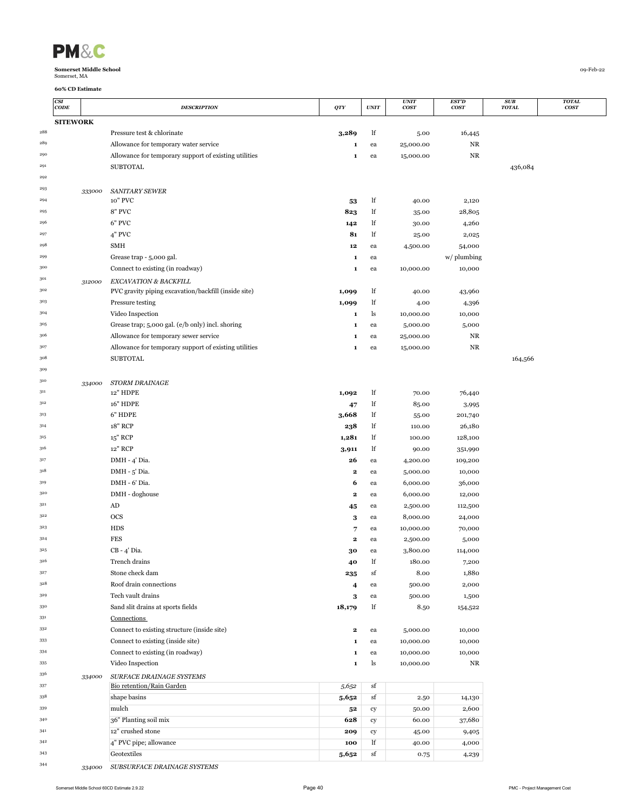| <b>PM&amp;</b> |  |
|----------------|--|
|                |  |

|         | CSI<br>$\mathbf{CODE}$ | <b>DESCRIPTION</b>                                    | QTY         | <b>UNIT</b> | <b>UNIT</b><br><b>COST</b> | EST'D<br>cos <sub>T</sub> | <b>SUB</b><br><b>TOTAL</b> | <b>TOTAL</b><br>cosr |
|---------|------------------------|-------------------------------------------------------|-------------|-------------|----------------------------|---------------------------|----------------------------|----------------------|
|         | <b>SITEWORK</b>        |                                                       |             |             |                            |                           |                            |                      |
| 288     |                        | Pressure test & chlorinate                            | 3,289       | lf          | 5.00                       | 16,445                    |                            |                      |
| 289     |                        | Allowance for temporary water service                 | 1           | ea          | 25,000.00                  | NR                        |                            |                      |
| 290     |                        | Allowance for temporary support of existing utilities | 1           | ea          | 15,000.00                  | NR                        |                            |                      |
| 291     |                        | <b>SUBTOTAL</b>                                       |             |             |                            |                           | 436,084                    |                      |
| 292     |                        |                                                       |             |             |                            |                           |                            |                      |
| 293     | 333000                 | <b>SANITARY SEWER</b>                                 |             |             |                            |                           |                            |                      |
| 294     |                        | 10" PVC                                               | 53          | lf          | 40.00                      | 2,120                     |                            |                      |
| 295     |                        | 8" PVC                                                | 823         | lf          | 35.00                      | 28,805                    |                            |                      |
| 296     |                        | 6" PVC                                                | 142         | lf          | 30.00                      | 4,260                     |                            |                      |
| 297     |                        | 4" PVC                                                | 81          | lf          | 25.00                      | 2,025                     |                            |                      |
| 298     |                        | SMH                                                   | $12 \quad$  | ea          | 4,500.00                   | 54,000                    |                            |                      |
| 299     |                        | Grease trap - 5,000 gal.                              | 1           | ea          |                            | w/ plumbing               |                            |                      |
| 300     |                        | Connect to existing (in roadway)                      | $\mathbf 1$ | ea          | 10,000.00                  | 10,000                    |                            |                      |
| 301     | 312000                 | EXCAVATION & BACKFILL                                 |             |             |                            |                           |                            |                      |
| 302     |                        | PVC gravity piping excavation/backfill (inside site)  | 1,099       | lf          | 40.00                      | 43,960                    |                            |                      |
| 303     |                        | Pressure testing                                      | 1,099       | lf          | 4.00                       | 4,396                     |                            |                      |
| 304     |                        | Video Inspection                                      | 1           | ls          | 10,000.00                  | 10,000                    |                            |                      |
| 305     |                        | Grease trap; 5,000 gal. (e/b only) incl. shoring      | 1           | ea          | 5,000.00                   | 5,000                     |                            |                      |
| 306     |                        | Allowance for temporary sewer service                 | 1           | ea          | 25,000.00                  | NR                        |                            |                      |
| 307     |                        | Allowance for temporary support of existing utilities | 1           | ea          | 15,000.00                  | NR                        |                            |                      |
| $308\,$ |                        | <b>SUBTOTAL</b>                                       |             |             |                            |                           | 164,566                    |                      |
| 309     |                        |                                                       |             |             |                            |                           |                            |                      |
| 310     | 334000                 | <b>STORM DRAINAGE</b>                                 |             |             |                            |                           |                            |                      |
| 311     |                        | 12" HDPE                                              | 1,092       | lf          | 70.00                      | 76,440                    |                            |                      |
| $312\,$ |                        | <b>16" HDPE</b>                                       | 47          | lf          | 85.00                      | 3,995                     |                            |                      |
| 313     |                        | 6" HDPE                                               | 3,668       | lf          | 55.00                      | 201,740                   |                            |                      |
| 314     |                        | 18" RCP                                               | 238         | lf          | 110.00                     | 26,180                    |                            |                      |
| 315     |                        | 15" RCP                                               | 1,281       | lf          | 100.00                     | 128,100                   |                            |                      |
| 316     |                        | 12" RCP                                               | 3,911       | lf          | 90.00                      | 351,990                   |                            |                      |
| 317     |                        | DMH - 4' Dia.                                         | 26          | ea          | 4,200.00                   | 109,200                   |                            |                      |
| 318     |                        | DMH - 5' Dia.                                         | 2           | ea          | 5,000.00                   | 10,000                    |                            |                      |
| 319     |                        | DMH - 6' Dia.                                         | 6           | ea          | 6,000.00                   | 36,000                    |                            |                      |
| 320     |                        | DMH - doghouse                                        | $\mathbf 2$ | ea          | 6,000.00                   | 12,000                    |                            |                      |
| 321     |                        | AD                                                    | 45          | ea          | 2,500.00                   | 112,500                   |                            |                      |
| 322     |                        | <b>OCS</b>                                            | 3           | ea          | 8,000.00                   | 24,000                    |                            |                      |
| 323     |                        | <b>HDS</b>                                            | 7           | ea          | 10,000.00                  | 70,000                    |                            |                      |
| 324     |                        | <b>FES</b>                                            | 2           | ea          | 2,500.00                   | 5,000                     |                            |                      |
| 325     |                        | CB - 4' Dia.                                          | 30          | ea          | 3,800.00                   | 114,000                   |                            |                      |
| 326     |                        | Trench drains                                         | 40          | lf          | 180.00                     | 7,200                     |                            |                      |
| 327     |                        | Stone check dam                                       | 235         | sf          | 8.00                       | 1,880                     |                            |                      |
| 328     |                        | Roof drain connections                                | 4           | ea          | 500.00                     | 2,000                     |                            |                      |
| 329     |                        | Tech vault drains                                     | 3           | ea          | 500.00                     | 1,500                     |                            |                      |
| 330     |                        | Sand slit drains at sports fields                     | 18,179      | lf          | 8.50                       | 154,522                   |                            |                      |
| 331     |                        | Connections                                           |             |             |                            |                           |                            |                      |
| 332     |                        | Connect to existing structure (inside site)           | 2           | ea          | 5,000.00                   | 10,000                    |                            |                      |
| 333     |                        | Connect to existing (inside site)                     | 1           | ea          | 10,000.00                  | 10,000                    |                            |                      |
| 334     |                        | Connect to existing (in roadway)                      | 1           | ea          | 10,000.00                  | 10,000                    |                            |                      |
| 335     |                        | Video Inspection                                      | 1           | ls          | 10,000.00                  | NR                        |                            |                      |
| 336     | 334000                 | SURFACE DRAINAGE SYSTEMS                              |             |             |                            |                           |                            |                      |
| 337     |                        | Bio retention/Rain Garden                             | 5,652       | sf          |                            |                           |                            |                      |
| $338\,$ |                        | shape basins                                          | 5,652       | sf          | 2.50                       | 14,130                    |                            |                      |
| 339     |                        | mulch                                                 | 52          | cy          | 50.00                      | 2,600                     |                            |                      |
| 340     |                        | 36" Planting soil mix                                 | 628         | cy          | 60.00                      | 37,680                    |                            |                      |
| 341     |                        | 12" crushed stone                                     | 209         | cy          | 45.00                      | 9,405                     |                            |                      |
| 342     |                        | 4" PVC pipe; allowance                                | 100         | lf          | 40.00                      | 4,000                     |                            |                      |
| 343     |                        | Geotextiles                                           | 5,652       | sf          | 0.75                       | 4,239                     |                            |                      |
| 344     | 334000                 | SUBSURFACE DRAINAGE SYSTEMS                           |             |             |                            |                           |                            |                      |

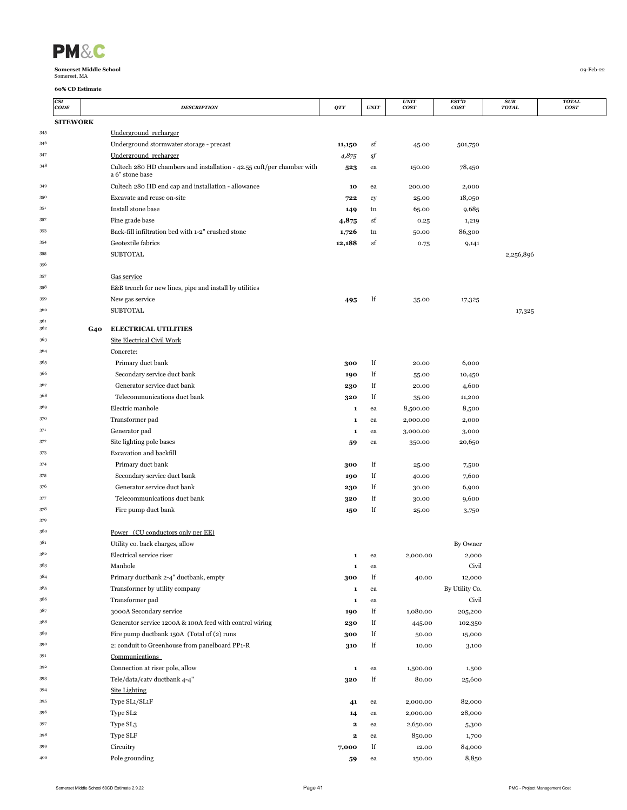| <b>PM&amp;</b> |  |
|----------------|--|
|                |  |

|            | <b>CSI</b><br>CODE |            | <b>DESCRIPTION</b>                                                                        | QTY               | $\ensuremath{\textit{UNIT}}$ | <b>UNIT</b><br><b>COST</b> | EST'D<br><b>COST</b> | <b>SUB</b><br><b>TOTAL</b> | <b>TOTAL</b><br>cosr |
|------------|--------------------|------------|-------------------------------------------------------------------------------------------|-------------------|------------------------------|----------------------------|----------------------|----------------------------|----------------------|
|            | <b>SITEWORK</b>    |            |                                                                                           |                   |                              |                            |                      |                            |                      |
| 345        |                    |            | Underground recharger                                                                     |                   |                              |                            |                      |                            |                      |
| 346        |                    |            | Underground stormwater storage - precast                                                  | 11,150            | sf                           | 45.00                      | 501,750              |                            |                      |
| 347        |                    |            | Underground recharger                                                                     | 4,875             | sf                           |                            |                      |                            |                      |
| 348        |                    |            | Cultech 280 HD chambers and installation - 42.55 cuft/per chamber with<br>a 6" stone base | 523               | ea                           | 150.00                     | 78,450               |                            |                      |
| 349        |                    |            | Cultech 280 HD end cap and installation - allowance                                       | 10                | ea                           | 200.00                     | 2,000                |                            |                      |
| 350        |                    |            | Excavate and reuse on-site                                                                | 722               | cy                           | 25.00                      | 18,050               |                            |                      |
| 351        |                    |            | Install stone base                                                                        | 149               | tn                           | 65.00                      | 9,685                |                            |                      |
| 352        |                    |            | Fine grade base                                                                           | 4,875             | sf                           | 0.25                       | 1,219                |                            |                      |
| 353        |                    |            | Back-fill infiltration bed with 1-2" crushed stone                                        | 1,726             | tn                           | 50.00                      | 86,300               |                            |                      |
| 354        |                    |            | Geotextile fabrics                                                                        | 12,188            | sf                           | 0.75                       | 9,141                |                            |                      |
| 355        |                    |            | <b>SUBTOTAL</b>                                                                           |                   |                              |                            |                      | 2,256,896                  |                      |
| 356        |                    |            |                                                                                           |                   |                              |                            |                      |                            |                      |
| 357        |                    |            | Gas service                                                                               |                   |                              |                            |                      |                            |                      |
| 358        |                    |            | E&B trench for new lines, pipe and install by utilities                                   |                   |                              |                            |                      |                            |                      |
| 359<br>360 |                    |            | New gas service                                                                           | 495               | lf                           | 35.00                      | 17,325               |                            |                      |
| 361        |                    |            | <b>SUBTOTAL</b>                                                                           |                   |                              |                            |                      | 17,325                     |                      |
| 362        |                    | <b>G40</b> | <b>ELECTRICAL UTILITIES</b>                                                               |                   |                              |                            |                      |                            |                      |
| 363        |                    |            | Site Electrical Civil Work                                                                |                   |                              |                            |                      |                            |                      |
| 364        |                    |            | Concrete:                                                                                 |                   |                              |                            |                      |                            |                      |
| 365        |                    |            | Primary duct bank                                                                         | 300               | lf                           | 20.00                      | 6,000                |                            |                      |
| 366        |                    |            | Secondary service duct bank                                                               | 190               | lf                           | 55.00                      | 10,450               |                            |                      |
| 367        |                    |            | Generator service duct bank                                                               | 230               | lf                           | 20.00                      | 4,600                |                            |                      |
| 368        |                    |            | Telecommunications duct bank                                                              | 320               | lf                           | 35.00                      | 11,200               |                            |                      |
| 369        |                    |            | Electric manhole                                                                          | 1                 | ea                           | 8,500.00                   | 8,500                |                            |                      |
| 370        |                    |            | Transformer pad                                                                           | 1                 | ea                           | 2,000.00                   | 2,000                |                            |                      |
| 371        |                    |            | Generator pad                                                                             | 1                 | ea                           | 3,000.00                   | 3,000                |                            |                      |
| 372<br>373 |                    |            | Site lighting pole bases                                                                  | 59                | ea                           | 350.00                     | 20,650               |                            |                      |
| 374        |                    |            | Excavation and backfill                                                                   |                   |                              |                            |                      |                            |                      |
| 375        |                    |            | Primary duct bank<br>Secondary service duct bank                                          | 300<br>190        | lf<br>lf                     | 25.00                      | 7,500<br>7,600       |                            |                      |
| 376        |                    |            | Generator service duct bank                                                               | 230               | lf                           | 40.00<br>30.00             | 6,900                |                            |                      |
| 377        |                    |            | Telecommunications duct bank                                                              | 320               | lf                           | 30.00                      | 9,600                |                            |                      |
| 378        |                    |            | Fire pump duct bank                                                                       | 150               | lf                           | 25.00                      | 3,750                |                            |                      |
| 379        |                    |            |                                                                                           |                   |                              |                            |                      |                            |                      |
| 380        |                    |            | Power (CU conductors only per EE)                                                         |                   |                              |                            |                      |                            |                      |
| 381        |                    |            | Utility co. back charges, allow                                                           |                   |                              |                            | By Owner             |                            |                      |
|            |                    |            | Electrical service riser                                                                  | 1                 | ea                           | 2,000.00                   | 2,000                |                            |                      |
| 383        |                    |            | Manhole                                                                                   | $\mathbf 1$       | ea                           |                            | Civil                |                            |                      |
| 384        |                    |            | Primary ductbank 2-4" ductbank, empty                                                     | 300               | lf                           | 40.00                      | 12,000               |                            |                      |
| 385        |                    |            | Transformer by utility company                                                            | 1                 | ea                           |                            | By Utility Co.       |                            |                      |
| 386        |                    |            | Transformer pad                                                                           | 1                 | ea                           |                            | Civil                |                            |                      |
| 387        |                    |            | 3000A Secondary service                                                                   | 190               | lf                           | 1,080.00                   | 205,200              |                            |                      |
| 388        |                    |            | Generator service 1200A & 100A feed with control wiring                                   | 230               | lf                           | 445.00                     | 102,350              |                            |                      |
| 389        |                    |            | Fire pump ductbank 150A (Total of (2) runs                                                | 300               | lf                           | 50.00                      | 15,000               |                            |                      |
| 390        |                    |            | 2: conduit to Greenhouse from panelboard PP1-R                                            | 310               | lf                           | 10.00                      | 3,100                |                            |                      |
| 391        |                    |            | Communications                                                                            |                   |                              |                            |                      |                            |                      |
| 392        |                    |            | Connection at riser pole, allow                                                           | 1                 | ea                           | 1,500.00                   | 1,500                |                            |                      |
| 393        |                    |            | Tele/data/catv ductbank 4-4"                                                              | 320               | lf                           | 80.00                      | 25,600               |                            |                      |
| 394        |                    |            | <b>Site Lighting</b>                                                                      |                   |                              |                            |                      |                            |                      |
| 395<br>396 |                    |            | Type SL1/SL1F                                                                             | 41                | ea                           | 2,000.00                   | 82,000               |                            |                      |
| 397        |                    |            | Type SL <sub>2</sub>                                                                      | 14                | ea                           | 2,000.00                   | 28,000               |                            |                      |
| 398        |                    |            | Type SL3<br>Type SLF                                                                      | 2<br>$\mathbf{2}$ | ea<br>ea                     | 2,650.00<br>850.00         | 5,300<br>1,700       |                            |                      |
| 399        |                    |            | Circuitry                                                                                 | 7,000             | lf                           | 12.00                      | 84,000               |                            |                      |
| 400        |                    |            | Pole grounding                                                                            | 59                | ea                           | 150.00                     | 8,850                |                            |                      |
|            |                    |            |                                                                                           |                   |                              |                            |                      |                            |                      |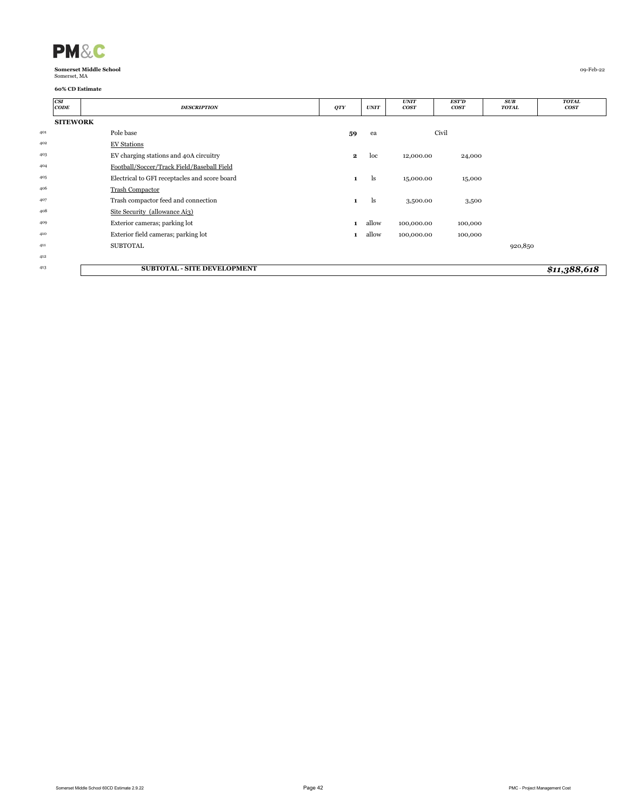| <b>PM&amp;C</b>               |           |
|-------------------------------|-----------|
| <b>Somerset Middle School</b> | 09-Feb-22 |
| Somerset, MA                  |           |

|     | CSI<br>CODE     | <b>DESCRIPTION</b>                            | QTY          | <b>UNIT</b> | <b>UNIT</b><br>cos <sub>T</sub> | <b>EST'D</b><br>cosr | SUB<br><b>TOTAL</b> | <b>TOTAL</b><br>cos T |
|-----|-----------------|-----------------------------------------------|--------------|-------------|---------------------------------|----------------------|---------------------|-----------------------|
|     | <b>SITEWORK</b> |                                               |              |             |                                 |                      |                     |                       |
| 401 |                 | Pole base                                     | 59           | ea          |                                 | Civil                |                     |                       |
| 402 |                 | <b>EV Stations</b>                            |              |             |                                 |                      |                     |                       |
| 403 |                 | EV charging stations and 40A circuitry        | $\mathbf{2}$ | loc         | 12,000.00                       | 24,000               |                     |                       |
| 404 |                 | Football/Soccer/Track Field/Baseball Field    |              |             |                                 |                      |                     |                       |
| 405 |                 | Electrical to GFI receptacles and score board | 1            | ls          | 15,000.00                       | 15,000               |                     |                       |
| 406 |                 | <b>Trash Compactor</b>                        |              |             |                                 |                      |                     |                       |
| 407 |                 | Trash compactor feed and connection           | $\mathbf{1}$ | ls          | 3,500.00                        | 3,500                |                     |                       |
| 408 |                 | Site Security (allowance Ai3)                 |              |             |                                 |                      |                     |                       |
| 409 |                 | Exterior cameras; parking lot                 | $\mathbf{1}$ | allow       | 100,000.00                      | 100,000              |                     |                       |
| 410 |                 | Exterior field cameras; parking lot           | 1            | allow       | 100,000.00                      | 100,000              |                     |                       |
| 411 |                 | <b>SUBTOTAL</b>                               |              |             |                                 |                      | 920,850             |                       |
| 412 |                 |                                               |              |             |                                 |                      |                     |                       |
| 413 |                 | <b>SUBTOTAL - SITE DEVELOPMENT</b>            |              |             |                                 |                      |                     | \$11,388,618          |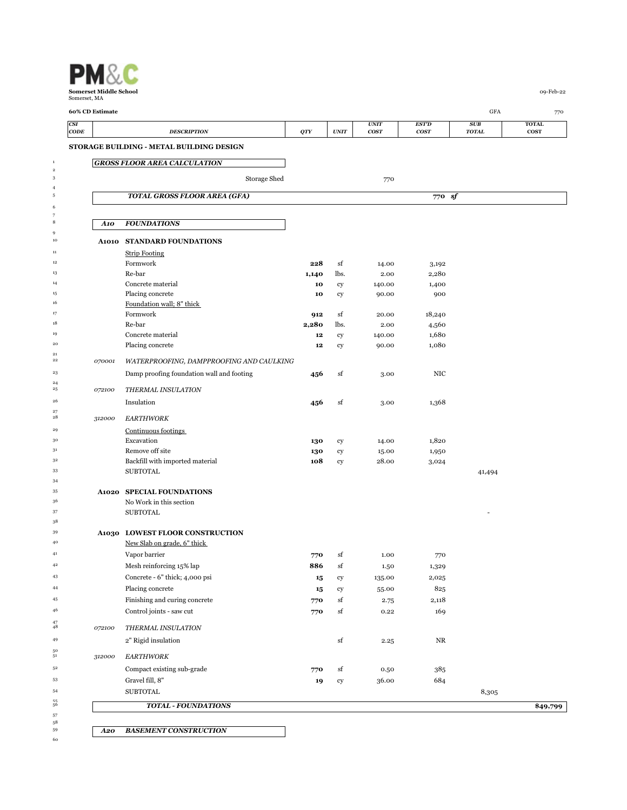|             | 60% CD Estimate |                                                                |            |             |                            |                             | <b>GFA</b>               |                             |
|-------------|-----------------|----------------------------------------------------------------|------------|-------------|----------------------------|-----------------------------|--------------------------|-----------------------------|
| CSI<br>CODE |                 | <b>DESCRIPTION</b>                                             | <b>QTY</b> | <b>UNIT</b> | <b>UNIT</b><br><b>COST</b> | <b>EST'D</b><br><b>COST</b> | SUB<br><b>TOTAL</b>      | <b>TOTAL</b><br><b>COST</b> |
|             |                 | STORAGE BUILDING - METAL BUILDING DESIGN                       |            |             |                            |                             |                          |                             |
|             |                 | <b>GROSS FLOOR AREA CALCULATION</b>                            |            |             |                            |                             |                          |                             |
|             |                 | Storage Shed                                                   |            |             | 770                        |                             |                          |                             |
|             |                 | <b>TOTAL GROSS FLOOR AREA (GFA)</b>                            |            |             |                            | 770 sf                      |                          |                             |
|             | A10             | <b>FOUNDATIONS</b>                                             |            |             |                            |                             |                          |                             |
|             | A1010           | <b>STANDARD FOUNDATIONS</b>                                    |            |             |                            |                             |                          |                             |
|             |                 | <b>Strip Footing</b>                                           |            |             |                            |                             |                          |                             |
|             |                 | Formwork                                                       | 228        | sf          | 14.00                      | 3,192                       |                          |                             |
|             |                 | Re-bar                                                         | 1,140      | lbs.        | 2.00                       | 2,280                       |                          |                             |
|             |                 | Concrete material<br>Placing concrete                          | 10         | cy          | 140.00                     | 1,400<br>900                |                          |                             |
|             |                 | Foundation wall; 8" thick                                      | 10         | cy          | 90.00                      |                             |                          |                             |
|             |                 | Formwork                                                       | 912        | sf          | 20.00                      | 18,240                      |                          |                             |
|             |                 | Re-bar                                                         | 2,280      | lbs.        | 2.00                       | 4,560                       |                          |                             |
|             |                 | Concrete material                                              | 12         | cy          | 140.00                     | 1,680                       |                          |                             |
|             |                 | Placing concrete                                               | 12         | cy          | 90.00                      | 1,080                       |                          |                             |
|             | 070001          | WATERPROOFING, DAMPPROOFING AND CAULKING                       |            |             |                            |                             |                          |                             |
|             |                 | Damp proofing foundation wall and footing                      | 456        | sf          | 3.00                       | NIC                         |                          |                             |
|             | 072100          | THERMAL INSULATION                                             |            |             |                            |                             |                          |                             |
|             |                 |                                                                |            |             |                            |                             |                          |                             |
|             |                 | Insulation                                                     | 456        | sf          | 3.00                       | 1,368                       |                          |                             |
|             | 312000          | <b>EARTHWORK</b>                                               |            |             |                            |                             |                          |                             |
|             |                 | Continuous footings                                            |            |             |                            |                             |                          |                             |
|             |                 | Excavation                                                     | 130        | cy          | 14.00                      | 1,820                       |                          |                             |
|             |                 | Remove off site                                                | 130        | cy          | 15.00                      | 1,950                       |                          |                             |
|             |                 | Backfill with imported material<br><b>SUBTOTAL</b>             | 108        | cy          | 28.00                      | 3,024                       | 41,494                   |                             |
|             |                 |                                                                |            |             |                            |                             |                          |                             |
|             |                 | <b>A1020 SPECIAL FOUNDATIONS</b>                               |            |             |                            |                             |                          |                             |
|             |                 | No Work in this section                                        |            |             |                            |                             |                          |                             |
|             |                 | <b>SUBTOTAL</b>                                                |            |             |                            |                             | $\overline{\phantom{a}}$ |                             |
|             |                 |                                                                |            |             |                            |                             |                          |                             |
|             |                 | A1030 LOWEST FLOOR CONSTRUCTION<br>New Slab on grade, 6" thick |            |             |                            |                             |                          |                             |
|             |                 | Vapor barrier                                                  | 770        | sf          | 1.00                       | 770                         |                          |                             |
|             |                 | Mesh reinforcing 15% lap                                       | 886        | sf          | 1.50                       | 1,329                       |                          |                             |
|             |                 | Concrete - 6" thick; 4,000 psi                                 | 15         | cy          | 135.00                     | 2,025                       |                          |                             |
|             |                 | Placing concrete                                               | 15         | cy          | 55.00                      | 825                         |                          |                             |
|             |                 | Finishing and curing concrete                                  | 770        | sf          | 2.75                       | 2,118                       |                          |                             |
|             |                 | Control joints - saw cut                                       | 770        | sf          | 0.22                       | 169                         |                          |                             |
|             |                 |                                                                |            |             |                            |                             |                          |                             |
|             | 072100          | THERMAL INSULATION                                             |            |             |                            | NR                          |                          |                             |
|             |                 | 2" Rigid insulation                                            |            | sf          | 2.25                       |                             |                          |                             |
|             | 312000          | <b>EARTHWORK</b>                                               |            |             |                            |                             |                          |                             |
|             |                 | Compact existing sub-grade                                     | 770        | sf          | 0.50                       | 385                         |                          |                             |
|             |                 | Gravel fill, 8"                                                | 19         | ${\rm cy}$  | 36.00                      | 684                         |                          |                             |
|             |                 | <b>SUBTOTAL</b>                                                |            |             |                            |                             | 8,305                    |                             |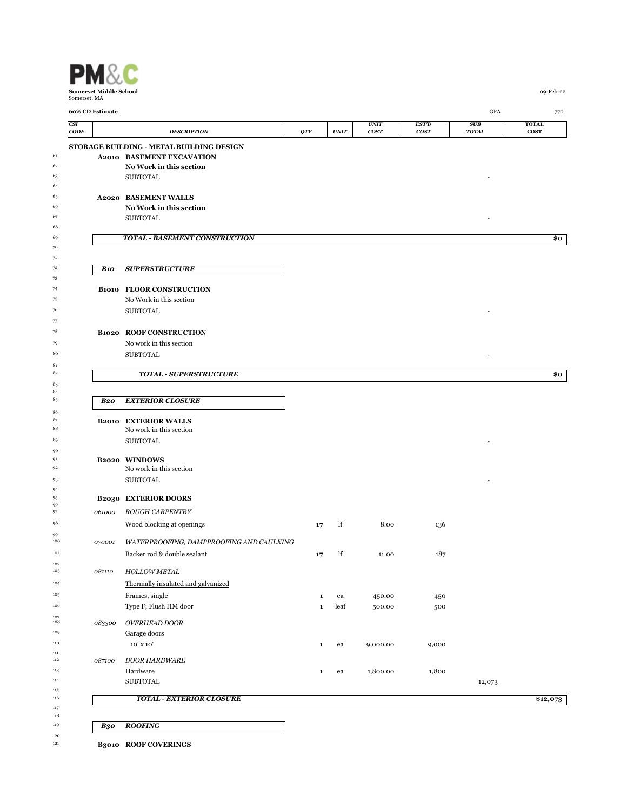

 

 $\begin{array}{c} 81 \\ 82 \end{array}$ 

 <br> $85$ 

 $\begin{array}{c} 102 \\ 103 \end{array}$ 

 $\begin{array}{c} 107 \\ 108 \end{array}$ 

 $\begin{array}{c} 111 \\ 112 \end{array}$ 

 $\begin{array}{c} 115 \\ 116 \end{array}$ 

 

 $\begin{array}{c} 120 \\ 121 \end{array}$ 

|                           | 60% CD Estimate |                                                        |              |             |                          |                             | GFA                 | 770                         |
|---------------------------|-----------------|--------------------------------------------------------|--------------|-------------|--------------------------|-----------------------------|---------------------|-----------------------------|
| <b>CSI</b><br><b>CODE</b> |                 | <b>DESCRIPTION</b>                                     | QTY          | <b>UNIT</b> | UNIT<br>cos <sub>T</sub> | <b>EST'D</b><br><b>COST</b> | SUB<br><b>TOTAL</b> | <b>TOTAL</b><br><b>COST</b> |
|                           |                 | STORAGE BUILDING - METAL BUILDING DESIGN               |              |             |                          |                             |                     |                             |
|                           |                 | <b>A2010 BASEMENT EXCAVATION</b>                       |              |             |                          |                             |                     |                             |
|                           |                 | No Work in this section                                |              |             |                          |                             |                     |                             |
|                           |                 | <b>SUBTOTAL</b>                                        |              |             |                          |                             |                     |                             |
|                           |                 |                                                        |              |             |                          |                             |                     |                             |
|                           |                 | <b>A2020 BASEMENT WALLS</b>                            |              |             |                          |                             |                     |                             |
|                           |                 | No Work in this section<br><b>SUBTOTAL</b>             |              |             |                          |                             |                     |                             |
|                           |                 |                                                        |              |             |                          |                             |                     |                             |
|                           |                 | <b>TOTAL - BASEMENT CONSTRUCTION</b>                   |              |             |                          |                             |                     | \$0                         |
|                           |                 |                                                        |              |             |                          |                             |                     |                             |
|                           |                 |                                                        |              |             |                          |                             |                     |                             |
|                           | <b>B10</b>      | <b>SUPERSTRUCTURE</b>                                  |              |             |                          |                             |                     |                             |
|                           |                 | <b>B1010 FLOOR CONSTRUCTION</b>                        |              |             |                          |                             |                     |                             |
|                           |                 | No Work in this section                                |              |             |                          |                             |                     |                             |
|                           |                 | <b>SUBTOTAL</b>                                        |              |             |                          |                             |                     |                             |
|                           |                 |                                                        |              |             |                          |                             |                     |                             |
|                           |                 | <b>B1020 ROOF CONSTRUCTION</b>                         |              |             |                          |                             |                     |                             |
|                           |                 | No work in this section                                |              |             |                          |                             |                     |                             |
|                           |                 | <b>SUBTOTAL</b>                                        |              |             |                          |                             |                     |                             |
|                           |                 |                                                        |              |             |                          |                             |                     |                             |
|                           |                 | <b>TOTAL - SUPERSTRUCTURE</b>                          |              |             |                          |                             |                     | \$0                         |
|                           |                 |                                                        |              |             |                          |                             |                     |                             |
|                           | <b>B20</b>      | <b>EXTERIOR CLOSURE</b>                                |              |             |                          |                             |                     |                             |
|                           |                 |                                                        |              |             |                          |                             |                     |                             |
|                           |                 | <b>B2010 EXTERIOR WALLS</b><br>No work in this section |              |             |                          |                             |                     |                             |
|                           |                 | <b>SUBTOTAL</b>                                        |              |             |                          |                             |                     |                             |
|                           |                 |                                                        |              |             |                          |                             |                     |                             |
|                           |                 | B2020 WINDOWS                                          |              |             |                          |                             |                     |                             |
|                           |                 | No work in this section                                |              |             |                          |                             |                     |                             |
|                           |                 | <b>SUBTOTAL</b>                                        |              |             |                          |                             |                     |                             |
|                           |                 | <b>B2030 EXTERIOR DOORS</b>                            |              |             |                          |                             |                     |                             |
|                           | 061000          | <b>ROUGH CARPENTRY</b>                                 |              |             |                          |                             |                     |                             |
|                           |                 | Wood blocking at openings                              | 17           | lf          | 8.00                     | 136                         |                     |                             |
|                           |                 |                                                        |              |             |                          |                             |                     |                             |
|                           | 070001          | WATERPROOFING, DAMPPROOFING AND CAULKING               |              |             |                          |                             |                     |                             |
|                           |                 | Backer rod & double sealant                            | 17           | lf          | 11.00                    | 187                         |                     |                             |
|                           | 081110          | HOLLOW METAL                                           |              |             |                          |                             |                     |                             |
|                           |                 | Thermally insulated and galvanized                     |              |             |                          |                             |                     |                             |
|                           |                 | Frames, single                                         | 1            | ea          | 450.00                   | 450                         |                     |                             |
|                           |                 | Type F; Flush HM door                                  | $\mathbf{1}$ | leaf        | 500.00                   | 500                         |                     |                             |
|                           |                 |                                                        |              |             |                          |                             |                     |                             |
|                           | 083300          | <b>OVERHEAD DOOR</b>                                   |              |             |                          |                             |                     |                             |
|                           |                 | Garage doors<br>10' x 10'                              | $\mathbf{1}$ | ea          | 9,000.00                 | 9,000                       |                     |                             |
|                           |                 |                                                        |              |             |                          |                             |                     |                             |
|                           | 087100          | <b>DOOR HARDWARE</b>                                   |              |             |                          |                             |                     |                             |
|                           |                 | Hardware                                               | 1            | ea          | 1,800.00                 | 1,800                       |                     |                             |
|                           |                 | <b>SUBTOTAL</b>                                        |              |             |                          |                             | 12,073              |                             |
|                           |                 | <b>TOTAL - EXTERIOR CLOSURE</b>                        |              |             |                          |                             |                     | \$12,073                    |
|                           |                 |                                                        |              |             |                          |                             |                     |                             |
|                           | <b>B30</b>      | <b>ROOFING</b>                                         |              |             |                          |                             |                     |                             |
|                           |                 |                                                        |              |             |                          |                             |                     |                             |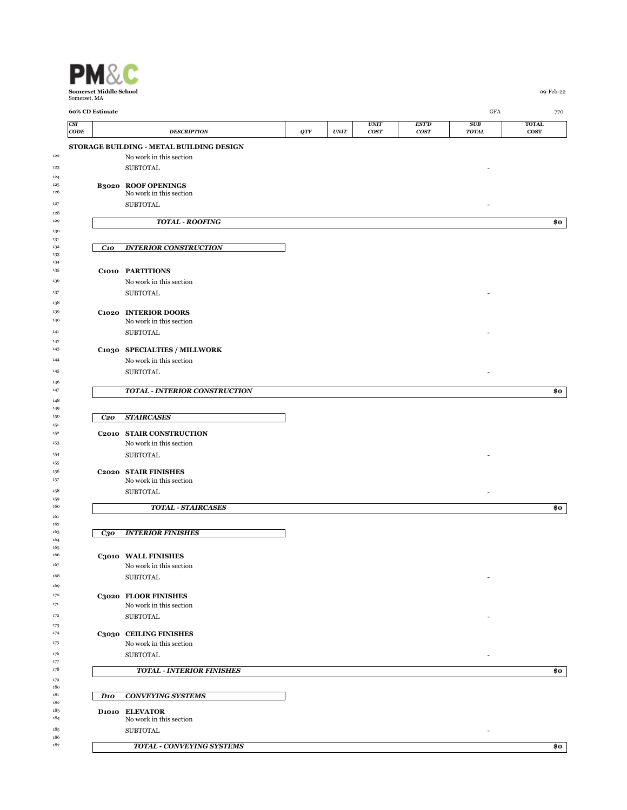

| CSI             | 60% CD Estimate |                                                       |            |                              | <b>UNIT</b>      | EST'D | $_{\mathrm{GFA}}$<br>SUB | 770<br><b>TOTAL</b> |
|-----------------|-----------------|-------------------------------------------------------|------------|------------------------------|------------------|-------|--------------------------|---------------------|
| $\mathbf{CODE}$ |                 | <b>DESCRIPTION</b>                                    | <b>QTY</b> | $\ensuremath{\textit{UNIT}}$ | cos <sub>T</sub> | cosr  | <b>TOTAL</b>             | $\cos$              |
|                 |                 | STORAGE BUILDING - METAL BUILDING DESIGN              |            |                              |                  |       |                          |                     |
|                 |                 | No work in this section                               |            |                              |                  |       |                          |                     |
|                 |                 | <b>SUBTOTAL</b>                                       |            |                              |                  |       |                          |                     |
|                 |                 |                                                       |            |                              |                  |       |                          |                     |
|                 |                 | <b>B3020 ROOF OPENINGS</b><br>No work in this section |            |                              |                  |       |                          |                     |
|                 |                 | <b>SUBTOTAL</b>                                       |            |                              |                  |       |                          |                     |
|                 |                 |                                                       |            |                              |                  |       |                          |                     |
|                 |                 | <b>TOTAL - ROOFING</b>                                |            |                              |                  |       |                          | \$ο                 |
|                 |                 |                                                       |            |                              |                  |       |                          |                     |
|                 | C10             | <b>INTERIOR CONSTRUCTION</b>                          |            |                              |                  |       |                          |                     |
|                 |                 |                                                       |            |                              |                  |       |                          |                     |
|                 |                 | C1010 PARTITIONS                                      |            |                              |                  |       |                          |                     |
|                 |                 | No work in this section                               |            |                              |                  |       |                          |                     |
|                 |                 | <b>SUBTOTAL</b>                                       |            |                              |                  |       |                          |                     |
|                 |                 |                                                       |            |                              |                  |       |                          |                     |
|                 |                 | C1020 INTERIOR DOORS                                  |            |                              |                  |       |                          |                     |
|                 |                 | No work in this section                               |            |                              |                  |       |                          |                     |
|                 |                 | <b>SUBTOTAL</b>                                       |            |                              |                  |       |                          |                     |
|                 |                 | C1030 SPECIALTIES / MILLWORK                          |            |                              |                  |       |                          |                     |
|                 |                 | No work in this section                               |            |                              |                  |       |                          |                     |
|                 |                 | <b>SUBTOTAL</b>                                       |            |                              |                  |       |                          |                     |
|                 |                 |                                                       |            |                              |                  |       |                          |                     |
|                 |                 | <b>TOTAL - INTERIOR CONSTRUCTION</b>                  |            |                              |                  |       |                          | \$0                 |
|                 |                 |                                                       |            |                              |                  |       |                          |                     |
|                 | C <sub>20</sub> | <b>STAIRCASES</b>                                     |            |                              |                  |       |                          |                     |
|                 |                 |                                                       |            |                              |                  |       |                          |                     |
|                 |                 | C2010 STAIR CONSTRUCTION                              |            |                              |                  |       |                          |                     |
|                 |                 | No work in this section                               |            |                              |                  |       |                          |                     |
|                 |                 | <b>SUBTOTAL</b>                                       |            |                              |                  |       |                          |                     |
|                 |                 | C2020 STAIR FINISHES                                  |            |                              |                  |       |                          |                     |
|                 |                 | No work in this section                               |            |                              |                  |       |                          |                     |
|                 |                 | <b>SUBTOTAL</b>                                       |            |                              |                  |       |                          |                     |
|                 |                 | <b>TOTAL - STAIRCASES</b>                             |            |                              |                  |       |                          | \$ο                 |
|                 |                 |                                                       |            |                              |                  |       |                          |                     |
|                 |                 |                                                       |            |                              |                  |       |                          |                     |
|                 | $C_{3}o$        | <b>INTERIOR FINISHES</b>                              |            |                              |                  |       |                          |                     |
|                 |                 |                                                       |            |                              |                  |       |                          |                     |
|                 |                 | C3010 WALL FINISHES                                   |            |                              |                  |       |                          |                     |
|                 |                 | No work in this section                               |            |                              |                  |       |                          |                     |
|                 |                 | <b>SUBTOTAL</b>                                       |            |                              |                  |       |                          |                     |
|                 |                 | C3020 FLOOR FINISHES                                  |            |                              |                  |       |                          |                     |
|                 |                 | No work in this section                               |            |                              |                  |       |                          |                     |
|                 |                 | <b>SUBTOTAL</b>                                       |            |                              |                  |       |                          |                     |
|                 |                 |                                                       |            |                              |                  |       |                          |                     |
|                 |                 | C3030 CEILING FINISHES                                |            |                              |                  |       |                          |                     |
|                 |                 | No work in this section                               |            |                              |                  |       |                          |                     |
|                 |                 | <b>SUBTOTAL</b>                                       |            |                              |                  |       | $\overline{\phantom{a}}$ |                     |
|                 |                 | <b>TOTAL - INTERIOR FINISHES</b>                      |            |                              |                  |       |                          | \$ο                 |
|                 |                 |                                                       |            |                              |                  |       |                          |                     |
|                 | D <sub>10</sub> | <b>CONVEYING SYSTEMS</b>                              |            |                              |                  |       |                          |                     |
|                 |                 |                                                       |            |                              |                  |       |                          |                     |
|                 |                 | D1010 ELEVATOR<br>No work in this section             |            |                              |                  |       |                          |                     |
|                 |                 | <b>SUBTOTAL</b>                                       |            |                              |                  |       | $\overline{\phantom{a}}$ |                     |
|                 |                 |                                                       |            |                              |                  |       |                          |                     |
|                 |                 | TOTAL - CONVEYING SYSTEMS                             |            |                              |                  |       |                          | \$0                 |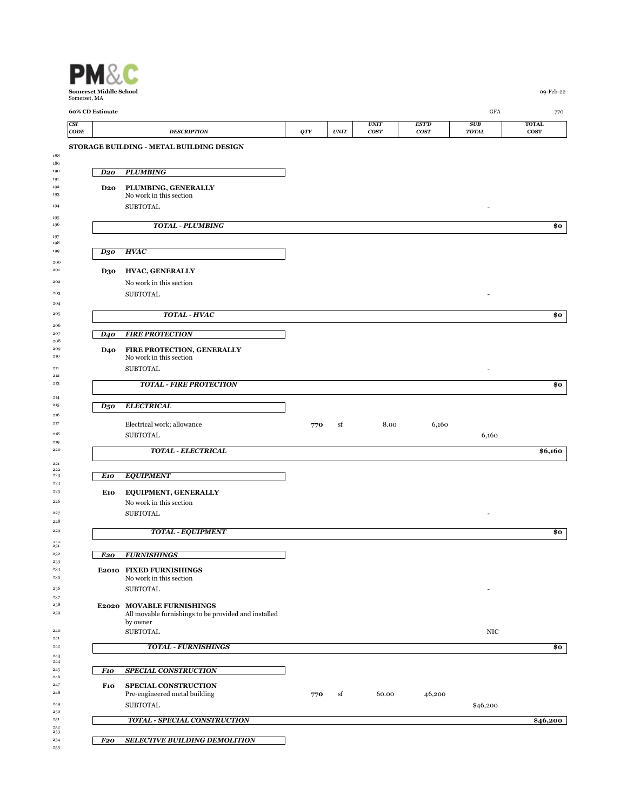|                    | Somerset, MA    |                                                                                   |     |             |                            |                             |                     |                             |
|--------------------|-----------------|-----------------------------------------------------------------------------------|-----|-------------|----------------------------|-----------------------------|---------------------|-----------------------------|
|                    | 60% CD Estimate |                                                                                   |     |             |                            |                             | GFA                 | 770                         |
| CSI<br>$\bf{CODE}$ |                 | <b>DESCRIPTION</b>                                                                | QTY | <b>UNIT</b> | <b>UNIT</b><br><b>COST</b> | <b>EST'D</b><br><b>COST</b> | SUB<br><b>TOTAL</b> | <b>TOTAL</b><br><b>COST</b> |
|                    |                 | STORAGE BUILDING - METAL BUILDING DESIGN                                          |     |             |                            |                             |                     |                             |
|                    | D <sub>20</sub> | <b>PLUMBING</b>                                                                   |     |             |                            |                             |                     |                             |
|                    | D20             | PLUMBING, GENERALLY                                                               |     |             |                            |                             |                     |                             |
|                    |                 | No work in this section<br><b>SUBTOTAL</b>                                        |     |             |                            |                             |                     |                             |
|                    |                 | <b>TOTAL - PLUMBING</b>                                                           |     |             |                            |                             |                     | \$0                         |
|                    |                 |                                                                                   |     |             |                            |                             |                     |                             |
|                    | D30             | <b>HVAC</b>                                                                       |     |             |                            |                             |                     |                             |
|                    | D30             | HVAC, GENERALLY                                                                   |     |             |                            |                             |                     |                             |
|                    |                 | No work in this section<br><b>SUBTOTAL</b>                                        |     |             |                            |                             |                     |                             |
|                    |                 |                                                                                   |     |             |                            |                             |                     |                             |
|                    |                 | TOTAL - HVAC                                                                      |     |             |                            |                             |                     | \$0                         |
|                    | <b>D40</b>      | <b>FIRE PROTECTION</b>                                                            |     |             |                            |                             |                     |                             |
|                    | <b>D40</b>      | FIRE PROTECTION, GENERALLY<br>No work in this section                             |     |             |                            |                             |                     |                             |
|                    |                 | <b>SUBTOTAL</b>                                                                   |     |             |                            |                             |                     |                             |
|                    |                 | <b>TOTAL - FIRE PROTECTION</b>                                                    |     |             |                            |                             |                     | \$0                         |
|                    | $D_5$ o         | <b>ELECTRICAL</b>                                                                 |     |             |                            |                             |                     |                             |
|                    |                 |                                                                                   |     |             |                            |                             |                     |                             |
|                    |                 | Electrical work; allowance<br><b>SUBTOTAL</b>                                     | 770 | sf          | 8.00                       | 6,160                       | 6,160               |                             |
|                    |                 | <b>TOTAL - ELECTRICAL</b>                                                         |     |             |                            |                             |                     | \$6,160                     |
|                    |                 |                                                                                   |     |             |                            |                             |                     |                             |
|                    | E10             | <b>EQUIPMENT</b>                                                                  |     |             |                            |                             |                     |                             |
|                    | E10             | <b>EQUIPMENT, GENERALLY</b><br>No work in this section                            |     |             |                            |                             |                     |                             |
|                    |                 | <b>SUBTOTAL</b>                                                                   |     |             |                            |                             | $\sim$              |                             |
|                    |                 | <b>TOTAL - EQUIPMENT</b>                                                          |     |             |                            |                             |                     | \$0                         |
|                    |                 |                                                                                   |     |             |                            |                             |                     |                             |
|                    | E20             | <b>FURNISHINGS</b>                                                                |     |             |                            |                             |                     |                             |
|                    |                 | E2010 FIXED FURNISHINGS<br>No work in this section                                |     |             |                            |                             |                     |                             |
|                    |                 | <b>SUBTOTAL</b>                                                                   |     |             |                            |                             |                     |                             |
|                    |                 | E2020 MOVABLE FURNISHINGS<br>All movable furnishings to be provided and installed |     |             |                            |                             |                     |                             |
|                    |                 | by owner<br><b>SUBTOTAL</b>                                                       |     |             |                            |                             | NIC                 |                             |
|                    |                 | <b>TOTAL - FURNISHINGS</b>                                                        |     |             |                            |                             |                     | \$0                         |
|                    |                 |                                                                                   |     |             |                            |                             |                     |                             |
|                    | F10             | <b>SPECIAL CONSTRUCTION</b>                                                       |     |             |                            |                             |                     |                             |
|                    | <b>F10</b>      | SPECIAL CONSTRUCTION<br>Pre-engineered metal building                             | 770 | sf          | 60.00                      | 46,200                      |                     |                             |
|                    |                 | <b>SUBTOTAL</b>                                                                   |     |             |                            |                             | \$46,200            |                             |
|                    |                 |                                                                                   |     |             |                            |                             |                     |                             |

*F20 SELECTIVE BUILDING DEMOLITION*